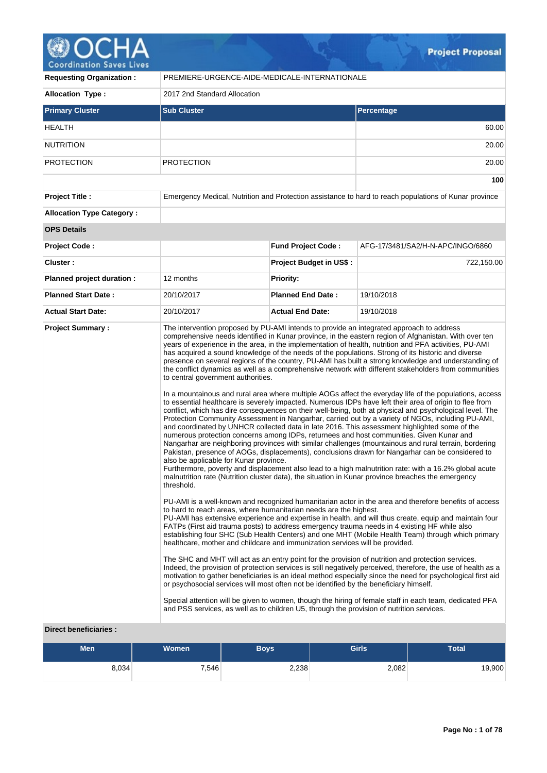

| <b>Requesting Organization:</b>                         | PREMIERE-URGENCE-AIDE-MEDICALE-INTERNATIONALE                                                                                                                                                                                                                                                                                                                                                                                          |                                |                                                                                                                                                                                                                                                                                                                                                                                                                                                                                                                                                                                                                                                                                                                                                                                                                                                                                                                                                                                                                                                                                                                                                                                                                                                                                                                                                                                                                                                                                                                                                                                                                                                                                                                                                                                                                                                                                                                                                                                                                                                                                                                                                                                                                                                                                                                                                                                                                                                                                                                                                                              |  |  |
|---------------------------------------------------------|----------------------------------------------------------------------------------------------------------------------------------------------------------------------------------------------------------------------------------------------------------------------------------------------------------------------------------------------------------------------------------------------------------------------------------------|--------------------------------|------------------------------------------------------------------------------------------------------------------------------------------------------------------------------------------------------------------------------------------------------------------------------------------------------------------------------------------------------------------------------------------------------------------------------------------------------------------------------------------------------------------------------------------------------------------------------------------------------------------------------------------------------------------------------------------------------------------------------------------------------------------------------------------------------------------------------------------------------------------------------------------------------------------------------------------------------------------------------------------------------------------------------------------------------------------------------------------------------------------------------------------------------------------------------------------------------------------------------------------------------------------------------------------------------------------------------------------------------------------------------------------------------------------------------------------------------------------------------------------------------------------------------------------------------------------------------------------------------------------------------------------------------------------------------------------------------------------------------------------------------------------------------------------------------------------------------------------------------------------------------------------------------------------------------------------------------------------------------------------------------------------------------------------------------------------------------------------------------------------------------------------------------------------------------------------------------------------------------------------------------------------------------------------------------------------------------------------------------------------------------------------------------------------------------------------------------------------------------------------------------------------------------------------------------------------------------|--|--|
| <b>Allocation Type:</b>                                 | 2017 2nd Standard Allocation                                                                                                                                                                                                                                                                                                                                                                                                           |                                |                                                                                                                                                                                                                                                                                                                                                                                                                                                                                                                                                                                                                                                                                                                                                                                                                                                                                                                                                                                                                                                                                                                                                                                                                                                                                                                                                                                                                                                                                                                                                                                                                                                                                                                                                                                                                                                                                                                                                                                                                                                                                                                                                                                                                                                                                                                                                                                                                                                                                                                                                                              |  |  |
| <b>Primary Cluster</b>                                  | <b>Sub Cluster</b>                                                                                                                                                                                                                                                                                                                                                                                                                     |                                | <b>Percentage</b>                                                                                                                                                                                                                                                                                                                                                                                                                                                                                                                                                                                                                                                                                                                                                                                                                                                                                                                                                                                                                                                                                                                                                                                                                                                                                                                                                                                                                                                                                                                                                                                                                                                                                                                                                                                                                                                                                                                                                                                                                                                                                                                                                                                                                                                                                                                                                                                                                                                                                                                                                            |  |  |
| HEALTH                                                  |                                                                                                                                                                                                                                                                                                                                                                                                                                        |                                | 60.00                                                                                                                                                                                                                                                                                                                                                                                                                                                                                                                                                                                                                                                                                                                                                                                                                                                                                                                                                                                                                                                                                                                                                                                                                                                                                                                                                                                                                                                                                                                                                                                                                                                                                                                                                                                                                                                                                                                                                                                                                                                                                                                                                                                                                                                                                                                                                                                                                                                                                                                                                                        |  |  |
| <b>NUTRITION</b>                                        |                                                                                                                                                                                                                                                                                                                                                                                                                                        |                                | 20.00                                                                                                                                                                                                                                                                                                                                                                                                                                                                                                                                                                                                                                                                                                                                                                                                                                                                                                                                                                                                                                                                                                                                                                                                                                                                                                                                                                                                                                                                                                                                                                                                                                                                                                                                                                                                                                                                                                                                                                                                                                                                                                                                                                                                                                                                                                                                                                                                                                                                                                                                                                        |  |  |
| <b>PROTECTION</b>                                       | <b>PROTECTION</b>                                                                                                                                                                                                                                                                                                                                                                                                                      |                                | 20.00                                                                                                                                                                                                                                                                                                                                                                                                                                                                                                                                                                                                                                                                                                                                                                                                                                                                                                                                                                                                                                                                                                                                                                                                                                                                                                                                                                                                                                                                                                                                                                                                                                                                                                                                                                                                                                                                                                                                                                                                                                                                                                                                                                                                                                                                                                                                                                                                                                                                                                                                                                        |  |  |
|                                                         |                                                                                                                                                                                                                                                                                                                                                                                                                                        |                                | 100                                                                                                                                                                                                                                                                                                                                                                                                                                                                                                                                                                                                                                                                                                                                                                                                                                                                                                                                                                                                                                                                                                                                                                                                                                                                                                                                                                                                                                                                                                                                                                                                                                                                                                                                                                                                                                                                                                                                                                                                                                                                                                                                                                                                                                                                                                                                                                                                                                                                                                                                                                          |  |  |
| <b>Project Title:</b>                                   |                                                                                                                                                                                                                                                                                                                                                                                                                                        |                                | Emergency Medical, Nutrition and Protection assistance to hard to reach populations of Kunar province                                                                                                                                                                                                                                                                                                                                                                                                                                                                                                                                                                                                                                                                                                                                                                                                                                                                                                                                                                                                                                                                                                                                                                                                                                                                                                                                                                                                                                                                                                                                                                                                                                                                                                                                                                                                                                                                                                                                                                                                                                                                                                                                                                                                                                                                                                                                                                                                                                                                        |  |  |
| <b>Allocation Type Category:</b>                        |                                                                                                                                                                                                                                                                                                                                                                                                                                        |                                |                                                                                                                                                                                                                                                                                                                                                                                                                                                                                                                                                                                                                                                                                                                                                                                                                                                                                                                                                                                                                                                                                                                                                                                                                                                                                                                                                                                                                                                                                                                                                                                                                                                                                                                                                                                                                                                                                                                                                                                                                                                                                                                                                                                                                                                                                                                                                                                                                                                                                                                                                                              |  |  |
| <b>OPS Details</b>                                      |                                                                                                                                                                                                                                                                                                                                                                                                                                        |                                |                                                                                                                                                                                                                                                                                                                                                                                                                                                                                                                                                                                                                                                                                                                                                                                                                                                                                                                                                                                                                                                                                                                                                                                                                                                                                                                                                                                                                                                                                                                                                                                                                                                                                                                                                                                                                                                                                                                                                                                                                                                                                                                                                                                                                                                                                                                                                                                                                                                                                                                                                                              |  |  |
| <b>Project Code:</b>                                    |                                                                                                                                                                                                                                                                                                                                                                                                                                        | <b>Fund Project Code:</b>      | AFG-17/3481/SA2/H-N-APC/INGO/6860                                                                                                                                                                                                                                                                                                                                                                                                                                                                                                                                                                                                                                                                                                                                                                                                                                                                                                                                                                                                                                                                                                                                                                                                                                                                                                                                                                                                                                                                                                                                                                                                                                                                                                                                                                                                                                                                                                                                                                                                                                                                                                                                                                                                                                                                                                                                                                                                                                                                                                                                            |  |  |
| Cluster:                                                |                                                                                                                                                                                                                                                                                                                                                                                                                                        | <b>Project Budget in US\$:</b> | 722,150.00                                                                                                                                                                                                                                                                                                                                                                                                                                                                                                                                                                                                                                                                                                                                                                                                                                                                                                                                                                                                                                                                                                                                                                                                                                                                                                                                                                                                                                                                                                                                                                                                                                                                                                                                                                                                                                                                                                                                                                                                                                                                                                                                                                                                                                                                                                                                                                                                                                                                                                                                                                   |  |  |
| Planned project duration :                              | 12 months                                                                                                                                                                                                                                                                                                                                                                                                                              | <b>Priority:</b>               |                                                                                                                                                                                                                                                                                                                                                                                                                                                                                                                                                                                                                                                                                                                                                                                                                                                                                                                                                                                                                                                                                                                                                                                                                                                                                                                                                                                                                                                                                                                                                                                                                                                                                                                                                                                                                                                                                                                                                                                                                                                                                                                                                                                                                                                                                                                                                                                                                                                                                                                                                                              |  |  |
| <b>Planned Start Date:</b>                              | 20/10/2017                                                                                                                                                                                                                                                                                                                                                                                                                             | <b>Planned End Date:</b>       | 19/10/2018                                                                                                                                                                                                                                                                                                                                                                                                                                                                                                                                                                                                                                                                                                                                                                                                                                                                                                                                                                                                                                                                                                                                                                                                                                                                                                                                                                                                                                                                                                                                                                                                                                                                                                                                                                                                                                                                                                                                                                                                                                                                                                                                                                                                                                                                                                                                                                                                                                                                                                                                                                   |  |  |
| <b>Actual Start Date:</b>                               | 20/10/2017                                                                                                                                                                                                                                                                                                                                                                                                                             | <b>Actual End Date:</b>        | 19/10/2018                                                                                                                                                                                                                                                                                                                                                                                                                                                                                                                                                                                                                                                                                                                                                                                                                                                                                                                                                                                                                                                                                                                                                                                                                                                                                                                                                                                                                                                                                                                                                                                                                                                                                                                                                                                                                                                                                                                                                                                                                                                                                                                                                                                                                                                                                                                                                                                                                                                                                                                                                                   |  |  |
| <b>Project Summary:</b><br><b>Direct beneficiaries:</b> | to central government authorities.<br>also be applicable for Kunar province.<br>threshold.<br>to hard to reach areas, where humanitarian needs are the highest.<br>healthcare, mother and childcare and immunization services will be provided.<br>or psychosocial services will most often not be identified by the beneficiary himself.<br>and PSS services, as well as to children U5, through the provision of nutrition services. |                                | The intervention proposed by PU-AMI intends to provide an integrated approach to address<br>comprehensive needs identified in Kunar province, in the eastern region of Afghanistan. With over ten<br>years of experience in the area, in the implementation of health, nutrition and PFA activities, PU-AMI<br>has acquired a sound knowledge of the needs of the populations. Strong of its historic and diverse<br>presence on several regions of the country, PU-AMI has built a strong knowledge and understanding of<br>the conflict dynamics as well as a comprehensive network with different stakeholders from communities<br>In a mountainous and rural area where multiple AOGs affect the everyday life of the populations, access<br>to essential healthcare is severely impacted. Numerous IDPs have left their area of origin to flee from<br>conflict, which has dire consequences on their well-being, both at physical and psychological level. The<br>Protection Community Assessment in Nangarhar, carried out by a variety of NGOs, including PU-AMI,<br>and coordinated by UNHCR collected data in late 2016. This assessment highlighted some of the<br>numerous protection concerns among IDPs, returnees and host communities. Given Kunar and<br>Nangarhar are neighboring provinces with similar challenges (mountainous and rural terrain, bordering<br>Pakistan, presence of AOGs, displacements), conclusions drawn for Nangarhar can be considered to<br>Furthermore, poverty and displacement also lead to a high malnutrition rate: with a 16.2% global acute<br>malnutrition rate (Nutrition cluster data), the situation in Kunar province breaches the emergency<br>PU-AMI is a well-known and recognized humanitarian actor in the area and therefore benefits of access<br>PU-AMI has extensive experience and expertise in health, and will thus create, equip and maintain four<br>FATPs (First aid trauma posts) to address emergency trauma needs in 4 existing HF while also<br>establishing four SHC (Sub Health Centers) and one MHT (Mobile Health Team) through which primary<br>The SHC and MHT will act as an entry point for the provision of nutrition and protection services.<br>Indeed, the provision of protection services is still negatively perceived, therefore, the use of health as a<br>motivation to gather beneficiaries is an ideal method especially since the need for psychological first aid<br>Special attention will be given to women, though the hiring of female staff in each team, dedicated PFA |  |  |
|                                                         |                                                                                                                                                                                                                                                                                                                                                                                                                                        |                                |                                                                                                                                                                                                                                                                                                                                                                                                                                                                                                                                                                                                                                                                                                                                                                                                                                                                                                                                                                                                                                                                                                                                                                                                                                                                                                                                                                                                                                                                                                                                                                                                                                                                                                                                                                                                                                                                                                                                                                                                                                                                                                                                                                                                                                                                                                                                                                                                                                                                                                                                                                              |  |  |
|                                                         |                                                                                                                                                                                                                                                                                                                                                                                                                                        |                                |                                                                                                                                                                                                                                                                                                                                                                                                                                                                                                                                                                                                                                                                                                                                                                                                                                                                                                                                                                                                                                                                                                                                                                                                                                                                                                                                                                                                                                                                                                                                                                                                                                                                                                                                                                                                                                                                                                                                                                                                                                                                                                                                                                                                                                                                                                                                                                                                                                                                                                                                                                              |  |  |

| <b>Men</b> | <b>Women</b> | <b>Boys</b> | <b>Girls</b> | <b>Total</b> |
|------------|--------------|-------------|--------------|--------------|
| 8,034      | 7,546        | 2,238       | 2,082        | 19,900       |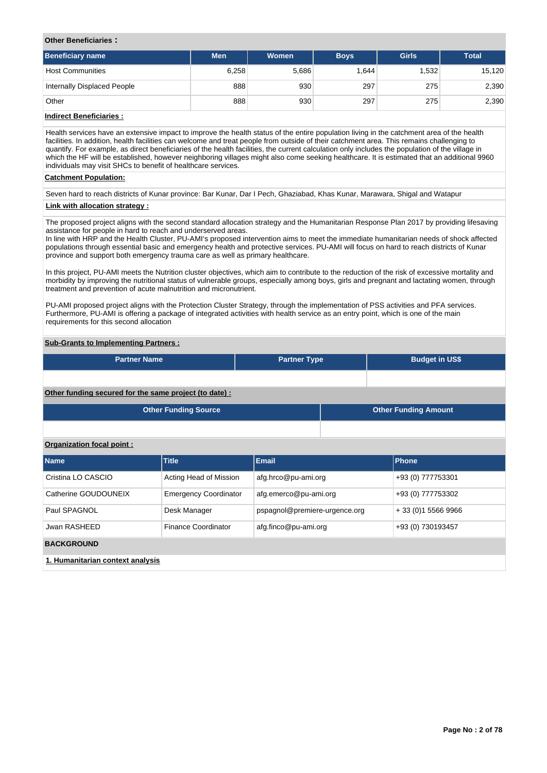### **Other Beneficiaries :**

| <b>Beneficiary name</b>     | <b>Men</b> | Women | <b>Boys</b> | <b>Girls</b> | <b>Total</b> |
|-----------------------------|------------|-------|-------------|--------------|--------------|
| <b>Host Communities</b>     | 6,258      | 5,686 | 1,644       | 1,532        | 15,120       |
| Internally Displaced People | 888        | 930   | 297         | 275          | 2,390        |
| Other                       | 888        | 930   | 297         | 275          | 2,390        |

### **Indirect Beneficiaries :**

Health services have an extensive impact to improve the health status of the entire population living in the catchment area of the health facilities. In addition, health facilities can welcome and treat people from outside of their catchment area. This remains challenging to quantify. For example, as direct beneficiaries of the health facilities, the current calculation only includes the population of the village in which the HF will be established, however neighboring villages might also come seeking healthcare. It is estimated that an additional 9960 individuals may visit SHCs to benefit of healthcare services.

### **Catchment Population:**

Seven hard to reach districts of Kunar province: Bar Kunar, Dar I Pech, Ghaziabad, Khas Kunar, Marawara, Shigal and Watapur

### **Link with allocation strategy :**

The proposed project aligns with the second standard allocation strategy and the Humanitarian Response Plan 2017 by providing lifesaving assistance for people in hard to reach and underserved areas.

In line with HRP and the Health Cluster, PU-AMI's proposed intervention aims to meet the immediate humanitarian needs of shock affected populations through essential basic and emergency health and protective services. PU-AMI will focus on hard to reach districts of Kunar province and support both emergency trauma care as well as primary healthcare.

In this project, PU-AMI meets the Nutrition cluster objectives, which aim to contribute to the reduction of the risk of excessive mortality and morbidity by improving the nutritional status of vulnerable groups, especially among boys, girls and pregnant and lactating women, through treatment and prevention of acute malnutrition and micronutrient.

PU-AMI proposed project aligns with the Protection Cluster Strategy, through the implementation of PSS activities and PFA services. Furthermore, PU-AMI is offering a package of integrated activities with health service as an entry point, which is one of the main requirements for this second allocation

### **Sub-Grants to Implementing Partners :**

| <b>Partner Name</b> | <b>Partner Type</b> | <b>Budget in US\$</b> |
|---------------------|---------------------|-----------------------|
|                     |                     |                       |

### **Other funding secured for the same project (to date) :**

| Other Funding Source | Other Funding Amount |
|----------------------|----------------------|
|                      |                      |

### **Organization focal point :**

| <b>Name</b>                      | <b>Title</b>                 | <b>Email</b>                  | Phone                |
|----------------------------------|------------------------------|-------------------------------|----------------------|
| Cristina LO CASCIO               | Acting Head of Mission       | afg.hrco@pu-ami.org           | +93 (0) 777753301    |
| Catherine GOUDOUNEIX             | <b>Emergency Coordinator</b> | afg.emerco@pu-ami.org         | +93 (0) 777753302    |
| Paul SPAGNOL                     | Desk Manager                 | pspagnol@premiere-urgence.org | + 33 (0) 1 5566 9966 |
| Jwan RASHEED                     | Finance Coordinator          | afg.finco@pu-ami.org          | +93 (0) 730193457    |
| <b>BACKGROUND</b>                |                              |                               |                      |
| 1. Humanitarian context analysis |                              |                               |                      |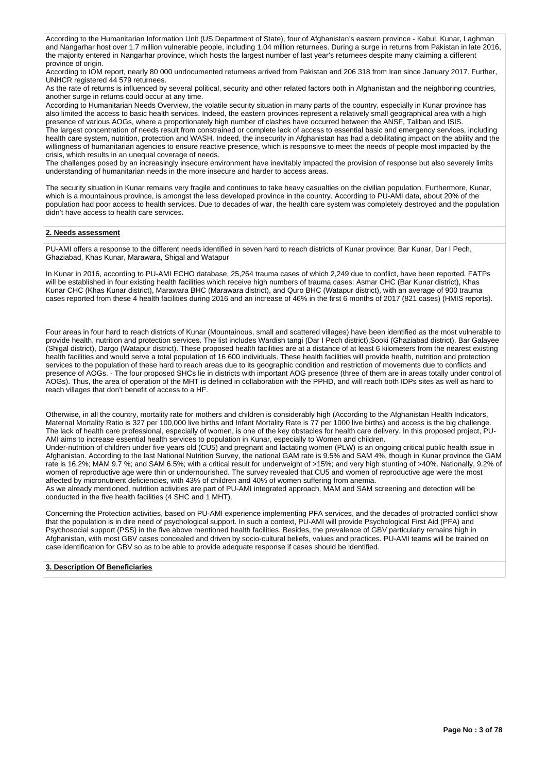According to the Humanitarian Information Unit (US Department of State), four of Afghanistan's eastern province - Kabul, Kunar, Laghman and Nangarhar host over 1.7 million vulnerable people, including 1.04 million returnees. During a surge in returns from Pakistan in late 2016, the majority entered in Nangarhar province, which hosts the largest number of last year's returnees despite many claiming a different province of origin.

According to IOM report, nearly 80 000 undocumented returnees arrived from Pakistan and 206 318 from Iran since January 2017. Further, UNHCR registered 44 579 returnees.

As the rate of returns is influenced by several political, security and other related factors both in Afghanistan and the neighboring countries, another surge in returns could occur at any time.

According to Humanitarian Needs Overview, the volatile security situation in many parts of the country, especially in Kunar province has also limited the access to basic health services. Indeed, the eastern provinces represent a relatively small geographical area with a high presence of various AOGs, where a proportionately high number of clashes have occurred between the ANSF, Taliban and ISIS. The largest concentration of needs result from constrained or complete lack of access to essential basic and emergency services, including health care system, nutrition, protection and WASH. Indeed, the insecurity in Afghanistan has had a debilitating impact on the ability and the willingness of humanitarian agencies to ensure reactive presence, which is responsive to meet the needs of people most impacted by the crisis, which results in an unequal coverage of needs.

The challenges posed by an increasingly insecure environment have inevitably impacted the provision of response but also severely limits understanding of humanitarian needs in the more insecure and harder to access areas.

The security situation in Kunar remains very fragile and continues to take heavy casualties on the civilian population. Furthermore, Kunar, which is a mountainous province, is amongst the less developed province in the country. According to PU-AMI data, about 20% of the population had poor access to health services. Due to decades of war, the health care system was completely destroyed and the population didn't have access to health care services.

### **2. Needs assessment**

PU-AMI offers a response to the different needs identified in seven hard to reach districts of Kunar province: Bar Kunar, Dar I Pech, Ghaziabad, Khas Kunar, Marawara, Shigal and Watapur

In Kunar in 2016, according to PU-AMI ECHO database, 25,264 trauma cases of which 2,249 due to conflict, have been reported. FATPs will be established in four existing health facilities which receive high numbers of trauma cases: Asmar CHC (Bar Kunar district), Khas Kunar CHC (Khas Kunar district), Marawara BHC (Marawara district), and Quro BHC (Watapur district), with an average of 900 trauma cases reported from these 4 health facilities during 2016 and an increase of 46% in the first 6 months of 2017 (821 cases) (HMIS reports).

Four areas in four hard to reach districts of Kunar (Mountainous, small and scattered villages) have been identified as the most vulnerable to provide health, nutrition and protection services. The list includes Wardish tangi (Dar I Pech district),Sooki (Ghaziabad district), Bar Galayee (Shigal district), Dargo (Watapur district). These proposed health facilities are at a distance of at least 6 kilometers from the nearest existing health facilities and would serve a total population of 16 600 individuals. These health facilities will provide health, nutrition and protection services to the population of these hard to reach areas due to its geographic condition and restriction of movements due to conflicts and presence of AOGs. - The four proposed SHCs lie in districts with important AOG presence (three of them are in areas totally under control of AOGs). Thus, the area of operation of the MHT is defined in collaboration with the PPHD, and will reach both IDPs sites as well as hard to reach villages that don't benefit of access to a HF.

Otherwise, in all the country, mortality rate for mothers and children is considerably high (According to the Afghanistan Health Indicators, Maternal Mortality Ratio is 327 per 100,000 live births and Infant Mortality Rate is 77 per 1000 live births) and access is the big challenge. The lack of health care professional, especially of women, is one of the key obstacles for health care delivery. In this proposed project, PU-AMI aims to increase essential health services to population in Kunar, especially to Women and children. Under-nutrition of children under five years old (CU5) and pregnant and lactating women (PLW) is an ongoing critical public health issue in Afghanistan. According to the last National Nutrition Survey, the national GAM rate is 9.5% and SAM 4%, though in Kunar province the GAM rate is 16.2%; MAM 9.7 %; and SAM 6.5%; with a critical result for underweight of >15%; and very high stunting of >40%. Nationally, 9.2% of women of reproductive age were thin or undernourished. The survey revealed that CU5 and women of reproductive age were the most affected by micronutrient deficiencies, with 43% of children and 40% of women suffering from anemia. As we already mentioned, nutrition activities are part of PU-AMI integrated approach, MAM and SAM screening and detection will be

conducted in the five health facilities (4 SHC and 1 MHT).

Concerning the Protection activities, based on PU-AMI experience implementing PFA services, and the decades of protracted conflict show that the population is in dire need of psychological support. In such a context, PU-AMI will provide Psychological First Aid (PFA) and Psychosocial support (PSS) in the five above mentioned health facilities. Besides, the prevalence of GBV particularly remains high in Afghanistan, with most GBV cases concealed and driven by socio-cultural beliefs, values and practices. PU-AMI teams will be trained on case identification for GBV so as to be able to provide adequate response if cases should be identified.

### **3. Description Of Beneficiaries**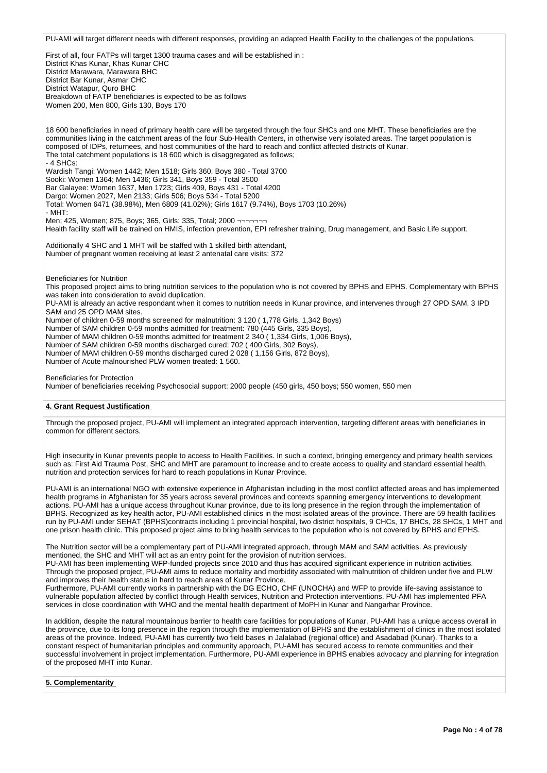PU-AMI will target different needs with different responses, providing an adapted Health Facility to the challenges of the populations.

First of all, four FATPs will target 1300 trauma cases and will be established in : District Khas Kunar, Khas Kunar CHC District Marawara, Marawara BHC District Bar Kunar, Asmar CHC District Watapur, Quro BHC Breakdown of FATP beneficiaries is expected to be as follows Women 200, Men 800, Girls 130, Boys 170

18 600 beneficiaries in need of primary health care will be targeted through the four SHCs and one MHT. These beneficiaries are the communities living in the catchment areas of the four Sub-Health Centers, in otherwise very isolated areas. The target population is composed of IDPs, returnees, and host communities of the hard to reach and conflict affected districts of Kunar. The total catchment populations is 18 600 which is disaggregated as follows; - 4 SHCs: Wardish Tangi: Women 1442; Men 1518; Girls 360, Boys 380 - Total 3700 Sooki: Women 1364; Men 1436; Girls 341, Boys 359 - Total 3500 Bar Galayee: Women 1637, Men 1723; Girls 409, Boys 431 - Total 4200 Dargo: Women 2027, Men 2133; Girls 506; Boys 534 - Total 5200 Total: Women 6471 (38.98%), Men 6809 (41.02%); Girls 1617 (9.74%), Boys 1703 (10.26%) - MHT: Men; 425, Women; 875, Boys; 365, Girls; 335, Total; 2000 ¬¬¬¬¬¬¬ Health facility staff will be trained on HMIS, infection prevention, EPI refresher training, Drug management, and Basic Life support. Additionally 4 SHC and 1 MHT will be staffed with 1 skilled birth attendant, Number of pregnant women receiving at least 2 antenatal care visits: 372 Beneficiaries for Nutrition This proposed project aims to bring nutrition services to the population who is not covered by BPHS and EPHS. Complementary with BPHS was taken into consideration to avoid duplication.

PU-AMI is already an active respondant when it comes to nutrition needs in Kunar province, and intervenes through 27 OPD SAM, 3 IPD SAM and 25 OPD MAM sites.

Number of children 0-59 months screened for malnutrition: 3 120 ( 1,778 Girls, 1,342 Boys)

Number of SAM children 0-59 months admitted for treatment: 780 (445 Girls, 335 Boys),

Number of MAM children 0-59 months admitted for treatment 2 340 ( 1,334 Girls, 1,006 Boys),

Number of SAM children 0-59 months discharged cured: 702 ( 400 Girls, 302 Boys),

Number of MAM children 0-59 months discharged cured 2 028 ( 1,156 Girls, 872 Boys),

Number of Acute malnourished PLW women treated: 1 560.

#### Beneficiaries for Protection

Number of beneficiaries receiving Psychosocial support: 2000 people (450 girls, 450 boys; 550 women, 550 men

#### **4. Grant Request Justification**

Through the proposed project, PU-AMI will implement an integrated approach intervention, targeting different areas with beneficiaries in common for different sectors.

High insecurity in Kunar prevents people to access to Health Facilities. In such a context, bringing emergency and primary health services such as: First Aid Trauma Post, SHC and MHT are paramount to increase and to create access to quality and standard essential health, nutrition and protection services for hard to reach populations in Kunar Province.

PU-AMI is an international NGO with extensive experience in Afghanistan including in the most conflict affected areas and has implemented health programs in Afghanistan for 35 years across several provinces and contexts spanning emergency interventions to development actions. PU-AMI has a unique access throughout Kunar province, due to its long presence in the region through the implementation of BPHS. Recognized as key health actor, PU-AMI established clinics in the most isolated areas of the province. There are 59 health facilities run by PU-AMI under SEHAT (BPHS)contracts including 1 provincial hospital, two district hospitals, 9 CHCs, 17 BHCs, 28 SHCs, 1 MHT and one prison health clinic. This proposed project aims to bring health services to the population who is not covered by BPHS and EPHS.

The Nutrition sector will be a complementary part of PU-AMI integrated approach, through MAM and SAM activities. As previously mentioned, the SHC and MHT will act as an entry point for the provision of nutrition services.

PU-AMI has been implementing WFP-funded projects since 2010 and thus has acquired significant experience in nutrition activities. Through the proposed project, PU-AMI aims to reduce mortality and morbidity associated with malnutrition of children under five and PLW and improves their health status in hard to reach areas of Kunar Province.

Furthermore, PU-AMI currently works in partnership with the DG ECHO, CHF (UNOCHA) and WFP to provide life-saving assistance to vulnerable population affected by conflict through Health services, Nutrition and Protection interventions. PU-AMI has implemented PFA services in close coordination with WHO and the mental health department of MoPH in Kunar and Nangarhar Province.

In addition, despite the natural mountainous barrier to health care facilities for populations of Kunar, PU-AMI has a unique access overall in the province, due to its long presence in the region through the implementation of BPHS and the establishment of clinics in the most isolated areas of the province. Indeed, PU-AMI has currently two field bases in Jalalabad (regional office) and Asadabad (Kunar). Thanks to a constant respect of humanitarian principles and community approach, PU-AMI has secured access to remote communities and their successful involvement in project implementation. Furthermore, PU-AMI experience in BPHS enables advocacy and planning for integration of the proposed MHT into Kunar.

#### **5. Complementarity**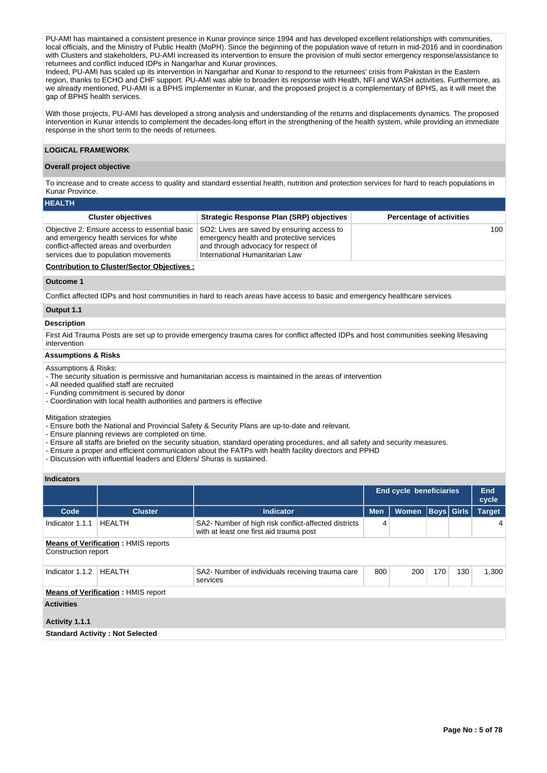PU-AMI has maintained a consistent presence in Kunar province since 1994 and has developed excellent relationships with communities, local officials, and the Ministry of Public Health (MoPH). Since the beginning of the population wave of return in mid-2016 and in coordination with Clusters and stakeholders, PU-AMI increased its intervention to ensure the provision of multi sector emergency response/assistance to returnees and conflict induced IDPs in Nangarhar and Kunar provinces.

Indeed, PU-AMI has scaled up its intervention in Nangarhar and Kunar to respond to the returnees' crisis from Pakistan in the Eastern region, thanks to ECHO and CHF support. PU-AMI was able to broaden its response with Health, NFI and WASH activities. Furthermore, as we already mentioned, PU-AMI is a BPHS implementer in Kunar, and the proposed project is a complementary of BPHS, as it will meet the gap of BPHS health services.

With those projects, PU-AMI has developed a strong analysis and understanding of the returns and displacements dynamics. The proposed intervention in Kunar intends to complement the decades-long effort in the strengthening of the health system, while providing an immediate response in the short term to the needs of returnees.

### **LOGICAL FRAMEWORK**

#### **Overall project objective**

To increase and to create access to quality and standard essential health, nutrition and protection services for hard to reach populations in Kunar Province.

| <b>HEALTH</b>                                                                                                                                                              |                                                                                                                                                                 |                                 |
|----------------------------------------------------------------------------------------------------------------------------------------------------------------------------|-----------------------------------------------------------------------------------------------------------------------------------------------------------------|---------------------------------|
| <b>Cluster objectives</b>                                                                                                                                                  | <b>Strategic Response Plan (SRP) objectives</b>                                                                                                                 | <b>Percentage of activities</b> |
| Objective 2: Ensure access to essential basic<br>and emergency health services for white<br>conflict-affected areas and overburden<br>services due to population movements | SO2: Lives are saved by ensuring access to<br>emergency health and protective services<br>and through advocacy for respect of<br>International Humanitarian Law | 100                             |
| <b>Contribution to Cluster/Sector Objectives:</b>                                                                                                                          |                                                                                                                                                                 |                                 |

#### **Outcome 1**

Conflict affected IDPs and host communities in hard to reach areas have access to basic and emergency healthcare services

### **Output 1.1**

#### **Description**

First Aid Trauma Posts are set up to provide emergency trauma cares for conflict affected IDPs and host communities seeking lifesaving intervention

# **Assumptions & Risks**

#### Assumptions & Risks:

- The security situation is permissive and humanitarian access is maintained in the areas of intervention

- All needed qualified staff are recruited

- Funding commitment is secured by donor

- Coordination with local health authorities and partners is effective

Mitigation strategies

- Ensure both the National and Provincial Safety & Security Plans are up-to-date and relevant.

- Ensure planning reviews are completed on time.

- Ensure all staffs are briefed on the security situation, standard operating procedures, and all safety and security measures.
- Ensure a proper and efficient communication about the FATPs with health facility directors and PPHD

- Discussion with influential leaders and Elders/ Shuras is sustained.

### **Indicators**

|                     |                                            |                                                                                                 | <b>End cycle beneficiaries</b> |              | <b>End</b><br>cycle |                   |               |
|---------------------|--------------------------------------------|-------------------------------------------------------------------------------------------------|--------------------------------|--------------|---------------------|-------------------|---------------|
| Code                | <b>Cluster</b>                             | <b>Indicator</b>                                                                                | <b>Men</b>                     | <b>Women</b> |                     | <b>Boys Girls</b> | <b>Target</b> |
| Indicator 1.1.1     | <b>HEALTH</b>                              | SA2- Number of high risk conflict-affected districts<br>with at least one first aid trauma post | 4                              |              |                     |                   | 4             |
| Construction report | <b>Means of Verification: HMIS reports</b> |                                                                                                 |                                |              |                     |                   |               |
| Indicator 1.1.2     | <b>HEALTH</b>                              | SA2- Number of individuals receiving trauma care<br>services                                    | 800                            | 200          | 170                 | 130               | 1,300         |
|                     | <b>Means of Verification: HMIS report</b>  |                                                                                                 |                                |              |                     |                   |               |
| <b>Activities</b>   |                                            |                                                                                                 |                                |              |                     |                   |               |
| Activity 1.1.1      |                                            |                                                                                                 |                                |              |                     |                   |               |
|                     | <b>Standard Activity: Not Selected</b>     |                                                                                                 |                                |              |                     |                   |               |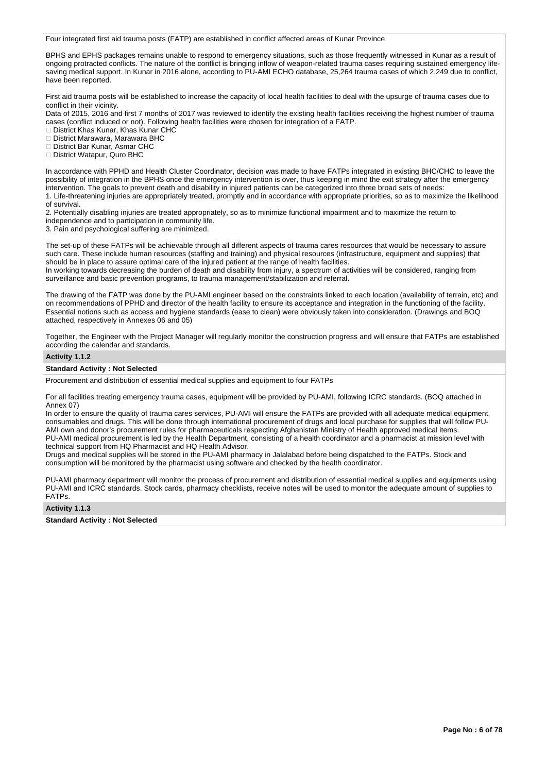Four integrated first aid trauma posts (FATP) are established in conflict affected areas of Kunar Province

BPHS and EPHS packages remains unable to respond to emergency situations, such as those frequently witnessed in Kunar as a result of ongoing protracted conflicts. The nature of the conflict is bringing inflow of weapon-related trauma cases requiring sustained emergency lifesaving medical support. In Kunar in 2016 alone, according to PU-AMI ECHO database, 25,264 trauma cases of which 2,249 due to conflict, have been reported.

First aid trauma posts will be established to increase the capacity of local health facilities to deal with the upsurge of trauma cases due to conflict in their vicinity.

Data of 2015, 2016 and first 7 months of 2017 was reviewed to identify the existing health facilities receiving the highest number of trauma cases (conflict induced or not). Following health facilities were chosen for integration of a FATP.

District Khas Kunar, Khas Kunar CHC

District Marawara, Marawara BHC

District Bar Kunar, Asmar CHC

□ District Watapur, Quro BHC

In accordance with PPHD and Health Cluster Coordinator, decision was made to have FATPs integrated in existing BHC/CHC to leave the possibility of integration in the BPHS once the emergency intervention is over, thus keeping in mind the exit strategy after the emergency intervention. The goals to prevent death and disability in injured patients can be categorized into three broad sets of needs: 1. Life-threatening injuries are appropriately treated, promptly and in accordance with appropriate priorities, so as to maximize the likelihood of survival.

2. Potentially disabling injuries are treated appropriately, so as to minimize functional impairment and to maximize the return to independence and to participation in community life.

3. Pain and psychological suffering are minimized.

The set-up of these FATPs will be achievable through all different aspects of trauma cares resources that would be necessary to assure such care. These include human resources (staffing and training) and physical resources (infrastructure, equipment and supplies) that should be in place to assure optimal care of the injured patient at the range of health facilities.

In working towards decreasing the burden of death and disability from injury, a spectrum of activities will be considered, ranging from surveillance and basic prevention programs, to trauma management/stabilization and referral.

The drawing of the FATP was done by the PU-AMI engineer based on the constraints linked to each location (availability of terrain, etc) and on recommendations of PPHD and director of the health facility to ensure its acceptance and integration in the functioning of the facility. Essential notions such as access and hygiene standards (ease to clean) were obviously taken into consideration. (Drawings and BOQ attached, respectively in Annexes 06 and 05)

Together, the Engineer with the Project Manager will regularly monitor the construction progress and will ensure that FATPs are established according the calendar and standards.

#### **Activity 1.1.2**

#### **Standard Activity : Not Selected**

Procurement and distribution of essential medical supplies and equipment to four FATPs

For all facilities treating emergency trauma cases, equipment will be provided by PU-AMI, following ICRC standards. (BOQ attached in Annex 07)

In order to ensure the quality of trauma cares services, PU-AMI will ensure the FATPs are provided with all adequate medical equipment, consumables and drugs. This will be done through international procurement of drugs and local purchase for supplies that will follow PU-AMI own and donor's procurement rules for pharmaceuticals respecting Afghanistan Ministry of Health approved medical items. PU-AMI medical procurement is led by the Health Department, consisting of a health coordinator and a pharmacist at mission level with technical support from HQ Pharmacist and HQ Health Advisor.

Drugs and medical supplies will be stored in the PU-AMI pharmacy in Jalalabad before being dispatched to the FATPs. Stock and consumption will be monitored by the pharmacist using software and checked by the health coordinator.

PU-AMI pharmacy department will monitor the process of procurement and distribution of essential medical supplies and equipments using PU-AMI and ICRC standards. Stock cards, pharmacy checklists, receive notes will be used to monitor the adequate amount of supplies to FATPs.

#### **Activity 1.1.3**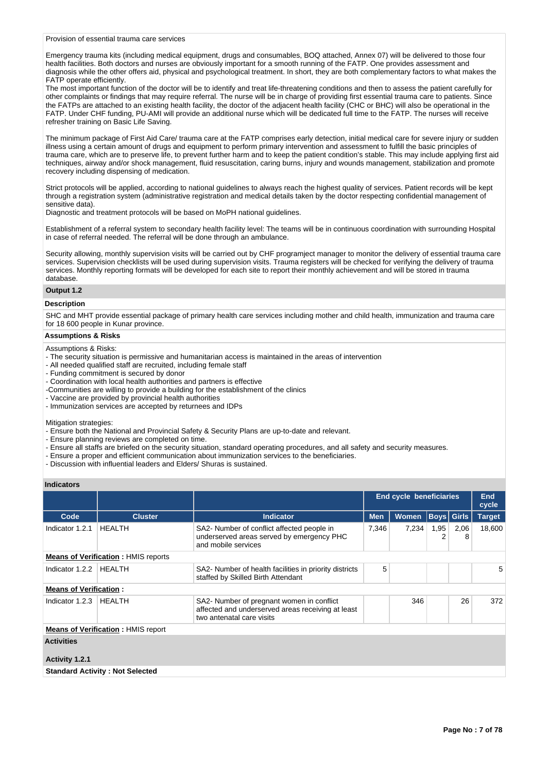#### Provision of essential trauma care services

Emergency trauma kits (including medical equipment, drugs and consumables, BOQ attached, Annex 07) will be delivered to those four health facilities. Both doctors and nurses are obviously important for a smooth running of the FATP. One provides assessment and diagnosis while the other offers aid, physical and psychological treatment. In short, they are both complementary factors to what makes the FATP operate efficiently.

The most important function of the doctor will be to identify and treat life-threatening conditions and then to assess the patient carefully for other complaints or findings that may require referral. The nurse will be in charge of providing first essential trauma care to patients. Since the FATPs are attached to an existing health facility, the doctor of the adjacent health facility (CHC or BHC) will also be operational in the FATP. Under CHF funding, PU-AMI will provide an additional nurse which will be dedicated full time to the FATP. The nurses will receive refresher training on Basic Life Saving.

The minimum package of First Aid Care/ trauma care at the FATP comprises early detection, initial medical care for severe injury or sudden illness using a certain amount of drugs and equipment to perform primary intervention and assessment to fulfill the basic principles of trauma care, which are to preserve life, to prevent further harm and to keep the patient condition's stable. This may include applying first aid techniques, airway and/or shock management, fluid resuscitation, caring burns, injury and wounds management, stabilization and promote recovery including dispensing of medication.

Strict protocols will be applied, according to national guidelines to always reach the highest quality of services. Patient records will be kept through a registration system (administrative registration and medical details taken by the doctor respecting confidential management of sensitive data).

Diagnostic and treatment protocols will be based on MoPH national guidelines.

Establishment of a referral system to secondary health facility level: The teams will be in continuous coordination with surrounding Hospital in case of referral needed. The referral will be done through an ambulance.

Security allowing, monthly supervision visits will be carried out by CHF programject manager to monitor the delivery of essential trauma care services. Supervision checklists will be used during supervision visits. Trauma registers will be checked for verifying the delivery of trauma services. Monthly reporting formats will be developed for each site to report their monthly achievement and will be stored in trauma database.

# **Output 1.2**

#### **Description**

SHC and MHT provide essential package of primary health care services including mother and child health, immunization and trauma care for 18 600 people in Kunar province.

### **Assumptions & Risks**

#### Assumptions & Risks:

- The security situation is permissive and humanitarian access is maintained in the areas of intervention
- All needed qualified staff are recruited, including female staff
- Funding commitment is secured by donor
- Coordination with local health authorities and partners is effective
- -Communities are willing to provide a building for the establishment of the clinics
- Vaccine are provided by provincial health authorities
- Immunization services are accepted by returnees and IDPs

Mitigation strategies:

- Ensure both the National and Provincial Safety & Security Plans are up-to-date and relevant.
- Ensure planning reviews are completed on time.
- Ensure all staffs are briefed on the security situation, standard operating procedures, and all safety and security measures.
- Ensure a proper and efficient communication about immunization services to the beneficiaries.
- Discussion with influential leaders and Elders/ Shuras is sustained.

#### **Indicators**

|                                            |                                           |                                                                                                                             | End cycle beneficiaries |              |             | End<br>cycle |               |
|--------------------------------------------|-------------------------------------------|-----------------------------------------------------------------------------------------------------------------------------|-------------------------|--------------|-------------|--------------|---------------|
| Code                                       | <b>Cluster</b>                            | <b>Indicator</b>                                                                                                            | <b>Men</b>              | <b>Women</b> | Boys  Girls |              | <b>Target</b> |
| Indicator 1.2.1                            | <b>HEALTH</b>                             | SA2- Number of conflict affected people in<br>underserved areas served by emergency PHC<br>and mobile services              | 7,346                   | 7.234        | 1,95<br>2   | 2,06<br>8    | 18,600        |
| <b>Means of Verification: HMIS reports</b> |                                           |                                                                                                                             |                         |              |             |              |               |
| Indicator 1.2.2                            | <b>HEALTH</b>                             | SA2- Number of health facilities in priority districts<br>staffed by Skilled Birth Attendant                                | 5                       |              |             |              | 5             |
| <b>Means of Verification:</b>              |                                           |                                                                                                                             |                         |              |             |              |               |
| Indicator 1.2.3                            | <b>HEALTH</b>                             | SA2- Number of pregnant women in conflict<br>affected and underserved areas receiving at least<br>two antenatal care visits |                         | 346          |             | 26           | 372           |
|                                            | <b>Means of Verification: HMIS report</b> |                                                                                                                             |                         |              |             |              |               |
| <b>Activities</b>                          |                                           |                                                                                                                             |                         |              |             |              |               |
| Activity 1.2.1                             |                                           |                                                                                                                             |                         |              |             |              |               |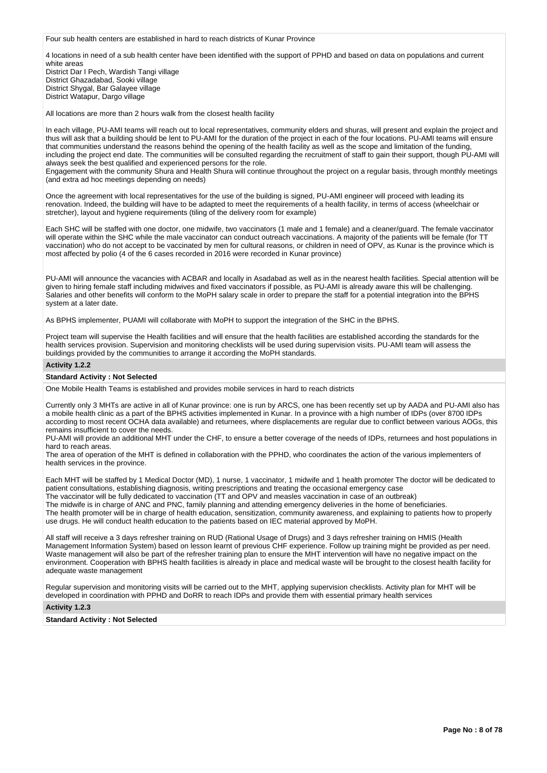Four sub health centers are established in hard to reach districts of Kunar Province

4 locations in need of a sub health center have been identified with the support of PPHD and based on data on populations and current white areas

District Dar I Pech, Wardish Tangi village District Ghazadabad, Sooki village District Shygal, Bar Galayee village District Watapur, Dargo village

All locations are more than 2 hours walk from the closest health facility

In each village, PU-AMI teams will reach out to local representatives, community elders and shuras, will present and explain the project and thus will ask that a building should be lent to PU-AMI for the duration of the project in each of the four locations. PU-AMI teams will ensure that communities understand the reasons behind the opening of the health facility as well as the scope and limitation of the funding, including the project end date. The communities will be consulted regarding the recruitment of staff to gain their support, though PU-AMI will always seek the best qualified and experienced persons for the role.

Engagement with the community Shura and Health Shura will continue throughout the project on a regular basis, through monthly meetings (and extra ad hoc meetings depending on needs)

Once the agreement with local representatives for the use of the building is signed, PU-AMI engineer will proceed with leading its renovation. Indeed, the building will have to be adapted to meet the requirements of a health facility, in terms of access (wheelchair or stretcher), layout and hygiene requirements (tiling of the delivery room for example)

Each SHC will be staffed with one doctor, one midwife, two vaccinators (1 male and 1 female) and a cleaner/guard. The female vaccinator will operate within the SHC while the male vaccinator can conduct outreach vaccinations. A majority of the patients will be female (for TT vaccination) who do not accept to be vaccinated by men for cultural reasons, or children in need of OPV, as Kunar is the province which is most affected by polio (4 of the 6 cases recorded in 2016 were recorded in Kunar province)

PU-AMI will announce the vacancies with ACBAR and locally in Asadabad as well as in the nearest health facilities. Special attention will be given to hiring female staff including midwives and fixed vaccinators if possible, as PU-AMI is already aware this will be challenging. Salaries and other benefits will conform to the MoPH salary scale in order to prepare the staff for a potential integration into the BPHS system at a later date.

As BPHS implementer, PUAMI will collaborate with MoPH to support the integration of the SHC in the BPHS.

Project team will supervise the Health facilities and will ensure that the health facilities are established according the standards for the health services provision. Supervision and monitoring checklists will be used during supervision visits. PU-AMI team will assess the buildings provided by the communities to arrange it according the MoPH standards.

#### **Activity 1.2.2**

### **Standard Activity : Not Selected**

One Mobile Health Teams is established and provides mobile services in hard to reach districts

Currently only 3 MHTs are active in all of Kunar province: one is run by ARCS, one has been recently set up by AADA and PU-AMI also has a mobile health clinic as a part of the BPHS activities implemented in Kunar. In a province with a high number of IDPs (over 8700 IDPs according to most recent OCHA data available) and returnees, where displacements are regular due to conflict between various AOGs, this remains insufficient to cover the needs.

PU-AMI will provide an additional MHT under the CHF, to ensure a better coverage of the needs of IDPs, returnees and host populations in hard to reach areas.

The area of operation of the MHT is defined in collaboration with the PPHD, who coordinates the action of the various implementers of health services in the province.

Each MHT will be staffed by 1 Medical Doctor (MD), 1 nurse, 1 vaccinator, 1 midwife and 1 health promoter The doctor will be dedicated to patient consultations, establishing diagnosis, writing prescriptions and treating the occasional emergency case

The vaccinator will be fully dedicated to vaccination (TT and OPV and measles vaccination in case of an outbreak) The midwife is in charge of ANC and PNC, family planning and attending emergency deliveries in the home of beneficiaries. The health promoter will be in charge of health education, sensitization, community awareness, and explaining to patients how to properly use drugs. He will conduct health education to the patients based on IEC material approved by MoPH.

All staff will receive a 3 days refresher training on RUD (Rational Usage of Drugs) and 3 days refresher training on HMIS (Health Management Information System) based on lesson learnt of previous CHF experience. Follow up training might be provided as per need. Waste management will also be part of the refresher training plan to ensure the MHT intervention will have no negative impact on the environment. Cooperation with BPHS health facilities is already in place and medical waste will be brought to the closest health facility for adequate waste management

Regular supervision and monitoring visits will be carried out to the MHT, applying supervision checklists. Activity plan for MHT will be developed in coordination with PPHD and DoRR to reach IDPs and provide them with essential primary health services

#### **Activity 1.2.3**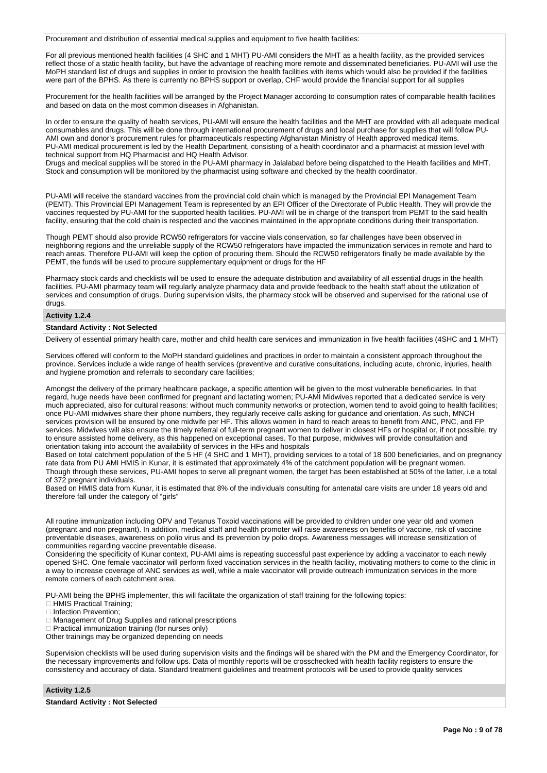Procurement and distribution of essential medical supplies and equipment to five health facilities:

For all previous mentioned health facilities (4 SHC and 1 MHT) PU-AMI considers the MHT as a health facility, as the provided services reflect those of a static health facility, but have the advantage of reaching more remote and disseminated beneficiaries. PU-AMI will use the MoPH standard list of drugs and supplies in order to provision the health facilities with items which would also be provided if the facilities were part of the BPHS. As there is currently no BPHS support or overlap, CHF would provide the financial support for all supplies

Procurement for the health facilities will be arranged by the Project Manager according to consumption rates of comparable health facilities and based on data on the most common diseases in Afghanistan.

In order to ensure the quality of health services, PU-AMI will ensure the health facilities and the MHT are provided with all adequate medical consumables and drugs. This will be done through international procurement of drugs and local purchase for supplies that will follow PU-AMI own and donor's procurement rules for pharmaceuticals respecting Afghanistan Ministry of Health approved medical items. PU-AMI medical procurement is led by the Health Department, consisting of a health coordinator and a pharmacist at mission level with technical support from HQ Pharmacist and HQ Health Advisor.

Drugs and medical supplies will be stored in the PU-AMI pharmacy in Jalalabad before being dispatched to the Health facilities and MHT. Stock and consumption will be monitored by the pharmacist using software and checked by the health coordinator.

PU-AMI will receive the standard vaccines from the provincial cold chain which is managed by the Provincial EPI Management Team (PEMT). This Provincial EPI Management Team is represented by an EPI Officer of the Directorate of Public Health. They will provide the vaccines requested by PU-AMI for the supported health facilities. PU-AMI will be in charge of the transport from PEMT to the said health facility, ensuring that the cold chain is respected and the vaccines maintained in the appropriate conditions during their transportation.

Though PEMT should also provide RCW50 refrigerators for vaccine vials conservation, so far challenges have been observed in neighboring regions and the unreliable supply of the RCW50 refrigerators have impacted the immunization services in remote and hard to reach areas. Therefore PU-AMI will keep the option of procuring them. Should the RCW50 refrigerators finally be made available by the PEMT, the funds will be used to procure supplementary equipment or drugs for the HF

Pharmacy stock cards and checklists will be used to ensure the adequate distribution and availability of all essential drugs in the health facilities. PU-AMI pharmacy team will regularly analyze pharmacy data and provide feedback to the health staff about the utilization of services and consumption of drugs. During supervision visits, the pharmacy stock will be observed and supervised for the rational use of drugs

### **Activity 1.2.4**

#### **Standard Activity : Not Selected**

Delivery of essential primary health care, mother and child health care services and immunization in five health facilities (4SHC and 1 MHT)

Services offered will conform to the MoPH standard guidelines and practices in order to maintain a consistent approach throughout the province. Services include a wide range of health services (preventive and curative consultations, including acute, chronic, injuries, health and hygiene promotion and referrals to secondary care facilities;

Amongst the delivery of the primary healthcare package, a specific attention will be given to the most vulnerable beneficiaries. In that regard, huge needs have been confirmed for pregnant and lactating women; PU-AMI Midwives reported that a dedicated service is very much appreciated, also for cultural reasons: without much community networks or protection, women tend to avoid going to health facilities; once PU-AMI midwives share their phone numbers, they regularly receive calls asking for guidance and orientation. As such, MNCH services provision will be ensured by one midwife per HF. This allows women in hard to reach areas to benefit from ANC, PNC, and FP services. Midwives will also ensure the timely referral of full-term pregnant women to deliver in closest HFs or hospital or, if not possible, try to ensure assisted home delivery, as this happened on exceptional cases. To that purpose, midwives will provide consultation and orientation taking into account the availability of services in the HFs and hospitals

Based on total catchment population of the 5 HF (4 SHC and 1 MHT), providing services to a total of 18 600 beneficiaries, and on pregnancy rate data from PU AMI HMIS in Kunar, it is estimated that approximately 4% of the catchment population will be pregnant women. Though through these services, PU-AMI hopes to serve all pregnant women, the target has been established at 50% of the latter, i.e a total of 372 pregnant individuals.

Based on HMIS data from Kunar, it is estimated that 8% of the individuals consulting for antenatal care visits are under 18 years old and therefore fall under the category of "girls"

All routine immunization including OPV and Tetanus Toxoid vaccinations will be provided to children under one year old and women (pregnant and non pregnant). In addition, medical staff and health promoter will raise awareness on benefits of vaccine, risk of vaccine preventable diseases, awareness on polio virus and its prevention by polio drops. Awareness messages will increase sensitization of communities regarding vaccine preventable disease.

Considering the specificity of Kunar context, PU-AMI aims is repeating successful past experience by adding a vaccinator to each newly opened SHC. One female vaccinator will perform fixed vaccination services in the health facility, motivating mothers to come to the clinic in a way to increase coverage of ANC services as well, while a male vaccinator will provide outreach immunization services in the more remote corners of each catchment area.

PU-AMI being the BPHS implementer, this will facilitate the organization of staff training for the following topics:

**HMIS Practical Training;** 

Infection Prevention;

Management of Drug Supplies and rational prescriptions

Practical immunization training (for nurses only)

Other trainings may be organized depending on needs

Supervision checklists will be used during supervision visits and the findings will be shared with the PM and the Emergency Coordinator, for the necessary improvements and follow ups. Data of monthly reports will be crosschecked with health facility registers to ensure the consistency and accuracy of data. Standard treatment guidelines and treatment protocols will be used to provide quality services

#### **Activity 1.2.5**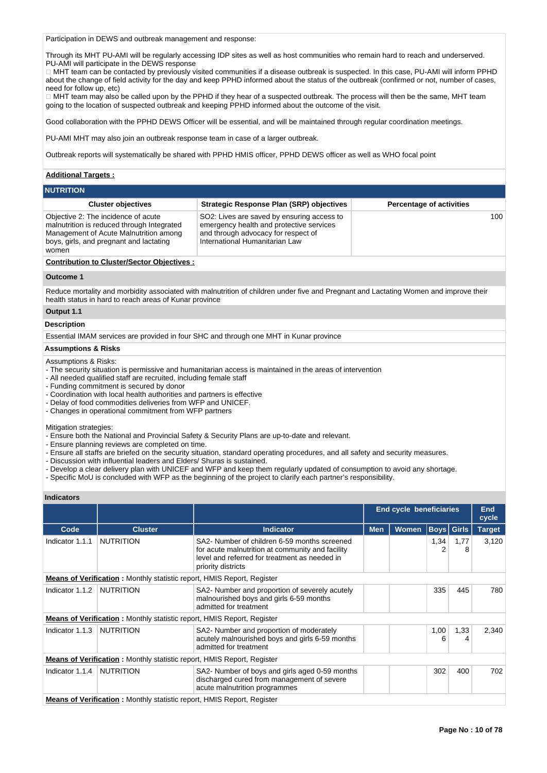Participation in DEWS and outbreak management and response:

Through its MHT PU-AMI will be regularly accessing IDP sites as well as host communities who remain hard to reach and underserved. PU-AMI will participate in the DEWS response

MHT team can be contacted by previously visited communities if a disease outbreak is suspected. In this case, PU-AMI will inform PPHD about the change of field activity for the day and keep PPHD informed about the status of the outbreak (confirmed or not, number of cases, need for follow up, etc)

□ MHT team may also be called upon by the PPHD if they hear of a suspected outbreak. The process will then be the same, MHT team going to the location of suspected outbreak and keeping PPHD informed about the outcome of the visit.

Good collaboration with the PPHD DEWS Officer will be essential, and will be maintained through regular coordination meetings.

PU-AMI MHT may also join an outbreak response team in case of a larger outbreak.

Outbreak reports will systematically be shared with PPHD HMIS officer, PPHD DEWS officer as well as WHO focal point

### **Additional Targets :**

| <b>NUTRITION</b> |  |  |  |
|------------------|--|--|--|
|                  |  |  |  |

| <b>Cluster objectives</b>                                                                                                                                                       | Strategic Response Plan (SRP) objectives                                                                                                                        | <b>Percentage of activities</b> |
|---------------------------------------------------------------------------------------------------------------------------------------------------------------------------------|-----------------------------------------------------------------------------------------------------------------------------------------------------------------|---------------------------------|
| Objective 2: The incidence of acute<br>malnutrition is reduced through Integrated<br>Management of Acute Malnutrition among<br>boys, girls, and pregnant and lactating<br>women | SO2: Lives are saved by ensuring access to<br>emergency health and protective services<br>and through advocacy for respect of<br>International Humanitarian Law | 100                             |
| <b>Contribution to Cluster/Sector Objectives:</b>                                                                                                                               |                                                                                                                                                                 |                                 |

### **Outcome 1**

Reduce mortality and morbidity associated with malnutrition of children under five and Pregnant and Lactating Women and improve their health status in hard to reach areas of Kunar province

### **Output 1.1**

#### **Description**

Essential IMAM services are provided in four SHC and through one MHT in Kunar province

### **Assumptions & Risks**

Assumptions & Risks:

- The security situation is permissive and humanitarian access is maintained in the areas of intervention
- All needed qualified staff are recruited, including female staff
- Funding commitment is secured by donor
- Coordination with local health authorities and partners is effective
- Delay of food commodities deliveries from WFP and UNICEF.
- Changes in operational commitment from WFP partners

Mitigation strategies:

- Ensure both the National and Provincial Safety & Security Plans are up-to-date and relevant.
- Ensure planning reviews are completed on time.
- Ensure all staffs are briefed on the security situation, standard operating procedures, and all safety and security measures.
- Discussion with influential leaders and Elders/ Shuras is sustained.
- Develop a clear delivery plan with UNICEF and WFP and keep them regularly updated of consumption to avoid any shortage.
- Specific MoU is concluded with WFP as the beginning of the project to clarify each partner's responsibility.

#### **Indicators**

|                                                                               |                                                                               |                                                                                                                                                                         |            | <b>End cycle beneficiaries</b> |                   | <b>End</b><br>cycle |               |
|-------------------------------------------------------------------------------|-------------------------------------------------------------------------------|-------------------------------------------------------------------------------------------------------------------------------------------------------------------------|------------|--------------------------------|-------------------|---------------------|---------------|
| Code                                                                          | <b>Cluster</b>                                                                | <b>Indicator</b>                                                                                                                                                        | <b>Men</b> | Women                          | <b>Boys</b> Girls |                     | <b>Target</b> |
| Indicator 1.1.1                                                               | <b>NUTRITION</b>                                                              | SA2- Number of children 6-59 months screened<br>for acute malnutrition at community and facility<br>level and referred for treatment as needed in<br>priority districts |            |                                | 1,34<br>2         | 1,77<br>8           | 3,120         |
| <b>Means of Verification:</b> Monthly statistic report, HMIS Report, Register |                                                                               |                                                                                                                                                                         |            |                                |                   |                     |               |
| Indicator 1.1.2                                                               | <b>NUTRITION</b>                                                              | SA2- Number and proportion of severely acutely<br>malnourished boys and girls 6-59 months<br>admitted for treatment                                                     |            |                                | 335               | 445                 | 780           |
|                                                                               | <b>Means of Verification:</b> Monthly statistic report, HMIS Report, Register |                                                                                                                                                                         |            |                                |                   |                     |               |
| Indicator 1.1.3                                                               | <b>NUTRITION</b>                                                              | SA2- Number and proportion of moderately<br>acutely malnourished boys and girls 6-59 months<br>admitted for treatment                                                   |            |                                | 1,00<br>6         | 1,33<br>4           | 2,340         |
|                                                                               | <b>Means of Verification:</b> Monthly statistic report, HMIS Report, Register |                                                                                                                                                                         |            |                                |                   |                     |               |
| Indicator 1.1.4                                                               | <b>NUTRITION</b>                                                              | SA2- Number of boys and girls aged 0-59 months<br>discharged cured from management of severe<br>acute malnutrition programmes                                           |            |                                | 302               | 400                 | 702           |
|                                                                               | <b>Means of Verification:</b> Monthly statistic report, HMIS Report, Register |                                                                                                                                                                         |            |                                |                   |                     |               |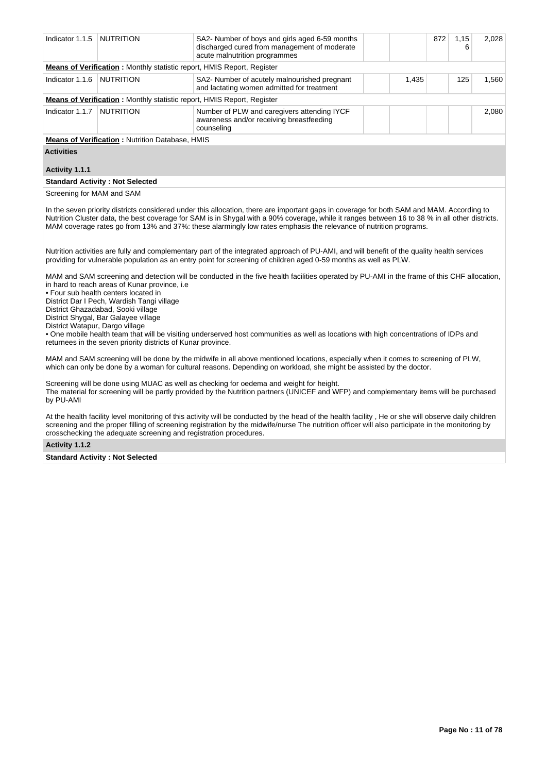| Indicator 1.1.5   | <b>NUTRITION</b>                                                              | SA2- Number of boys and girls aged 6-59 months<br>discharged cured from management of moderate<br>acute malnutrition programmes |       | 872 | 1,15<br>6 | 2.028 |
|-------------------|-------------------------------------------------------------------------------|---------------------------------------------------------------------------------------------------------------------------------|-------|-----|-----------|-------|
|                   | <b>Means of Verification:</b> Monthly statistic report, HMIS Report, Register |                                                                                                                                 |       |     |           |       |
| Indicator 1.1.6   | <b>NUTRITION</b>                                                              | SA2- Number of acutely malnourished pregnant<br>and lactating women admitted for treatment                                      | 1,435 |     | 125       | 1.560 |
|                   | <b>Means of Verification:</b> Monthly statistic report, HMIS Report, Register |                                                                                                                                 |       |     |           |       |
| Indicator 1.1.7   | <b>NUTRITION</b>                                                              | Number of PLW and caregivers attending IYCF<br>awareness and/or receiving breastfeeding<br>counseling                           |       |     |           | 2.080 |
|                   | <b>Means of Verification: Nutrition Database, HMIS</b>                        |                                                                                                                                 |       |     |           |       |
| <b>Activities</b> |                                                                               |                                                                                                                                 |       |     |           |       |

#### **Activity 1.1.1**

#### **Standard Activity : Not Selected**

Screening for MAM and SAM

In the seven priority districts considered under this allocation, there are important gaps in coverage for both SAM and MAM. According to Nutrition Cluster data, the best coverage for SAM is in Shygal with a 90% coverage, while it ranges between 16 to 38 % in all other districts. MAM coverage rates go from 13% and 37%: these alarmingly low rates emphasis the relevance of nutrition programs.

Nutrition activities are fully and complementary part of the integrated approach of PU-AMI, and will benefit of the quality health services providing for vulnerable population as an entry point for screening of children aged 0-59 months as well as PLW.

MAM and SAM screening and detection will be conducted in the five health facilities operated by PU-AMI in the frame of this CHF allocation, in hard to reach areas of Kunar province, i.e

• Four sub health centers located in

District Dar I Pech, Wardish Tangi village

District Ghazadabad, Sooki village

District Shygal, Bar Galayee village

District Watapur, Dargo village

• One mobile health team that will be visiting underserved host communities as well as locations with high concentrations of IDPs and returnees in the seven priority districts of Kunar province.

MAM and SAM screening will be done by the midwife in all above mentioned locations, especially when it comes to screening of PLW, which can only be done by a woman for cultural reasons. Depending on workload, she might be assisted by the doctor.

Screening will be done using MUAC as well as checking for oedema and weight for height. The material for screening will be partly provided by the Nutrition partners (UNICEF and WFP) and complementary items will be purchased by PU-AMI

At the health facility level monitoring of this activity will be conducted by the head of the health facility , He or she will observe daily children screening and the proper filling of screening registration by the midwife/nurse The nutrition officer will also participate in the monitoring by crosschecking the adequate screening and registration procedures.

#### **Activity 1.1.2**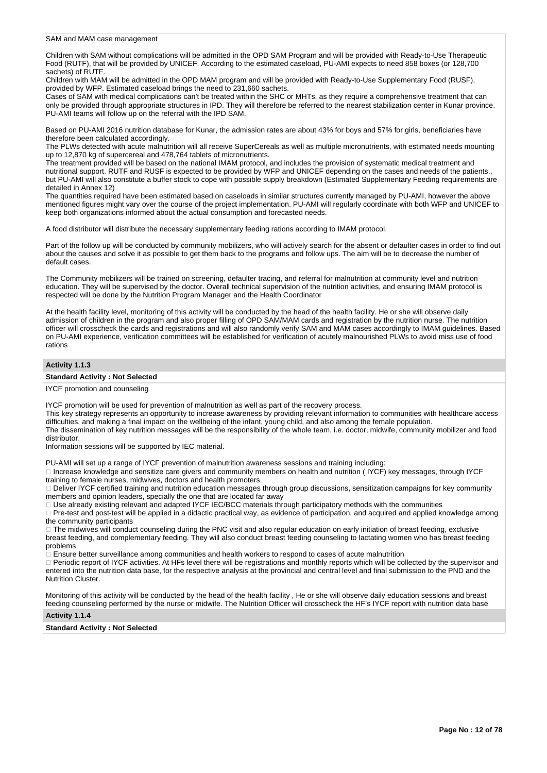SAM and MAM case management

Children with SAM without complications will be admitted in the OPD SAM Program and will be provided with Ready-to-Use Therapeutic Food (RUTF), that will be provided by UNICEF. According to the estimated caseload, PU-AMI expects to need 858 boxes (or 128,700 sachets) of RUTF.

Children with MAM will be admitted in the OPD MAM program and will be provided with Ready-to-Use Supplementary Food (RUSF), provided by WFP. Estimated caseload brings the need to 231,660 sachets.

Cases of SAM with medical complications can't be treated within the SHC or MHTs, as they require a comprehensive treatment that can only be provided through appropriate structures in IPD. They will therefore be referred to the nearest stabilization center in Kunar province. PU-AMI teams will follow up on the referral with the IPD SAM.

Based on PU-AMI 2016 nutrition database for Kunar, the admission rates are about 43% for boys and 57% for girls, beneficiaries have therefore been calculated accordingly.

The PLWs detected with acute malnutrition will all receive SuperCereals as well as multiple micronutrients, with estimated needs mounting up to 12,870 kg of supercereal and 478,764 tablets of micronutrients.

The treatment provided will be based on the national IMAM protocol, and includes the provision of systematic medical treatment and nutritional support. RUTF and RUSF is expected to be provided by WFP and UNICEF depending on the cases and needs of the patients., but PU-AMI will also constitute a buffer stock to cope with possible supply breakdown (Estimated Supplementary Feeding requirements are detailed in Annex 12)

The quantities required have been estimated based on caseloads in similar structures currently managed by PU-AMI, however the above mentioned figures might vary over the course of the project implementation. PU-AMI will regularly coordinate with both WFP and UNICEF to keep both organizations informed about the actual consumption and forecasted needs.

A food distributor will distribute the necessary supplementary feeding rations according to IMAM protocol.

Part of the follow up will be conducted by community mobilizers, who will actively search for the absent or defaulter cases in order to find out about the causes and solve it as possible to get them back to the programs and follow ups. The aim will be to decrease the number of default cases.

The Community mobilizers will be trained on screening, defaulter tracing, and referral for malnutrition at community level and nutrition education. They will be supervised by the doctor. Overall technical supervision of the nutrition activities, and ensuring IMAM protocol is respected will be done by the Nutrition Program Manager and the Health Coordinator

At the health facility level, monitoring of this activity will be conducted by the head of the health facility. He or she will observe daily admission of children in the program and also proper filling of OPD SAM/MAM cards and registration by the nutrition nurse. The nutrition officer will crosscheck the cards and registrations and will also randomly verify SAM and MAM cases accordingly to IMAM guidelines. Based on PU-AMI experience, verification committees will be established for verification of acutely malnourished PLWs to avoid miss use of food rations

#### **Activity 1.1.3**

#### **Standard Activity : Not Selected**

IYCF promotion and counseling

IYCF promotion will be used for prevention of malnutrition as well as part of the recovery process.

This key strategy represents an opportunity to increase awareness by providing relevant information to communities with healthcare access difficulties, and making a final impact on the wellbeing of the infant, young child, and also among the female population.

The dissemination of key nutrition messages will be the responsibility of the whole team, i.e. doctor, midwife, community mobilizer and food distributor.

Information sessions will be supported by IEC material.

PU-AMI will set up a range of IYCF prevention of malnutrition awareness sessions and training including:

□ Increase knowledge and sensitize care givers and community members on health and nutrition (IYCF) key messages, through IYCF training to female nurses, midwives, doctors and health promoters

Deliver IYCF certified training and nutrition education messages through group discussions, sensitization campaigns for key community members and opinion leaders, specially the one that are located far away

Use already existing relevant and adapted IYCF IEC/BCC materials through participatory methods with the communities

Pre-test and post-test will be applied in a didactic practical way, as evidence of participation, and acquired and applied knowledge among the community participants

□ The midwives will conduct counseling during the PNC visit and also regular education on early initiation of breast feeding, exclusive breast feeding, and complementary feeding. They will also conduct breast feeding counseling to lactating women who has breast feeding problems

Ensure better surveillance among communities and health workers to respond to cases of acute malnutrition

Periodic report of IYCF activities. At HFs level there will be registrations and monthly reports which will be collected by the supervisor and entered into the nutrition data base, for the respective analysis at the provincial and central level and final submission to the PND and the Nutrition Cluster.

Monitoring of this activity will be conducted by the head of the health facility , He or she will observe daily education sessions and breast feeding counseling performed by the nurse or midwife. The Nutrition Officer will crosscheck the HF's IYCF report with nutrition data base

### **Activity 1.1.4**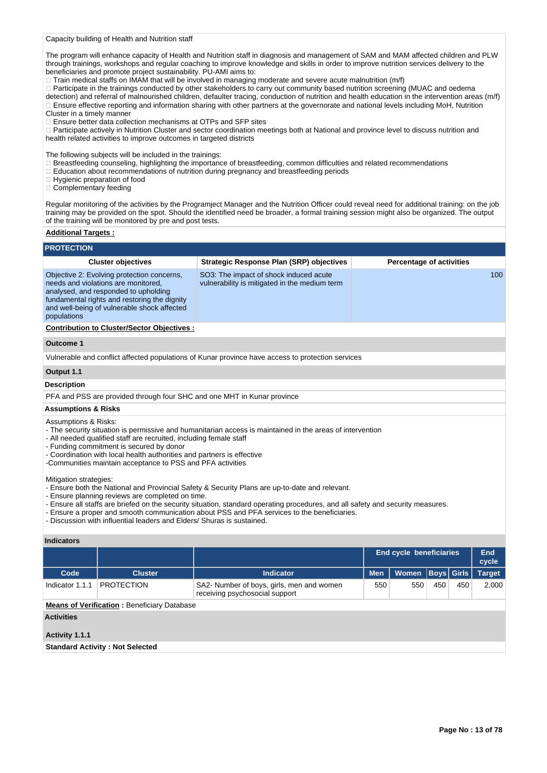Capacity building of Health and Nutrition staff

The program will enhance capacity of Health and Nutrition staff in diagnosis and management of SAM and MAM affected children and PLW through trainings, workshops and regular coaching to improve knowledge and skills in order to improve nutrition services delivery to the beneficiaries and promote project sustainability. PU-AMI aims to:

 $\Box$  Train medical staffs on IMAM that will be involved in managing moderate and severe acute malnutrition (m/f)

Participate in the trainings conducted by other stakeholders to carry out community based nutrition screening (MUAC and oedema detection) and referral of malnourished children, defaulter tracing, conduction of nutrition and health education in the intervention areas (m/f) Ensure effective reporting and information sharing with other partners at the governorate and national levels including MoH, Nutrition Cluster in a timely manner

□ Ensure better data collection mechanisms at OTPs and SFP sites

Participate actively in Nutrition Cluster and sector coordination meetings both at National and province level to discuss nutrition and health related activities to improve outcomes in targeted districts

The following subjects will be included in the trainings:

Breastfeeding counseling, highlighting the importance of breastfeeding, common difficulties and related recommendations

Education about recommendations of nutrition during pregnancy and breastfeeding periods

□ Hygienic preparation of food

Complementary feeding

Regular monitoring of the activities by the Programject Manager and the Nutrition Officer could reveal need for additional training: on the job training may be provided on the spot. Should the identified need be broader, a formal training session might also be organized. The output of the training will be monitored by pre and post tests.

### **Additional Targets :**

| <b>PROTECTION</b>                              |                                                                                                                                                                                                                                                                                                            |                                                                                                                                                                                                                                                                                                                                                                                                                                               |            |                                 |             |              |                     |
|------------------------------------------------|------------------------------------------------------------------------------------------------------------------------------------------------------------------------------------------------------------------------------------------------------------------------------------------------------------|-----------------------------------------------------------------------------------------------------------------------------------------------------------------------------------------------------------------------------------------------------------------------------------------------------------------------------------------------------------------------------------------------------------------------------------------------|------------|---------------------------------|-------------|--------------|---------------------|
|                                                | <b>Cluster objectives</b>                                                                                                                                                                                                                                                                                  | <b>Strategic Response Plan (SRP) objectives</b>                                                                                                                                                                                                                                                                                                                                                                                               |            | <b>Percentage of activities</b> |             |              |                     |
| populations                                    | Objective 2: Evolving protection concerns,<br>needs and violations are monitored.<br>analysed, and responded to upholding<br>fundamental rights and restoring the dignity<br>and well-being of vulnerable shock affected                                                                                   | SO3: The impact of shock induced acute<br>vulnerability is mitigated in the medium term                                                                                                                                                                                                                                                                                                                                                       |            |                                 |             |              | 100                 |
|                                                | <b>Contribution to Cluster/Sector Objectives:</b>                                                                                                                                                                                                                                                          |                                                                                                                                                                                                                                                                                                                                                                                                                                               |            |                                 |             |              |                     |
| <b>Outcome 1</b>                               |                                                                                                                                                                                                                                                                                                            |                                                                                                                                                                                                                                                                                                                                                                                                                                               |            |                                 |             |              |                     |
|                                                |                                                                                                                                                                                                                                                                                                            | Vulnerable and conflict affected populations of Kunar province have access to protection services                                                                                                                                                                                                                                                                                                                                             |            |                                 |             |              |                     |
| Output 1.1                                     |                                                                                                                                                                                                                                                                                                            |                                                                                                                                                                                                                                                                                                                                                                                                                                               |            |                                 |             |              |                     |
| <b>Description</b>                             |                                                                                                                                                                                                                                                                                                            |                                                                                                                                                                                                                                                                                                                                                                                                                                               |            |                                 |             |              |                     |
|                                                |                                                                                                                                                                                                                                                                                                            | PFA and PSS are provided through four SHC and one MHT in Kunar province                                                                                                                                                                                                                                                                                                                                                                       |            |                                 |             |              |                     |
| <b>Assumptions &amp; Risks</b>                 |                                                                                                                                                                                                                                                                                                            |                                                                                                                                                                                                                                                                                                                                                                                                                                               |            |                                 |             |              |                     |
| Assumptions & Risks:<br>Mitigation strategies: | - All needed qualified staff are recruited, including female staff<br>- Funding commitment is secured by donor<br>- Coordination with local health authorities and partners is effective<br>-Communities maintain acceptance to PSS and PFA activities<br>- Ensure planning reviews are completed on time. | - The security situation is permissive and humanitarian access is maintained in the areas of intervention<br>- Ensure both the National and Provincial Safety & Security Plans are up-to-date and relevant.<br>- Ensure all staffs are briefed on the security situation, standard operating procedures, and all safety and security measures.<br>- Ensure a proper and smooth communication about PSS and PFA services to the beneficiaries. |            |                                 |             |              |                     |
|                                                | - Discussion with influential leaders and Elders/ Shuras is sustained.                                                                                                                                                                                                                                     |                                                                                                                                                                                                                                                                                                                                                                                                                                               |            |                                 |             |              |                     |
| <b>Indicators</b>                              |                                                                                                                                                                                                                                                                                                            |                                                                                                                                                                                                                                                                                                                                                                                                                                               |            |                                 |             |              |                     |
|                                                |                                                                                                                                                                                                                                                                                                            |                                                                                                                                                                                                                                                                                                                                                                                                                                               |            | <b>End cycle beneficiaries</b>  |             |              | <b>End</b><br>cycle |
| Code                                           | <b>Cluster</b>                                                                                                                                                                                                                                                                                             | <b>Indicator</b>                                                                                                                                                                                                                                                                                                                                                                                                                              | <b>Men</b> | Women                           | <b>Boys</b> | <b>Girls</b> | <b>Target</b>       |
| Indicator 1.1.1                                | <b>PROTECTION</b>                                                                                                                                                                                                                                                                                          | SA2- Number of boys, girls, men and women<br>receiving psychosocial support                                                                                                                                                                                                                                                                                                                                                                   | 550        | 550                             | 450         | 450          | 2,000               |
|                                                | <b>Means of Verification: Beneficiary Database</b>                                                                                                                                                                                                                                                         |                                                                                                                                                                                                                                                                                                                                                                                                                                               |            |                                 |             |              |                     |
| <b>Activities</b>                              |                                                                                                                                                                                                                                                                                                            |                                                                                                                                                                                                                                                                                                                                                                                                                                               |            |                                 |             |              |                     |

# **Activity 1.1.1**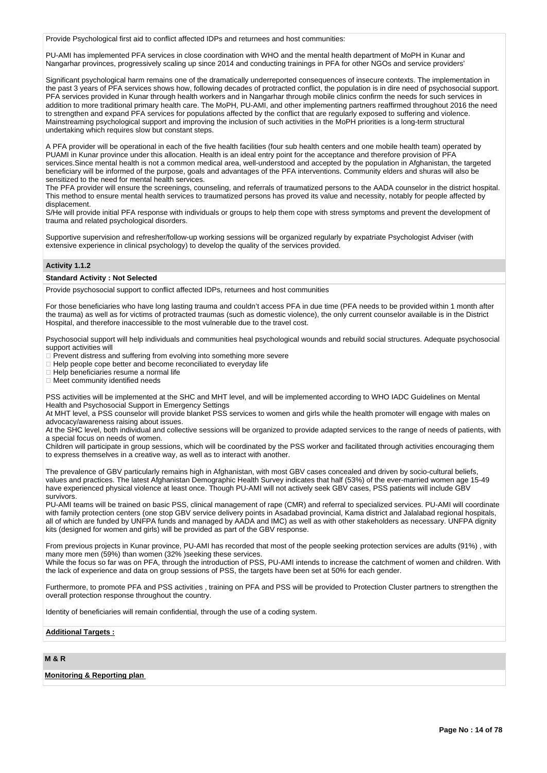Provide Psychological first aid to conflict affected IDPs and returnees and host communities:

PU-AMI has implemented PFA services in close coordination with WHO and the mental health department of MoPH in Kunar and Nangarhar provinces, progressively scaling up since 2014 and conducting trainings in PFA for other NGOs and service providers'

Significant psychological harm remains one of the dramatically underreported consequences of insecure contexts. The implementation in the past 3 years of PFA services shows how, following decades of protracted conflict, the population is in dire need of psychosocial support. PFA services provided in Kunar through health workers and in Nangarhar through mobile clinics confirm the needs for such services in addition to more traditional primary health care. The MoPH, PU-AMI, and other implementing partners reaffirmed throughout 2016 the need to strengthen and expand PFA services for populations affected by the conflict that are regularly exposed to suffering and violence. Mainstreaming psychological support and improving the inclusion of such activities in the MoPH priorities is a long-term structural undertaking which requires slow but constant steps.

A PFA provider will be operational in each of the five health facilities (four sub health centers and one mobile health team) operated by PUAMI in Kunar province under this allocation. Health is an ideal entry point for the acceptance and therefore provision of PFA services.Since mental health is not a common medical area, well-understood and accepted by the population in Afghanistan, the targeted beneficiary will be informed of the purpose, goals and advantages of the PFA interventions. Community elders and shuras will also be sensitized to the need for mental health services.

The PFA provider will ensure the screenings, counseling, and referrals of traumatized persons to the AADA counselor in the district hospital. This method to ensure mental health services to traumatized persons has proved its value and necessity, notably for people affected by displacement.

S/He will provide initial PFA response with individuals or groups to help them cope with stress symptoms and prevent the development of trauma and related psychological disorders.

Supportive supervision and refresher/follow-up working sessions will be organized regularly by expatriate Psychologist Adviser (with extensive experience in clinical psychology) to develop the quality of the services provided.

### **Activity 1.1.2**

### **Standard Activity : Not Selected**

Provide psychosocial support to conflict affected IDPs, returnees and host communities

For those beneficiaries who have long lasting trauma and couldn't access PFA in due time (PFA needs to be provided within 1 month after the trauma) as well as for victims of protracted traumas (such as domestic violence), the only current counselor available is in the District Hospital, and therefore inaccessible to the most vulnerable due to the travel cost.

Psychosocial support will help individuals and communities heal psychological wounds and rebuild social structures. Adequate psychosocial support activities will

Prevent distress and suffering from evolving into something more severe

Help people cope better and become reconciliated to everyday life

 $\Box$  Help beneficiaries resume a normal life

□ Meet community identified needs

PSS activities will be implemented at the SHC and MHT level, and will be implemented according to WHO IADC Guidelines on Mental Health and Psychosocial Support in Emergency Settings

At MHT level, a PSS counselor will provide blanket PSS services to women and girls while the health promoter will engage with males on advocacy/awareness raising about issues.

At the SHC level, both individual and collective sessions will be organized to provide adapted services to the range of needs of patients, with a special focus on needs of women.

Children will participate in group sessions, which will be coordinated by the PSS worker and facilitated through activities encouraging them to express themselves in a creative way, as well as to interact with another.

The prevalence of GBV particularly remains high in Afghanistan, with most GBV cases concealed and driven by socio-cultural beliefs, values and practices. The latest Afghanistan Demographic Health Survey indicates that half (53%) of the ever-married women age 15-49 have experienced physical violence at least once. Though PU-AMI will not actively seek GBV cases, PSS patients will include GBV survivors.

PU-AMI teams will be trained on basic PSS, clinical management of rape (CMR) and referral to specialized services. PU-AMI will coordinate with family protection centers (one stop GBV service delivery points in Asadabad provincial, Kama district and Jalalabad regional hospitals, all of which are funded by UNFPA funds and managed by AADA and IMC) as well as with other stakeholders as necessary. UNFPA dignity kits (designed for women and girls) will be provided as part of the GBV response.

From previous projects in Kunar province, PU-AMI has recorded that most of the people seeking protection services are adults (91%) , with many more men (59%) than women (32% )seeking these services.

While the focus so far was on PFA, through the introduction of PSS, PU-AMI intends to increase the catchment of women and children. With the lack of experience and data on group sessions of PSS, the targets have been set at 50% for each gender.

Furthermore, to promote PFA and PSS activities , training on PFA and PSS will be provided to Protection Cluster partners to strengthen the overall protection response throughout the country.

Identity of beneficiaries will remain confidential, through the use of a coding system.

**Additional Targets :**

### **M & R**

#### **Monitoring & Reporting plan**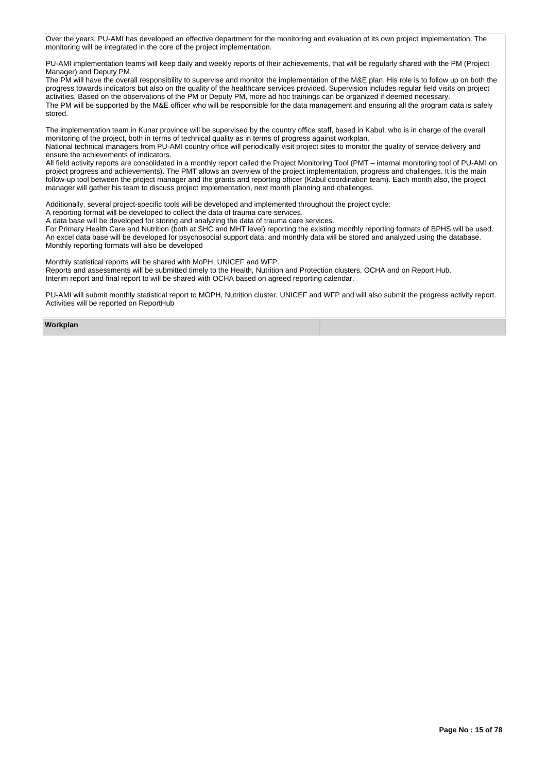Over the years, PU-AMI has developed an effective department for the monitoring and evaluation of its own project implementation. The monitoring will be integrated in the core of the project implementation.

PU-AMI implementation teams will keep daily and weekly reports of their achievements, that will be regularly shared with the PM (Project Manager) and Deputy PM.

The PM will have the overall responsibility to supervise and monitor the implementation of the M&E plan. His role is to follow up on both the progress towards indicators but also on the quality of the healthcare services provided. Supervision includes regular field visits on project activities. Based on the observations of the PM or Deputy PM, more ad hoc trainings can be organized if deemed necessary. The PM will be supported by the M&E officer who will be responsible for the data management and ensuring all the program data is safely stored.

The implementation team in Kunar province will be supervised by the country office staff, based in Kabul, who is in charge of the overall monitoring of the project, both in terms of technical quality as in terms of progress against workplan.

National technical managers from PU-AMI country office will periodically visit project sites to monitor the quality of service delivery and ensure the achievements of indicators.

All field activity reports are consolidated in a monthly report called the Project Monitoring Tool (PMT – internal monitoring tool of PU-AMI on project progress and achievements). The PMT allows an overview of the project implementation, progress and challenges. It is the main follow-up tool between the project manager and the grants and reporting officer (Kabul coordination team). Each month also, the project manager will gather his team to discuss project implementation, next month planning and challenges.

Additionally, several project-specific tools will be developed and implemented throughout the project cycle:

A reporting format will be developed to collect the data of trauma care services.

A data base will be developed for storing and analyzing the data of trauma care services.

For Primary Health Care and Nutrition (both at SHC and MHT level) reporting the existing monthly reporting formats of BPHS will be used. An excel data base will be developed for psychosocial support data, and monthly data will be stored and analyzed using the database. Monthly reporting formats will also be developed

Monthly statistical reports will be shared with MoPH, UNICEF and WFP.

Reports and assessments will be submitted timely to the Health, Nutrition and Protection clusters, OCHA and on Report Hub. Interim report and final report to will be shared with OCHA based on agreed reporting calendar.

PU-AMI will submit monthly statistical report to MOPH, Nutrition cluster, UNICEF and WFP and will also submit the progress activity report. Activities will be reported on ReportHub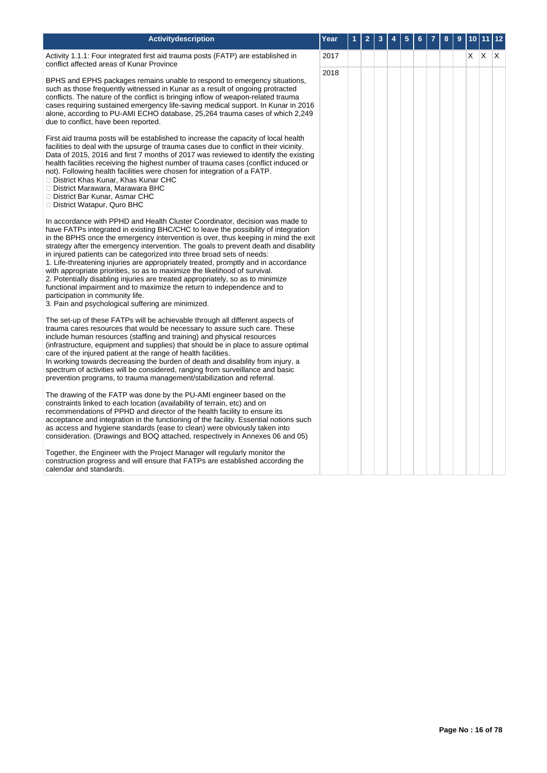| <b>Activitydescription</b>                                                                                                                                                                                                                                                                                                                                                                                                                                                                                                                                                                                                                                                                                                                                                                                                                           | Year | 1 | $\overline{2}$ | 3 | 4 | 5 | 6 | 7 | 8 | 9 | 10 <sub>1</sub> |         | 11 12 |
|------------------------------------------------------------------------------------------------------------------------------------------------------------------------------------------------------------------------------------------------------------------------------------------------------------------------------------------------------------------------------------------------------------------------------------------------------------------------------------------------------------------------------------------------------------------------------------------------------------------------------------------------------------------------------------------------------------------------------------------------------------------------------------------------------------------------------------------------------|------|---|----------------|---|---|---|---|---|---|---|-----------------|---------|-------|
| Activity 1.1.1: Four integrated first aid trauma posts (FATP) are established in<br>conflict affected areas of Kunar Province                                                                                                                                                                                                                                                                                                                                                                                                                                                                                                                                                                                                                                                                                                                        | 2017 |   |                |   |   |   |   |   |   |   | X.              | $X$ $X$ |       |
| BPHS and EPHS packages remains unable to respond to emergency situations,<br>such as those frequently witnessed in Kunar as a result of ongoing protracted<br>conflicts. The nature of the conflict is bringing inflow of weapon-related trauma<br>cases requiring sustained emergency life-saving medical support. In Kunar in 2016<br>alone, according to PU-AMI ECHO database, 25,264 trauma cases of which 2,249<br>due to conflict, have been reported.                                                                                                                                                                                                                                                                                                                                                                                         | 2018 |   |                |   |   |   |   |   |   |   |                 |         |       |
| First aid trauma posts will be established to increase the capacity of local health<br>facilities to deal with the upsurge of trauma cases due to conflict in their vicinity.<br>Data of 2015, 2016 and first 7 months of 2017 was reviewed to identify the existing<br>health facilities receiving the highest number of trauma cases (conflict induced or<br>not). Following health facilities were chosen for integration of a FATP.<br>□ District Khas Kunar, Khas Kunar CHC<br>□ District Marawara, Marawara BHC<br>□ District Bar Kunar, Asmar CHC<br>□ District Watapur, Quro BHC                                                                                                                                                                                                                                                             |      |   |                |   |   |   |   |   |   |   |                 |         |       |
| In accordance with PPHD and Health Cluster Coordinator, decision was made to<br>have FATPs integrated in existing BHC/CHC to leave the possibility of integration<br>in the BPHS once the emergency intervention is over, thus keeping in mind the exit<br>strategy after the emergency intervention. The goals to prevent death and disability<br>in injured patients can be categorized into three broad sets of needs:<br>1. Life-threatening injuries are appropriately treated, promptly and in accordance<br>with appropriate priorities, so as to maximize the likelihood of survival.<br>2. Potentially disabling injuries are treated appropriately, so as to minimize<br>functional impairment and to maximize the return to independence and to<br>participation in community life.<br>3. Pain and psychological suffering are minimized. |      |   |                |   |   |   |   |   |   |   |                 |         |       |
| The set-up of these FATPs will be achievable through all different aspects of<br>trauma cares resources that would be necessary to assure such care. These<br>include human resources (staffing and training) and physical resources<br>(infrastructure, equipment and supplies) that should be in place to assure optimal<br>care of the injured patient at the range of health facilities.<br>In working towards decreasing the burden of death and disability from injury, a<br>spectrum of activities will be considered, ranging from surveillance and basic<br>prevention programs, to trauma management/stabilization and referral.                                                                                                                                                                                                           |      |   |                |   |   |   |   |   |   |   |                 |         |       |
| The drawing of the FATP was done by the PU-AMI engineer based on the<br>constraints linked to each location (availability of terrain, etc) and on<br>recommendations of PPHD and director of the health facility to ensure its<br>acceptance and integration in the functioning of the facility. Essential notions such<br>as access and hygiene standards (ease to clean) were obviously taken into<br>consideration. (Drawings and BOQ attached, respectively in Annexes 06 and 05)                                                                                                                                                                                                                                                                                                                                                                |      |   |                |   |   |   |   |   |   |   |                 |         |       |
| Together, the Engineer with the Project Manager will regularly monitor the<br>construction progress and will ensure that FATPs are established according the<br>calendar and standards.                                                                                                                                                                                                                                                                                                                                                                                                                                                                                                                                                                                                                                                              |      |   |                |   |   |   |   |   |   |   |                 |         |       |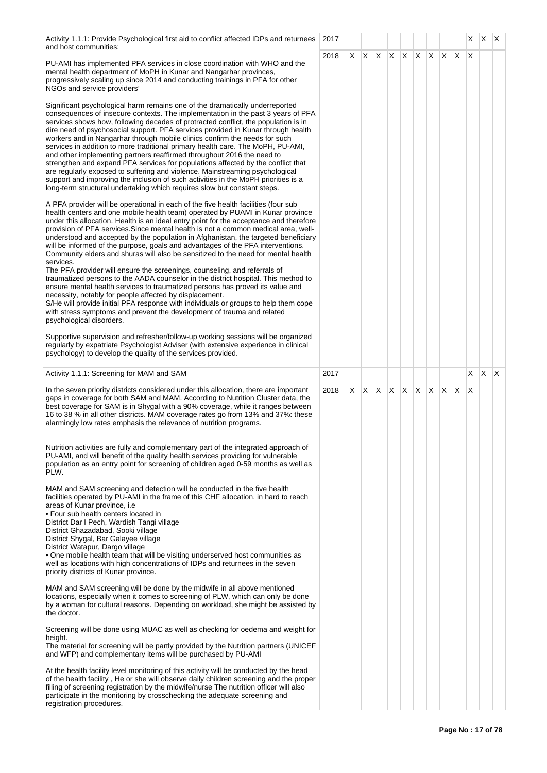| Activity 1.1.1: Provide Psychological first aid to conflict affected IDPs and returnees<br>and host communities:                                                                                                                                                                                                                                                                                                                                                                                                                                                                                                                                                                                                                                                                                                                                                                                                                                                                                                                                                                                                                            | 2017 |    |    |                          |  |    |              |     |     | X        | X | $\mathsf{I} \mathsf{X}$ |
|---------------------------------------------------------------------------------------------------------------------------------------------------------------------------------------------------------------------------------------------------------------------------------------------------------------------------------------------------------------------------------------------------------------------------------------------------------------------------------------------------------------------------------------------------------------------------------------------------------------------------------------------------------------------------------------------------------------------------------------------------------------------------------------------------------------------------------------------------------------------------------------------------------------------------------------------------------------------------------------------------------------------------------------------------------------------------------------------------------------------------------------------|------|----|----|--------------------------|--|----|--------------|-----|-----|----------|---|-------------------------|
| PU-AMI has implemented PFA services in close coordination with WHO and the<br>mental health department of MoPH in Kunar and Nangarhar provinces,<br>progressively scaling up since 2014 and conducting trainings in PFA for other<br>NGOs and service providers'                                                                                                                                                                                                                                                                                                                                                                                                                                                                                                                                                                                                                                                                                                                                                                                                                                                                            | 2018 | X. | X. | $X \mid X \mid X \mid X$ |  |    | $\mathsf{X}$ | X.  | ΙX. | $\times$ |   |                         |
| Significant psychological harm remains one of the dramatically underreported<br>consequences of insecure contexts. The implementation in the past 3 years of PFA<br>services shows how, following decades of protracted conflict, the population is in<br>dire need of psychosocial support. PFA services provided in Kunar through health<br>workers and in Nangarhar through mobile clinics confirm the needs for such<br>services in addition to more traditional primary health care. The MoPH, PU-AMI,<br>and other implementing partners reaffirmed throughout 2016 the need to<br>strengthen and expand PFA services for populations affected by the conflict that<br>are regularly exposed to suffering and violence. Mainstreaming psychological<br>support and improving the inclusion of such activities in the MoPH priorities is a<br>long-term structural undertaking which requires slow but constant steps.                                                                                                                                                                                                                 |      |    |    |                          |  |    |              |     |     |          |   |                         |
| A PFA provider will be operational in each of the five health facilities (four sub<br>health centers and one mobile health team) operated by PUAMI in Kunar province<br>under this allocation. Health is an ideal entry point for the acceptance and therefore<br>provision of PFA services. Since mental health is not a common medical area, well-<br>understood and accepted by the population in Afghanistan, the targeted beneficiary<br>will be informed of the purpose, goals and advantages of the PFA interventions.<br>Community elders and shuras will also be sensitized to the need for mental health<br>services.<br>The PFA provider will ensure the screenings, counseling, and referrals of<br>traumatized persons to the AADA counselor in the district hospital. This method to<br>ensure mental health services to traumatized persons has proved its value and<br>necessity, notably for people affected by displacement.<br>S/He will provide initial PFA response with individuals or groups to help them cope<br>with stress symptoms and prevent the development of trauma and related<br>psychological disorders. |      |    |    |                          |  |    |              |     |     |          |   |                         |
| Supportive supervision and refresher/follow-up working sessions will be organized<br>regularly by expatriate Psychologist Adviser (with extensive experience in clinical<br>psychology) to develop the quality of the services provided.                                                                                                                                                                                                                                                                                                                                                                                                                                                                                                                                                                                                                                                                                                                                                                                                                                                                                                    |      |    |    |                          |  |    |              |     |     |          |   |                         |
| Activity 1.1.1: Screening for MAM and SAM                                                                                                                                                                                                                                                                                                                                                                                                                                                                                                                                                                                                                                                                                                                                                                                                                                                                                                                                                                                                                                                                                                   | 2017 |    |    |                          |  |    |              |     |     | X        | X | $\mathsf{X}$            |
| In the seven priority districts considered under this allocation, there are important<br>gaps in coverage for both SAM and MAM. According to Nutrition Cluster data, the<br>best coverage for SAM is in Shygal with a 90% coverage, while it ranges between<br>16 to 38 % in all other districts. MAM coverage rates go from 13% and 37%: these<br>alarmingly low rates emphasis the relevance of nutrition programs.                                                                                                                                                                                                                                                                                                                                                                                                                                                                                                                                                                                                                                                                                                                       | 2018 | X. | X. | $X \times X$             |  | X. | ΙX.          | ΙX. | ΙX. | X        |   |                         |
| Nutrition activities are fully and complementary part of the integrated approach of<br>PU-AMI, and will benefit of the quality health services providing for vulnerable<br>population as an entry point for screening of children aged 0-59 months as well as<br>PLW.                                                                                                                                                                                                                                                                                                                                                                                                                                                                                                                                                                                                                                                                                                                                                                                                                                                                       |      |    |    |                          |  |    |              |     |     |          |   |                         |
| MAM and SAM screening and detection will be conducted in the five health<br>facilities operated by PU-AMI in the frame of this CHF allocation, in hard to reach<br>areas of Kunar province, i.e<br>• Four sub health centers located in<br>District Dar I Pech, Wardish Tangi village<br>District Ghazadabad, Sooki village<br>District Shygal, Bar Galayee village<br>District Watapur, Dargo village<br>. One mobile health team that will be visiting underserved host communities as<br>well as locations with high concentrations of IDPs and returnees in the seven<br>priority districts of Kunar province.                                                                                                                                                                                                                                                                                                                                                                                                                                                                                                                          |      |    |    |                          |  |    |              |     |     |          |   |                         |
| MAM and SAM screening will be done by the midwife in all above mentioned<br>locations, especially when it comes to screening of PLW, which can only be done<br>by a woman for cultural reasons. Depending on workload, she might be assisted by<br>the doctor.                                                                                                                                                                                                                                                                                                                                                                                                                                                                                                                                                                                                                                                                                                                                                                                                                                                                              |      |    |    |                          |  |    |              |     |     |          |   |                         |
| Screening will be done using MUAC as well as checking for oedema and weight for<br>height.<br>The material for screening will be partly provided by the Nutrition partners (UNICEF<br>and WFP) and complementary items will be purchased by PU-AMI                                                                                                                                                                                                                                                                                                                                                                                                                                                                                                                                                                                                                                                                                                                                                                                                                                                                                          |      |    |    |                          |  |    |              |     |     |          |   |                         |
| At the health facility level monitoring of this activity will be conducted by the head<br>of the health facility, He or she will observe daily children screening and the proper<br>filling of screening registration by the midwife/nurse The nutrition officer will also<br>participate in the monitoring by crosschecking the adequate screening and<br>registration procedures.                                                                                                                                                                                                                                                                                                                                                                                                                                                                                                                                                                                                                                                                                                                                                         |      |    |    |                          |  |    |              |     |     |          |   |                         |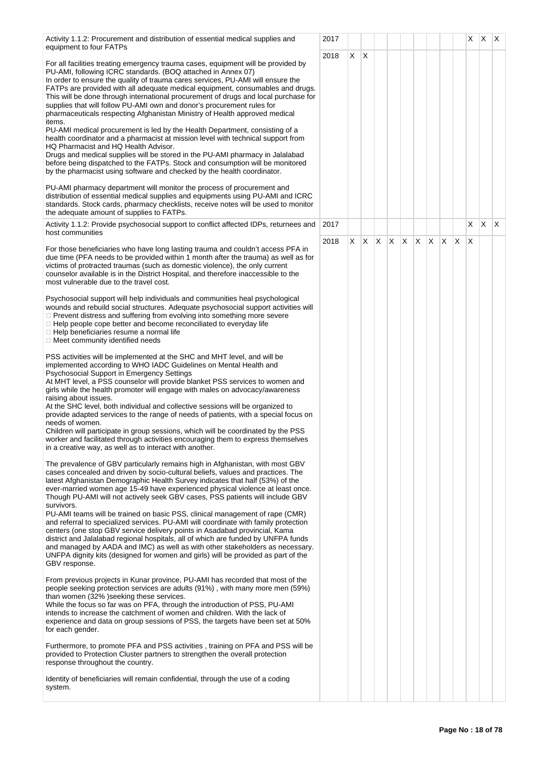| X.<br>$\mathsf{X}$<br>2018<br>For all facilities treating emergency trauma cases, equipment will be provided by<br>PU-AMI, following ICRC standards. (BOQ attached in Annex 07)<br>In order to ensure the quality of trauma cares services, PU-AMI will ensure the<br>FATPs are provided with all adequate medical equipment, consumables and drugs.<br>This will be done through international procurement of drugs and local purchase for<br>supplies that will follow PU-AMI own and donor's procurement rules for<br>pharmaceuticals respecting Afghanistan Ministry of Health approved medical<br>items.<br>PU-AMI medical procurement is led by the Health Department, consisting of a<br>health coordinator and a pharmacist at mission level with technical support from<br>HQ Pharmacist and HQ Health Advisor.<br>Drugs and medical supplies will be stored in the PU-AMI pharmacy in Jalalabad<br>before being dispatched to the FATPs. Stock and consumption will be monitored<br>by the pharmacist using software and checked by the health coordinator.<br>PU-AMI pharmacy department will monitor the process of procurement and<br>distribution of essential medical supplies and equipments using PU-AMI and ICRC<br>standards. Stock cards, pharmacy checklists, receive notes will be used to monitor<br>the adequate amount of supplies to FATPs.<br>X<br>$\mathsf{X}$<br>X<br>Activity 1.1.2: Provide psychosocial support to conflict affected IDPs, returnees and<br>2017<br>host communities<br>$\mathsf{X}$<br>X<br>X.<br>X<br>X<br>X<br>ΙX.<br>X<br>X<br>2018<br>X<br>For those beneficiaries who have long lasting trauma and couldn't access PFA in<br>due time (PFA needs to be provided within 1 month after the trauma) as well as for<br>victims of protracted traumas (such as domestic violence), the only current<br>counselor available is in the District Hospital, and therefore inaccessible to the<br>most vulnerable due to the travel cost.<br>Psychosocial support will help individuals and communities heal psychological<br>wounds and rebuild social structures. Adequate psychosocial support activities will<br>$\Box$ Prevent distress and suffering from evolving into something more severe<br>$\Box$ Help people cope better and become reconciliated to everyday life<br>$\Box$ Help beneficiaries resume a normal life<br>□ Meet community identified needs<br>PSS activities will be implemented at the SHC and MHT level, and will be<br>implemented according to WHO IADC Guidelines on Mental Health and<br>Psychosocial Support in Emergency Settings<br>At MHT level, a PSS counselor will provide blanket PSS services to women and<br>girls while the health promoter will engage with males on advocacy/awareness<br>raising about issues.<br>At the SHC level, both individual and collective sessions will be organized to<br>provide adapted services to the range of needs of patients, with a special focus on<br>needs of women.<br>Children will participate in group sessions, which will be coordinated by the PSS<br>worker and facilitated through activities encouraging them to express themselves<br>in a creative way, as well as to interact with another.<br>The prevalence of GBV particularly remains high in Afghanistan, with most GBV<br>cases concealed and driven by socio-cultural beliefs, values and practices. The<br>latest Afghanistan Demographic Health Survey indicates that half (53%) of the<br>ever-married women age 15-49 have experienced physical violence at least once.<br>Though PU-AMI will not actively seek GBV cases, PSS patients will include GBV<br>survivors.<br>PU-AMI teams will be trained on basic PSS, clinical management of rape (CMR)<br>and referral to specialized services. PU-AMI will coordinate with family protection<br>centers (one stop GBV service delivery points in Asadabad provincial, Kama<br>district and Jalalabad regional hospitals, all of which are funded by UNFPA funds<br>and managed by AADA and IMC) as well as with other stakeholders as necessary.<br>UNFPA dignity kits (designed for women and girls) will be provided as part of the<br>GBV response.<br>From previous projects in Kunar province, PU-AMI has recorded that most of the<br>people seeking protection services are adults (91%), with many more men (59%)<br>than women (32%) seeking these services.<br>While the focus so far was on PFA, through the introduction of PSS, PU-AMI<br>intends to increase the catchment of women and children. With the lack of<br>experience and data on group sessions of PSS, the targets have been set at 50%<br>for each gender.<br>Furthermore, to promote PFA and PSS activities, training on PFA and PSS will be<br>provided to Protection Cluster partners to strengthen the overall protection | Activity 1.1.2: Procurement and distribution of essential medical supplies and | 2017 |  |  |  |  | X | $X$ $X$ |  |
|----------------------------------------------------------------------------------------------------------------------------------------------------------------------------------------------------------------------------------------------------------------------------------------------------------------------------------------------------------------------------------------------------------------------------------------------------------------------------------------------------------------------------------------------------------------------------------------------------------------------------------------------------------------------------------------------------------------------------------------------------------------------------------------------------------------------------------------------------------------------------------------------------------------------------------------------------------------------------------------------------------------------------------------------------------------------------------------------------------------------------------------------------------------------------------------------------------------------------------------------------------------------------------------------------------------------------------------------------------------------------------------------------------------------------------------------------------------------------------------------------------------------------------------------------------------------------------------------------------------------------------------------------------------------------------------------------------------------------------------------------------------------------------------------------------------------------------------------------------------------------------------------------------------------------------------------------------------------------------------------------------------------------------------------------------------------------------------------------------------------------------------------------------------------------------------------------------------------------------------------------------------------------------------------------------------------------------------------------------------------------------------------------------------------------------------------------------------------------------------------------------------------------------------------------------------------------------------------------------------------------------------------------------------------------------------------------------------------------------------------------------------------------------------------------------------------------------------------------------------------------------------------------------------------------------------------------------------------------------------------------------------------------------------------------------------------------------------------------------------------------------------------------------------------------------------------------------------------------------------------------------------------------------------------------------------------------------------------------------------------------------------------------------------------------------------------------------------------------------------------------------------------------------------------------------------------------------------------------------------------------------------------------------------------------------------------------------------------------------------------------------------------------------------------------------------------------------------------------------------------------------------------------------------------------------------------------------------------------------------------------------------------------------------------------------------------------------------------------------------------------------------------------------------------------------------------------------------------------------------------------------------------------------------------------------------------------------------------------------------------------------------------------------------------------------------------------------------------------------------------------------------------------------------------------------------------------------------------------------------------------------------------------------------------------------------------------------------------------------------------------------------------------------------------------------------------------------------------------------------------|--------------------------------------------------------------------------------|------|--|--|--|--|---|---------|--|
|                                                                                                                                                                                                                                                                                                                                                                                                                                                                                                                                                                                                                                                                                                                                                                                                                                                                                                                                                                                                                                                                                                                                                                                                                                                                                                                                                                                                                                                                                                                                                                                                                                                                                                                                                                                                                                                                                                                                                                                                                                                                                                                                                                                                                                                                                                                                                                                                                                                                                                                                                                                                                                                                                                                                                                                                                                                                                                                                                                                                                                                                                                                                                                                                                                                                                                                                                                                                                                                                                                                                                                                                                                                                                                                                                                                                                                                                                                                                                                                                                                                                                                                                                                                                                                                                                                                                                                                                                                                                                                                                                                                                                                                                                                                                                                                                                                                                      | equipment to four FATPs                                                        |      |  |  |  |  |   |         |  |
|                                                                                                                                                                                                                                                                                                                                                                                                                                                                                                                                                                                                                                                                                                                                                                                                                                                                                                                                                                                                                                                                                                                                                                                                                                                                                                                                                                                                                                                                                                                                                                                                                                                                                                                                                                                                                                                                                                                                                                                                                                                                                                                                                                                                                                                                                                                                                                                                                                                                                                                                                                                                                                                                                                                                                                                                                                                                                                                                                                                                                                                                                                                                                                                                                                                                                                                                                                                                                                                                                                                                                                                                                                                                                                                                                                                                                                                                                                                                                                                                                                                                                                                                                                                                                                                                                                                                                                                                                                                                                                                                                                                                                                                                                                                                                                                                                                                                      |                                                                                |      |  |  |  |  |   |         |  |
|                                                                                                                                                                                                                                                                                                                                                                                                                                                                                                                                                                                                                                                                                                                                                                                                                                                                                                                                                                                                                                                                                                                                                                                                                                                                                                                                                                                                                                                                                                                                                                                                                                                                                                                                                                                                                                                                                                                                                                                                                                                                                                                                                                                                                                                                                                                                                                                                                                                                                                                                                                                                                                                                                                                                                                                                                                                                                                                                                                                                                                                                                                                                                                                                                                                                                                                                                                                                                                                                                                                                                                                                                                                                                                                                                                                                                                                                                                                                                                                                                                                                                                                                                                                                                                                                                                                                                                                                                                                                                                                                                                                                                                                                                                                                                                                                                                                                      |                                                                                |      |  |  |  |  |   |         |  |
|                                                                                                                                                                                                                                                                                                                                                                                                                                                                                                                                                                                                                                                                                                                                                                                                                                                                                                                                                                                                                                                                                                                                                                                                                                                                                                                                                                                                                                                                                                                                                                                                                                                                                                                                                                                                                                                                                                                                                                                                                                                                                                                                                                                                                                                                                                                                                                                                                                                                                                                                                                                                                                                                                                                                                                                                                                                                                                                                                                                                                                                                                                                                                                                                                                                                                                                                                                                                                                                                                                                                                                                                                                                                                                                                                                                                                                                                                                                                                                                                                                                                                                                                                                                                                                                                                                                                                                                                                                                                                                                                                                                                                                                                                                                                                                                                                                                                      |                                                                                |      |  |  |  |  |   |         |  |
|                                                                                                                                                                                                                                                                                                                                                                                                                                                                                                                                                                                                                                                                                                                                                                                                                                                                                                                                                                                                                                                                                                                                                                                                                                                                                                                                                                                                                                                                                                                                                                                                                                                                                                                                                                                                                                                                                                                                                                                                                                                                                                                                                                                                                                                                                                                                                                                                                                                                                                                                                                                                                                                                                                                                                                                                                                                                                                                                                                                                                                                                                                                                                                                                                                                                                                                                                                                                                                                                                                                                                                                                                                                                                                                                                                                                                                                                                                                                                                                                                                                                                                                                                                                                                                                                                                                                                                                                                                                                                                                                                                                                                                                                                                                                                                                                                                                                      | response throughout the country.                                               |      |  |  |  |  |   |         |  |
| Identity of beneficiaries will remain confidential, through the use of a coding<br>system.                                                                                                                                                                                                                                                                                                                                                                                                                                                                                                                                                                                                                                                                                                                                                                                                                                                                                                                                                                                                                                                                                                                                                                                                                                                                                                                                                                                                                                                                                                                                                                                                                                                                                                                                                                                                                                                                                                                                                                                                                                                                                                                                                                                                                                                                                                                                                                                                                                                                                                                                                                                                                                                                                                                                                                                                                                                                                                                                                                                                                                                                                                                                                                                                                                                                                                                                                                                                                                                                                                                                                                                                                                                                                                                                                                                                                                                                                                                                                                                                                                                                                                                                                                                                                                                                                                                                                                                                                                                                                                                                                                                                                                                                                                                                                                           |                                                                                |      |  |  |  |  |   |         |  |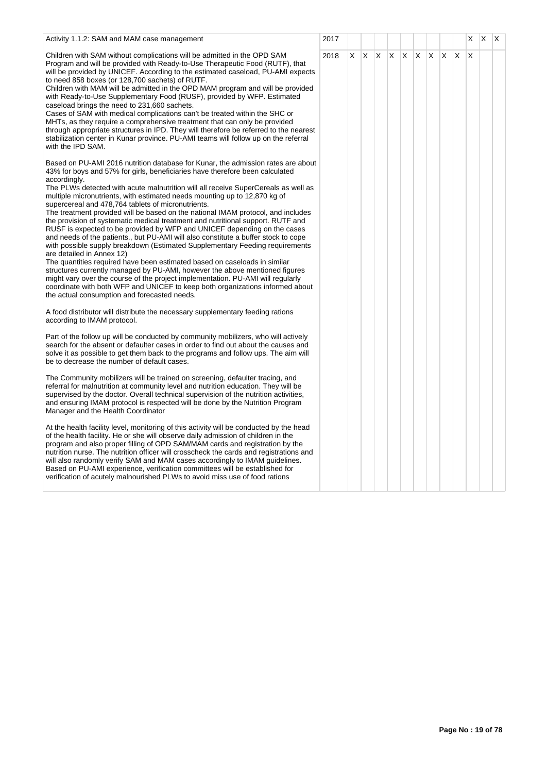| Activity 1.1.2: SAM and MAM case management                                                                                                                                                                                                                                                                                                                                                                                                                                                                                                                                                                                                                                                                                                                                                                                                                                                                                                                                                                                                                                                                                                                                                                                                     | 2017 |    |    |              |              |              |    |     |              |              | X        | X | $\mathsf{I} \mathsf{X}$ |
|-------------------------------------------------------------------------------------------------------------------------------------------------------------------------------------------------------------------------------------------------------------------------------------------------------------------------------------------------------------------------------------------------------------------------------------------------------------------------------------------------------------------------------------------------------------------------------------------------------------------------------------------------------------------------------------------------------------------------------------------------------------------------------------------------------------------------------------------------------------------------------------------------------------------------------------------------------------------------------------------------------------------------------------------------------------------------------------------------------------------------------------------------------------------------------------------------------------------------------------------------|------|----|----|--------------|--------------|--------------|----|-----|--------------|--------------|----------|---|-------------------------|
| Children with SAM without complications will be admitted in the OPD SAM<br>Program and will be provided with Ready-to-Use Therapeutic Food (RUTF), that<br>will be provided by UNICEF. According to the estimated caseload, PU-AMI expects<br>to need 858 boxes (or 128,700 sachets) of RUTF.<br>Children with MAM will be admitted in the OPD MAM program and will be provided<br>with Ready-to-Use Supplementary Food (RUSF), provided by WFP. Estimated<br>caseload brings the need to 231,660 sachets.<br>Cases of SAM with medical complications can't be treated within the SHC or<br>MHTs, as they require a comprehensive treatment that can only be provided<br>through appropriate structures in IPD. They will therefore be referred to the nearest<br>stabilization center in Kunar province. PU-AMI teams will follow up on the referral<br>with the IPD SAM.                                                                                                                                                                                                                                                                                                                                                                      | 2018 | X. | X. | $\mathsf{X}$ | $\mathsf{X}$ | $\mathsf{X}$ | X. | ΙX. | $\mathsf{X}$ | $\mathsf{X}$ | $\times$ |   |                         |
| Based on PU-AMI 2016 nutrition database for Kunar, the admission rates are about<br>43% for boys and 57% for girls, beneficiaries have therefore been calculated<br>accordingly.<br>The PLWs detected with acute malnutrition will all receive SuperCereals as well as<br>multiple micronutrients, with estimated needs mounting up to 12,870 kg of<br>supercereal and 478,764 tablets of micronutrients.<br>The treatment provided will be based on the national IMAM protocol, and includes<br>the provision of systematic medical treatment and nutritional support. RUTF and<br>RUSF is expected to be provided by WFP and UNICEF depending on the cases<br>and needs of the patients., but PU-AMI will also constitute a buffer stock to cope<br>with possible supply breakdown (Estimated Supplementary Feeding requirements<br>are detailed in Annex 12)<br>The quantities required have been estimated based on caseloads in similar<br>structures currently managed by PU-AMI, however the above mentioned figures<br>might vary over the course of the project implementation. PU-AMI will regularly<br>coordinate with both WFP and UNICEF to keep both organizations informed about<br>the actual consumption and forecasted needs. |      |    |    |              |              |              |    |     |              |              |          |   |                         |
| A food distributor will distribute the necessary supplementary feeding rations<br>according to IMAM protocol.                                                                                                                                                                                                                                                                                                                                                                                                                                                                                                                                                                                                                                                                                                                                                                                                                                                                                                                                                                                                                                                                                                                                   |      |    |    |              |              |              |    |     |              |              |          |   |                         |
| Part of the follow up will be conducted by community mobilizers, who will actively<br>search for the absent or defaulter cases in order to find out about the causes and<br>solve it as possible to get them back to the programs and follow ups. The aim will<br>be to decrease the number of default cases.                                                                                                                                                                                                                                                                                                                                                                                                                                                                                                                                                                                                                                                                                                                                                                                                                                                                                                                                   |      |    |    |              |              |              |    |     |              |              |          |   |                         |
| The Community mobilizers will be trained on screening, defaulter tracing, and<br>referral for malnutrition at community level and nutrition education. They will be<br>supervised by the doctor. Overall technical supervision of the nutrition activities,<br>and ensuring IMAM protocol is respected will be done by the Nutrition Program<br>Manager and the Health Coordinator                                                                                                                                                                                                                                                                                                                                                                                                                                                                                                                                                                                                                                                                                                                                                                                                                                                              |      |    |    |              |              |              |    |     |              |              |          |   |                         |
| At the health facility level, monitoring of this activity will be conducted by the head<br>of the health facility. He or she will observe daily admission of children in the<br>program and also proper filling of OPD SAM/MAM cards and registration by the<br>nutrition nurse. The nutrition officer will crosscheck the cards and registrations and<br>will also randomly verify SAM and MAM cases accordingly to IMAM guidelines.<br>Based on PU-AMI experience, verification committees will be established for<br>verification of acutely malnourished PLWs to avoid miss use of food rations                                                                                                                                                                                                                                                                                                                                                                                                                                                                                                                                                                                                                                             |      |    |    |              |              |              |    |     |              |              |          |   |                         |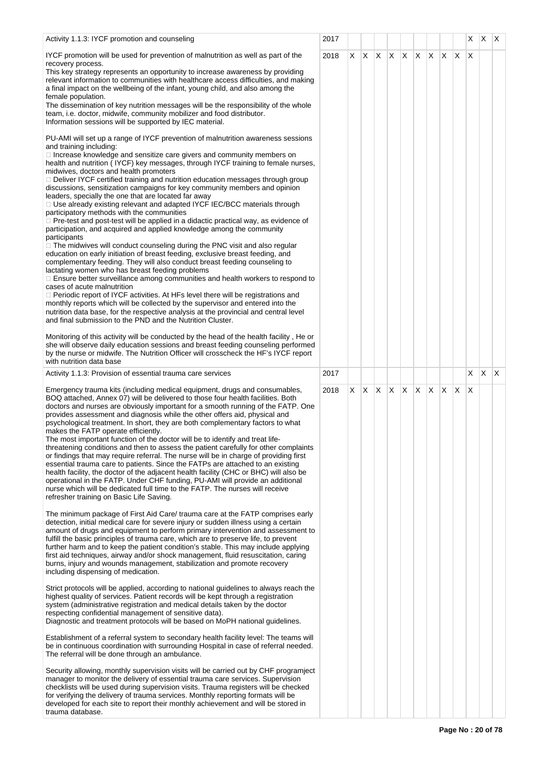| Activity 1.1.3: IYCF promotion and counseling                                                                                                                                                                                                                                                                                                                                                                                                                                                                                                                                                                                                                                                                                                                                                                                                                                                                                                                                                                                                                                                                                                                                                                                                                                                                                                                                                                                                                                                                                                                                                                             | 2017 |    |     |                         |    |    |              |     |    | X        | XX |              |
|---------------------------------------------------------------------------------------------------------------------------------------------------------------------------------------------------------------------------------------------------------------------------------------------------------------------------------------------------------------------------------------------------------------------------------------------------------------------------------------------------------------------------------------------------------------------------------------------------------------------------------------------------------------------------------------------------------------------------------------------------------------------------------------------------------------------------------------------------------------------------------------------------------------------------------------------------------------------------------------------------------------------------------------------------------------------------------------------------------------------------------------------------------------------------------------------------------------------------------------------------------------------------------------------------------------------------------------------------------------------------------------------------------------------------------------------------------------------------------------------------------------------------------------------------------------------------------------------------------------------------|------|----|-----|-------------------------|----|----|--------------|-----|----|----------|----|--------------|
| IYCF promotion will be used for prevention of malnutrition as well as part of the<br>recovery process.<br>This key strategy represents an opportunity to increase awareness by providing<br>relevant information to communities with healthcare access difficulties, and making<br>a final impact on the wellbeing of the infant, young child, and also among the<br>female population.<br>The dissemination of key nutrition messages will be the responsibility of the whole<br>team, i.e. doctor, midwife, community mobilizer and food distributor.<br>Information sessions will be supported by IEC material.                                                                                                                                                                                                                                                                                                                                                                                                                                                                                                                                                                                                                                                                                                                                                                                                                                                                                                                                                                                                        | 2018 | X. | ΙX. | $\mathsf{X} \mathsf{X}$ | X. | X. | $\mathsf{X}$ | X.  | X. | $\times$ |    |              |
| PU-AMI will set up a range of IYCF prevention of malnutrition awareness sessions<br>and training including:<br>□ Increase knowledge and sensitize care givers and community members on<br>health and nutrition (IYCF) key messages, through IYCF training to female nurses,<br>midwives, doctors and health promoters<br>□ Deliver IYCF certified training and nutrition education messages through group<br>discussions, sensitization campaigns for key community members and opinion<br>leaders, specially the one that are located far away<br>□ Use already existing relevant and adapted IYCF IEC/BCC materials through<br>participatory methods with the communities<br>□ Pre-test and post-test will be applied in a didactic practical way, as evidence of<br>participation, and acquired and applied knowledge among the community<br>participants<br>$\Box$ The midwives will conduct counseling during the PNC visit and also regular<br>education on early initiation of breast feeding, exclusive breast feeding, and<br>complementary feeding. They will also conduct breast feeding counseling to<br>lactating women who has breast feeding problems<br>□ Ensure better surveillance among communities and health workers to respond to<br>cases of acute malnutrition<br>$\Box$ Periodic report of IYCF activities. At HFs level there will be registrations and<br>monthly reports which will be collected by the supervisor and entered into the<br>nutrition data base, for the respective analysis at the provincial and central level<br>and final submission to the PND and the Nutrition Cluster. |      |    |     |                         |    |    |              |     |    |          |    |              |
| Monitoring of this activity will be conducted by the head of the health facility, He or<br>she will observe daily education sessions and breast feeding counseling performed<br>by the nurse or midwife. The Nutrition Officer will crosscheck the HF's IYCF report<br>with nutrition data base                                                                                                                                                                                                                                                                                                                                                                                                                                                                                                                                                                                                                                                                                                                                                                                                                                                                                                                                                                                                                                                                                                                                                                                                                                                                                                                           |      |    |     |                         |    |    |              |     |    |          |    |              |
| Activity 1.1.3: Provision of essential trauma care services                                                                                                                                                                                                                                                                                                                                                                                                                                                                                                                                                                                                                                                                                                                                                                                                                                                                                                                                                                                                                                                                                                                                                                                                                                                                                                                                                                                                                                                                                                                                                               | 2017 |    |     |                         |    |    |              |     |    | X.       | X  | $\mathsf{X}$ |
| Emergency trauma kits (including medical equipment, drugs and consumables,<br>BOQ attached, Annex 07) will be delivered to those four health facilities. Both<br>doctors and nurses are obviously important for a smooth running of the FATP. One<br>provides assessment and diagnosis while the other offers aid, physical and<br>psychological treatment. In short, they are both complementary factors to what<br>makes the FATP operate efficiently.<br>The most important function of the doctor will be to identify and treat life-<br>threatening conditions and then to assess the patient carefully for other complaints<br>or findings that may require referral. The nurse will be in charge of providing first<br>essential trauma care to patients. Since the FATPs are attached to an existing<br>health facility, the doctor of the adjacent health facility (CHC or BHC) will also be<br>operational in the FATP. Under CHF funding, PU-AMI will provide an additional<br>nurse which will be dedicated full time to the FATP. The nurses will receive<br>refresher training on Basic Life Saving.                                                                                                                                                                                                                                                                                                                                                                                                                                                                                                        | 2018 | X. | X.  | X X                     | X  | X. | X.           | IX. | X  | X        |    |              |
| The minimum package of First Aid Care/ trauma care at the FATP comprises early<br>detection, initial medical care for severe injury or sudden illness using a certain<br>amount of drugs and equipment to perform primary intervention and assessment to<br>fulfill the basic principles of trauma care, which are to preserve life, to prevent<br>further harm and to keep the patient condition's stable. This may include applying<br>first aid techniques, airway and/or shock management, fluid resuscitation, caring<br>burns, injury and wounds management, stabilization and promote recovery<br>including dispensing of medication.                                                                                                                                                                                                                                                                                                                                                                                                                                                                                                                                                                                                                                                                                                                                                                                                                                                                                                                                                                              |      |    |     |                         |    |    |              |     |    |          |    |              |
| Strict protocols will be applied, according to national guidelines to always reach the<br>highest quality of services. Patient records will be kept through a registration<br>system (administrative registration and medical details taken by the doctor<br>respecting confidential management of sensitive data).<br>Diagnostic and treatment protocols will be based on MoPH national guidelines.                                                                                                                                                                                                                                                                                                                                                                                                                                                                                                                                                                                                                                                                                                                                                                                                                                                                                                                                                                                                                                                                                                                                                                                                                      |      |    |     |                         |    |    |              |     |    |          |    |              |
| Establishment of a referral system to secondary health facility level: The teams will<br>be in continuous coordination with surrounding Hospital in case of referral needed.<br>The referral will be done through an ambulance.                                                                                                                                                                                                                                                                                                                                                                                                                                                                                                                                                                                                                                                                                                                                                                                                                                                                                                                                                                                                                                                                                                                                                                                                                                                                                                                                                                                           |      |    |     |                         |    |    |              |     |    |          |    |              |
| Security allowing, monthly supervision visits will be carried out by CHF programject<br>manager to monitor the delivery of essential trauma care services. Supervision<br>checklists will be used during supervision visits. Trauma registers will be checked<br>for verifying the delivery of trauma services. Monthly reporting formats will be<br>developed for each site to report their monthly achievement and will be stored in<br>trauma database.                                                                                                                                                                                                                                                                                                                                                                                                                                                                                                                                                                                                                                                                                                                                                                                                                                                                                                                                                                                                                                                                                                                                                                |      |    |     |                         |    |    |              |     |    |          |    |              |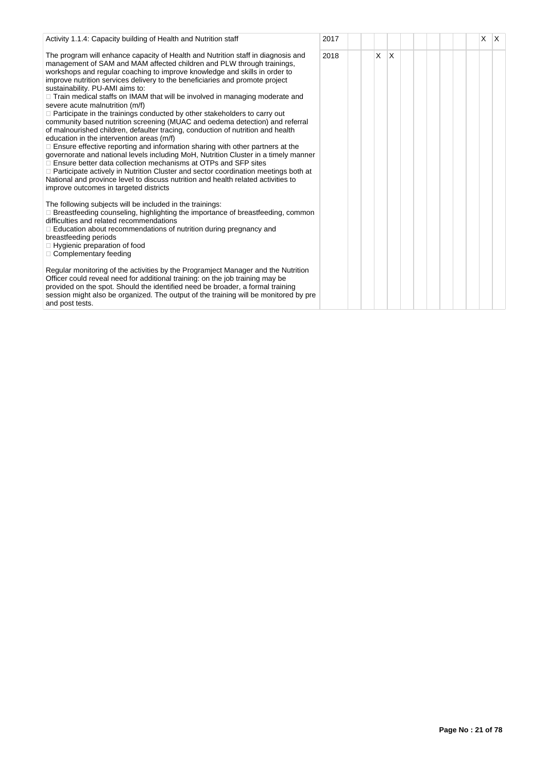| Activity 1.1.4: Capacity building of Health and Nutrition staff                                                                                                                                                                                                                                                                                                                                                                                                                                                                                                                                                                                                                                                                                                                                                                                                                                                                                                                                                                                                                                                                                                                                                                                                    | 2017 |   |   |  |  | X. | IX. |
|--------------------------------------------------------------------------------------------------------------------------------------------------------------------------------------------------------------------------------------------------------------------------------------------------------------------------------------------------------------------------------------------------------------------------------------------------------------------------------------------------------------------------------------------------------------------------------------------------------------------------------------------------------------------------------------------------------------------------------------------------------------------------------------------------------------------------------------------------------------------------------------------------------------------------------------------------------------------------------------------------------------------------------------------------------------------------------------------------------------------------------------------------------------------------------------------------------------------------------------------------------------------|------|---|---|--|--|----|-----|
| The program will enhance capacity of Health and Nutrition staff in diagnosis and<br>management of SAM and MAM affected children and PLW through trainings,<br>workshops and regular coaching to improve knowledge and skills in order to<br>improve nutrition services delivery to the beneficiaries and promote project<br>sustainability. PU-AMI aims to:<br>$\Box$ Train medical staffs on IMAM that will be involved in managing moderate and<br>severe acute malnutrition (m/f)<br>$\Box$ Participate in the trainings conducted by other stakeholders to carry out<br>community based nutrition screening (MUAC and oedema detection) and referral<br>of malnourished children, defaulter tracing, conduction of nutrition and health<br>education in the intervention areas (m/f)<br>□ Ensure effective reporting and information sharing with other partners at the<br>governorate and national levels including MoH, Nutrition Cluster in a timely manner<br>$\Box$ Ensure better data collection mechanisms at OTPs and SFP sites<br>□ Participate actively in Nutrition Cluster and sector coordination meetings both at<br>National and province level to discuss nutrition and health related activities to<br>improve outcomes in targeted districts | 2018 | X | X |  |  |    |     |
| The following subjects will be included in the trainings:<br>$\Box$ Breastfeeding counseling, highlighting the importance of breastfeeding, common<br>difficulties and related recommendations<br>$\Box$ Education about recommendations of nutrition during pregnancy and<br>breastfeeding periods<br>$\Box$ Hygienic preparation of food<br>$\Box$ Complementary feeding                                                                                                                                                                                                                                                                                                                                                                                                                                                                                                                                                                                                                                                                                                                                                                                                                                                                                         |      |   |   |  |  |    |     |
| Regular monitoring of the activities by the Programject Manager and the Nutrition<br>Officer could reveal need for additional training: on the job training may be<br>provided on the spot. Should the identified need be broader, a formal training<br>session might also be organized. The output of the training will be monitored by pre<br>and post tests.                                                                                                                                                                                                                                                                                                                                                                                                                                                                                                                                                                                                                                                                                                                                                                                                                                                                                                    |      |   |   |  |  |    |     |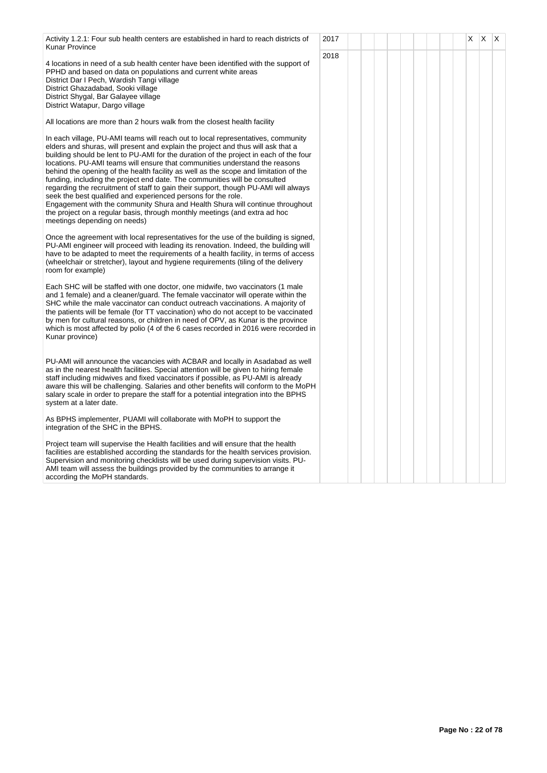| Activity 1.2.1: Four sub health centers are established in hard to reach districts of<br><b>Kunar Province</b>                                                                                                                                                                                                                                                                                                                                                                                                                                                                                                                                                                                                                                                                                                                                                            | 2017 |  |  |  | X | $\times$ | $\mathsf{X}$ |
|---------------------------------------------------------------------------------------------------------------------------------------------------------------------------------------------------------------------------------------------------------------------------------------------------------------------------------------------------------------------------------------------------------------------------------------------------------------------------------------------------------------------------------------------------------------------------------------------------------------------------------------------------------------------------------------------------------------------------------------------------------------------------------------------------------------------------------------------------------------------------|------|--|--|--|---|----------|--------------|
| 4 locations in need of a sub health center have been identified with the support of<br>PPHD and based on data on populations and current white areas<br>District Dar I Pech, Wardish Tangi village<br>District Ghazadabad, Sooki village<br>District Shygal, Bar Galayee village<br>District Watapur, Dargo village                                                                                                                                                                                                                                                                                                                                                                                                                                                                                                                                                       | 2018 |  |  |  |   |          |              |
| All locations are more than 2 hours walk from the closest health facility                                                                                                                                                                                                                                                                                                                                                                                                                                                                                                                                                                                                                                                                                                                                                                                                 |      |  |  |  |   |          |              |
| In each village, PU-AMI teams will reach out to local representatives, community<br>elders and shuras, will present and explain the project and thus will ask that a<br>building should be lent to PU-AMI for the duration of the project in each of the four<br>locations. PU-AMI teams will ensure that communities understand the reasons<br>behind the opening of the health facility as well as the scope and limitation of the<br>funding, including the project end date. The communities will be consulted<br>regarding the recruitment of staff to gain their support, though PU-AMI will always<br>seek the best qualified and experienced persons for the role.<br>Engagement with the community Shura and Health Shura will continue throughout<br>the project on a regular basis, through monthly meetings (and extra ad hoc<br>meetings depending on needs) |      |  |  |  |   |          |              |
| Once the agreement with local representatives for the use of the building is signed,<br>PU-AMI engineer will proceed with leading its renovation. Indeed, the building will<br>have to be adapted to meet the requirements of a health facility, in terms of access<br>(wheelchair or stretcher), layout and hygiene requirements (tiling of the delivery<br>room for example)                                                                                                                                                                                                                                                                                                                                                                                                                                                                                            |      |  |  |  |   |          |              |
| Each SHC will be staffed with one doctor, one midwife, two vaccinators (1 male<br>and 1 female) and a cleaner/guard. The female vaccinator will operate within the<br>SHC while the male vaccinator can conduct outreach vaccinations. A majority of<br>the patients will be female (for TT vaccination) who do not accept to be vaccinated<br>by men for cultural reasons, or children in need of OPV, as Kunar is the province<br>which is most affected by polio (4 of the 6 cases recorded in 2016 were recorded in<br>Kunar province)                                                                                                                                                                                                                                                                                                                                |      |  |  |  |   |          |              |
| PU-AMI will announce the vacancies with ACBAR and locally in Asadabad as well<br>as in the nearest health facilities. Special attention will be given to hiring female<br>staff including midwives and fixed vaccinators if possible, as PU-AMI is already<br>aware this will be challenging. Salaries and other benefits will conform to the MoPH<br>salary scale in order to prepare the staff for a potential integration into the BPHS<br>system at a later date.                                                                                                                                                                                                                                                                                                                                                                                                     |      |  |  |  |   |          |              |
| As BPHS implementer, PUAMI will collaborate with MoPH to support the<br>integration of the SHC in the BPHS.                                                                                                                                                                                                                                                                                                                                                                                                                                                                                                                                                                                                                                                                                                                                                               |      |  |  |  |   |          |              |
| Project team will supervise the Health facilities and will ensure that the health<br>facilities are established according the standards for the health services provision.<br>Supervision and monitoring checklists will be used during supervision visits. PU-<br>AMI team will assess the buildings provided by the communities to arrange it<br>according the MoPH standards.                                                                                                                                                                                                                                                                                                                                                                                                                                                                                          |      |  |  |  |   |          |              |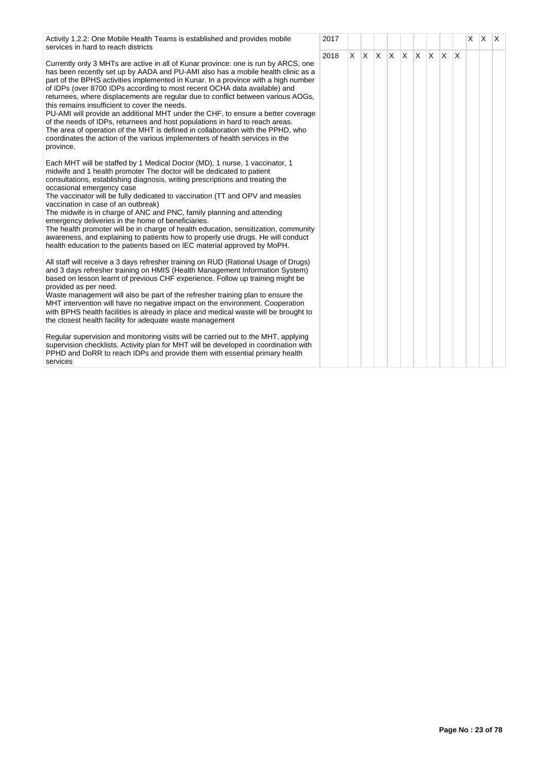| Activity 1.2.2: One Mobile Health Teams is established and provides mobile<br>2017<br>services in hard to reach districts                                                                                                                                                                                                                                                                                                                                                                                                                                                                                                                                                                                                                                                                                                          |      |   |  |                                        |  |  | X. | $x \mathsf{R}$ |  |
|------------------------------------------------------------------------------------------------------------------------------------------------------------------------------------------------------------------------------------------------------------------------------------------------------------------------------------------------------------------------------------------------------------------------------------------------------------------------------------------------------------------------------------------------------------------------------------------------------------------------------------------------------------------------------------------------------------------------------------------------------------------------------------------------------------------------------------|------|---|--|----------------------------------------|--|--|----|----------------|--|
| Currently only 3 MHTs are active in all of Kunar province: one is run by ARCS, one<br>has been recently set up by AADA and PU-AMI also has a mobile health clinic as a<br>part of the BPHS activities implemented in Kunar. In a province with a high number<br>of IDPs (over 8700 IDPs according to most recent OCHA data available) and<br>returnees, where displacements are regular due to conflict between various AOGs,<br>this remains insufficient to cover the needs.<br>PU-AMI will provide an additional MHT under the CHF, to ensure a better coverage<br>of the needs of IDPs, returnees and host populations in hard to reach areas.<br>The area of operation of the MHT is defined in collaboration with the PPHD, who<br>coordinates the action of the various implementers of health services in the<br>province. | 2018 | X |  | $x \times x$ $x \times x$ $x \times x$ |  |  |    |                |  |
| Each MHT will be staffed by 1 Medical Doctor (MD), 1 nurse, 1 vaccinator, 1<br>midwife and 1 health promoter The doctor will be dedicated to patient<br>consultations, establishing diagnosis, writing prescriptions and treating the<br>occasional emergency case<br>The vaccinator will be fully dedicated to vaccination (TT and OPV and measles<br>vaccination in case of an outbreak)<br>The midwife is in charge of ANC and PNC, family planning and attending<br>emergency deliveries in the home of beneficiaries.<br>The health promoter will be in charge of health education, sensitization, community<br>awareness, and explaining to patients how to properly use drugs. He will conduct<br>health education to the patients based on IEC material approved by MoPH.                                                  |      |   |  |                                        |  |  |    |                |  |
| All staff will receive a 3 days refresher training on RUD (Rational Usage of Drugs)<br>and 3 days refresher training on HMIS (Health Management Information System)<br>based on lesson learnt of previous CHF experience. Follow up training might be<br>provided as per need.<br>Waste management will also be part of the refresher training plan to ensure the<br>MHT intervention will have no negative impact on the environment. Cooperation<br>with BPHS health facilities is already in place and medical waste will be brought to<br>the closest health facility for adequate waste management                                                                                                                                                                                                                            |      |   |  |                                        |  |  |    |                |  |
| Regular supervision and monitoring visits will be carried out to the MHT, applying<br>supervision checklists. Activity plan for MHT will be developed in coordination with<br>PPHD and DoRR to reach IDPs and provide them with essential primary health<br>services                                                                                                                                                                                                                                                                                                                                                                                                                                                                                                                                                               |      |   |  |                                        |  |  |    |                |  |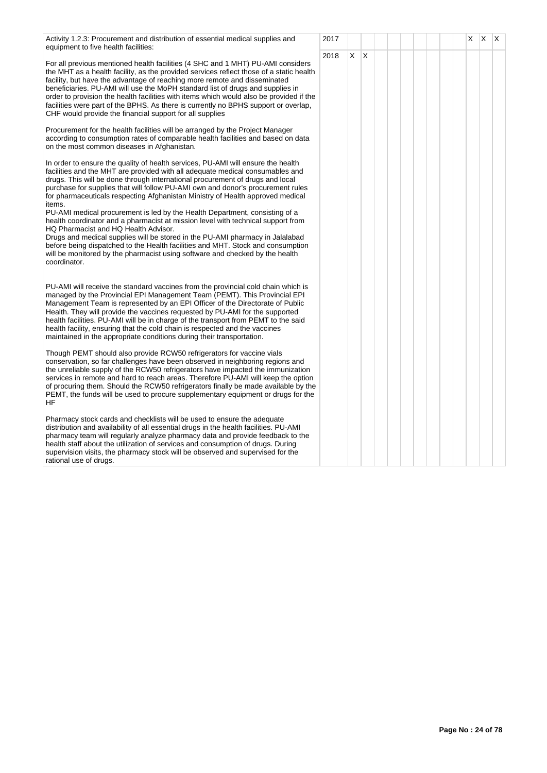| Activity 1.2.3: Procurement and distribution of essential medical supplies and<br>equipment to five health facilities:                                                                                                                                                                                                                                                                                                                                                                                                                                                                                                                                                                                                                                                                                                                                                                                           | 2017 |    |              |  |  |  | X | X | ΙX |
|------------------------------------------------------------------------------------------------------------------------------------------------------------------------------------------------------------------------------------------------------------------------------------------------------------------------------------------------------------------------------------------------------------------------------------------------------------------------------------------------------------------------------------------------------------------------------------------------------------------------------------------------------------------------------------------------------------------------------------------------------------------------------------------------------------------------------------------------------------------------------------------------------------------|------|----|--------------|--|--|--|---|---|----|
| For all previous mentioned health facilities (4 SHC and 1 MHT) PU-AMI considers<br>the MHT as a health facility, as the provided services reflect those of a static health<br>facility, but have the advantage of reaching more remote and disseminated<br>beneficiaries. PU-AMI will use the MoPH standard list of drugs and supplies in<br>order to provision the health facilities with items which would also be provided if the<br>facilities were part of the BPHS. As there is currently no BPHS support or overlap,<br>CHF would provide the financial support for all supplies                                                                                                                                                                                                                                                                                                                          | 2018 | X. | $\mathsf{X}$ |  |  |  |   |   |    |
| Procurement for the health facilities will be arranged by the Project Manager<br>according to consumption rates of comparable health facilities and based on data<br>on the most common diseases in Afghanistan.                                                                                                                                                                                                                                                                                                                                                                                                                                                                                                                                                                                                                                                                                                 |      |    |              |  |  |  |   |   |    |
| In order to ensure the quality of health services, PU-AMI will ensure the health<br>facilities and the MHT are provided with all adequate medical consumables and<br>drugs. This will be done through international procurement of drugs and local<br>purchase for supplies that will follow PU-AMI own and donor's procurement rules<br>for pharmaceuticals respecting Afghanistan Ministry of Health approved medical<br>items.<br>PU-AMI medical procurement is led by the Health Department, consisting of a<br>health coordinator and a pharmacist at mission level with technical support from<br>HQ Pharmacist and HQ Health Advisor.<br>Drugs and medical supplies will be stored in the PU-AMI pharmacy in Jalalabad<br>before being dispatched to the Health facilities and MHT. Stock and consumption<br>will be monitored by the pharmacist using software and checked by the health<br>coordinator. |      |    |              |  |  |  |   |   |    |
| PU-AMI will receive the standard vaccines from the provincial cold chain which is<br>managed by the Provincial EPI Management Team (PEMT). This Provincial EPI<br>Management Team is represented by an EPI Officer of the Directorate of Public<br>Health. They will provide the vaccines requested by PU-AMI for the supported<br>health facilities. PU-AMI will be in charge of the transport from PEMT to the said<br>health facility, ensuring that the cold chain is respected and the vaccines<br>maintained in the appropriate conditions during their transportation.                                                                                                                                                                                                                                                                                                                                    |      |    |              |  |  |  |   |   |    |
| Though PEMT should also provide RCW50 refrigerators for vaccine vials<br>conservation, so far challenges have been observed in neighboring regions and<br>the unreliable supply of the RCW50 refrigerators have impacted the immunization<br>services in remote and hard to reach areas. Therefore PU-AMI will keep the option<br>of procuring them. Should the RCW50 refrigerators finally be made available by the<br>PEMT, the funds will be used to procure supplementary equipment or drugs for the<br>HF                                                                                                                                                                                                                                                                                                                                                                                                   |      |    |              |  |  |  |   |   |    |
| Pharmacy stock cards and checklists will be used to ensure the adequate<br>distribution and availability of all essential drugs in the health facilities. PU-AMI<br>pharmacy team will regularly analyze pharmacy data and provide feedback to the<br>health staff about the utilization of services and consumption of drugs. During<br>supervision visits, the pharmacy stock will be observed and supervised for the<br>rational use of drugs.                                                                                                                                                                                                                                                                                                                                                                                                                                                                |      |    |              |  |  |  |   |   |    |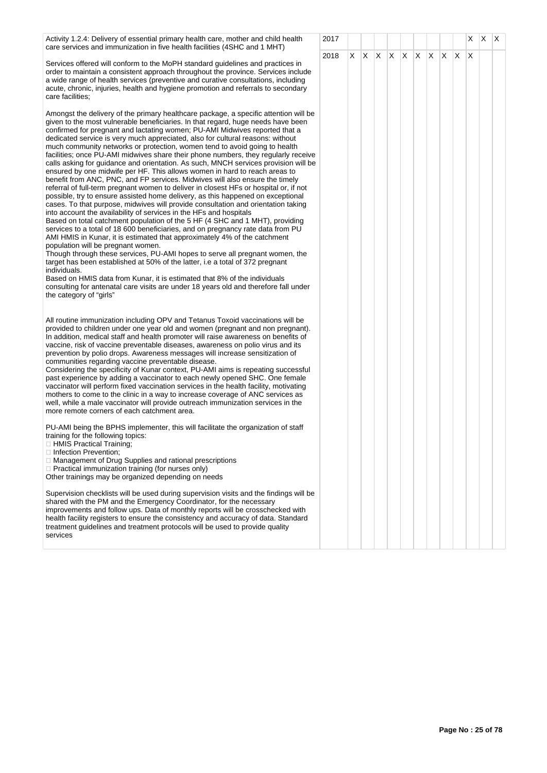| Activity 1.2.4: Delivery of essential primary health care, mother and child health                                                                                                                                                                                                                                                                                                                                                                                                                                                                                                                                                                                                                                                                                                                                                                                                                                                                                                                                                                                                                                                                                                                                                                                                                                                                                                                                                                                                                                                                                                                                                                                                                                                                                               | 2017 |    |  |             |              |    |         |              | X | $X$ $X$ |  |
|----------------------------------------------------------------------------------------------------------------------------------------------------------------------------------------------------------------------------------------------------------------------------------------------------------------------------------------------------------------------------------------------------------------------------------------------------------------------------------------------------------------------------------------------------------------------------------------------------------------------------------------------------------------------------------------------------------------------------------------------------------------------------------------------------------------------------------------------------------------------------------------------------------------------------------------------------------------------------------------------------------------------------------------------------------------------------------------------------------------------------------------------------------------------------------------------------------------------------------------------------------------------------------------------------------------------------------------------------------------------------------------------------------------------------------------------------------------------------------------------------------------------------------------------------------------------------------------------------------------------------------------------------------------------------------------------------------------------------------------------------------------------------------|------|----|--|-------------|--------------|----|---------|--------------|---|---------|--|
| care services and immunization in five health facilities (4SHC and 1 MHT)<br>Services offered will conform to the MoPH standard guidelines and practices in<br>order to maintain a consistent approach throughout the province. Services include<br>a wide range of health services (preventive and curative consultations, including<br>acute, chronic, injuries, health and hygiene promotion and referrals to secondary<br>care facilities;                                                                                                                                                                                                                                                                                                                                                                                                                                                                                                                                                                                                                                                                                                                                                                                                                                                                                                                                                                                                                                                                                                                                                                                                                                                                                                                                   | 2018 | X. |  | $X$ $X$ $X$ | $\mathsf{X}$ | X. | $X$ $X$ | $\mathsf{X}$ | X |         |  |
| Amongst the delivery of the primary healthcare package, a specific attention will be<br>given to the most vulnerable beneficiaries. In that regard, huge needs have been<br>confirmed for pregnant and lactating women; PU-AMI Midwives reported that a<br>dedicated service is very much appreciated, also for cultural reasons: without<br>much community networks or protection, women tend to avoid going to health<br>facilities; once PU-AMI midwives share their phone numbers, they reqularly receive<br>calls asking for guidance and orientation. As such, MNCH services provision will be<br>ensured by one midwife per HF. This allows women in hard to reach areas to<br>benefit from ANC, PNC, and FP services. Midwives will also ensure the timely<br>referral of full-term pregnant women to deliver in closest HFs or hospital or, if not<br>possible, try to ensure assisted home delivery, as this happened on exceptional<br>cases. To that purpose, midwives will provide consultation and orientation taking<br>into account the availability of services in the HFs and hospitals<br>Based on total catchment population of the 5 HF (4 SHC and 1 MHT), providing<br>services to a total of 18 600 beneficiaries, and on pregnancy rate data from PU<br>AMI HMIS in Kunar, it is estimated that approximately 4% of the catchment<br>population will be pregnant women.<br>Though through these services, PU-AMI hopes to serve all pregnant women, the<br>target has been established at 50% of the latter, i.e a total of 372 pregnant<br>individuals.<br>Based on HMIS data from Kunar, it is estimated that 8% of the individuals<br>consulting for antenatal care visits are under 18 years old and therefore fall under<br>the category of "girls" |      |    |  |             |              |    |         |              |   |         |  |
| All routine immunization including OPV and Tetanus Toxoid vaccinations will be<br>provided to children under one year old and women (pregnant and non pregnant).<br>In addition, medical staff and health promoter will raise awareness on benefits of<br>vaccine, risk of vaccine preventable diseases, awareness on polio virus and its<br>prevention by polio drops. Awareness messages will increase sensitization of<br>communities regarding vaccine preventable disease.<br>Considering the specificity of Kunar context, PU-AMI aims is repeating successful<br>past experience by adding a vaccinator to each newly opened SHC. One female<br>vaccinator will perform fixed vaccination services in the health facility, motivating<br>mothers to come to the clinic in a way to increase coverage of ANC services as<br>well, while a male vaccinator will provide outreach immunization services in the<br>more remote corners of each catchment area.                                                                                                                                                                                                                                                                                                                                                                                                                                                                                                                                                                                                                                                                                                                                                                                                                |      |    |  |             |              |    |         |              |   |         |  |
| PU-AMI being the BPHS implementer, this will facilitate the organization of staff<br>training for the following topics:<br><b>HMIS</b> Practical Training;<br>□ Infection Prevention;<br>□ Management of Drug Supplies and rational prescriptions<br>$\Box$ Practical immunization training (for nurses only)<br>Other trainings may be organized depending on needs                                                                                                                                                                                                                                                                                                                                                                                                                                                                                                                                                                                                                                                                                                                                                                                                                                                                                                                                                                                                                                                                                                                                                                                                                                                                                                                                                                                                             |      |    |  |             |              |    |         |              |   |         |  |
| Supervision checklists will be used during supervision visits and the findings will be<br>shared with the PM and the Emergency Coordinator, for the necessary<br>improvements and follow ups. Data of monthly reports will be crosschecked with<br>health facility registers to ensure the consistency and accuracy of data. Standard<br>treatment guidelines and treatment protocols will be used to provide quality<br>services                                                                                                                                                                                                                                                                                                                                                                                                                                                                                                                                                                                                                                                                                                                                                                                                                                                                                                                                                                                                                                                                                                                                                                                                                                                                                                                                                |      |    |  |             |              |    |         |              |   |         |  |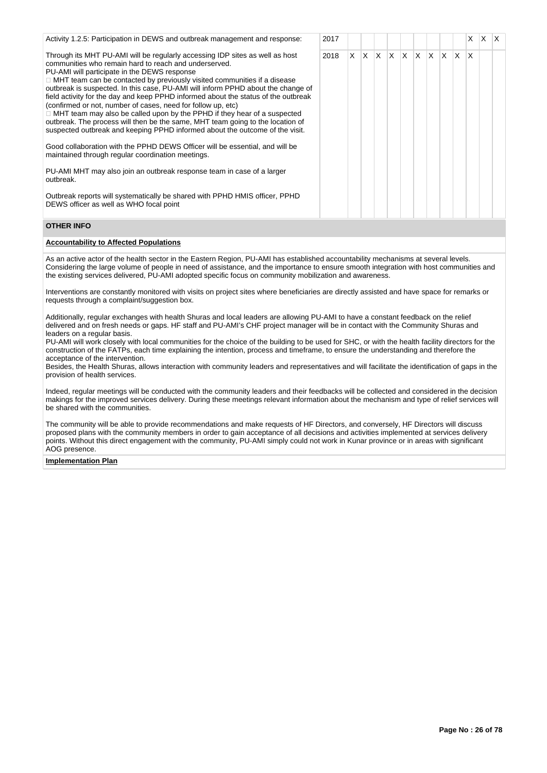| Activity 1.2.5: Participation in DEWS and outbreak management and response:                                                                                                                                                                                                                                                                                                                                                                                                                                                                                                                                                                                                                                                                                                                                                                                                                                                                                                                                                                                                        | 2017 |    |     |                         |              |              |     |              |    | X            | $\times$ | $\mathsf{I} \mathsf{X}$ |
|------------------------------------------------------------------------------------------------------------------------------------------------------------------------------------------------------------------------------------------------------------------------------------------------------------------------------------------------------------------------------------------------------------------------------------------------------------------------------------------------------------------------------------------------------------------------------------------------------------------------------------------------------------------------------------------------------------------------------------------------------------------------------------------------------------------------------------------------------------------------------------------------------------------------------------------------------------------------------------------------------------------------------------------------------------------------------------|------|----|-----|-------------------------|--------------|--------------|-----|--------------|----|--------------|----------|-------------------------|
| Through its MHT PU-AMI will be regularly accessing IDP sites as well as host<br>communities who remain hard to reach and underserved.<br>PU-AMI will participate in the DEWS response<br>$\Box$ MHT team can be contacted by previously visited communities if a disease<br>outbreak is suspected. In this case, PU-AMI will inform PPHD about the change of<br>field activity for the day and keep PPHD informed about the status of the outbreak<br>(confirmed or not, number of cases, need for follow up, etc)<br>$\Box$ MHT team may also be called upon by the PPHD if they hear of a suspected<br>outbreak. The process will then be the same, MHT team going to the location of<br>suspected outbreak and keeping PPHD informed about the outcome of the visit.<br>Good collaboration with the PPHD DEWS Officer will be essential, and will be<br>maintained through regular coordination meetings.<br>PU-AMI MHT may also join an outbreak response team in case of a larger<br>outbreak.<br>Outbreak reports will systematically be shared with PPHD HMIS officer, PPHD | 2018 | X. | IX. | $\mathsf{I} \mathsf{X}$ | $\mathsf{X}$ | $\mathsf{X}$ | ΙX. | $\mathsf{X}$ | XX | $\mathsf{x}$ |          |                         |
| DEWS officer as well as WHO focal point                                                                                                                                                                                                                                                                                                                                                                                                                                                                                                                                                                                                                                                                                                                                                                                                                                                                                                                                                                                                                                            |      |    |     |                         |              |              |     |              |    |              |          |                         |
| <b>OTHER INFO</b>                                                                                                                                                                                                                                                                                                                                                                                                                                                                                                                                                                                                                                                                                                                                                                                                                                                                                                                                                                                                                                                                  |      |    |     |                         |              |              |     |              |    |              |          |                         |

#### **Accountability to Affected Populations**

As an active actor of the health sector in the Eastern Region, PU-AMI has established accountability mechanisms at several levels. Considering the large volume of people in need of assistance, and the importance to ensure smooth integration with host communities and the existing services delivered, PU-AMI adopted specific focus on community mobilization and awareness.

Interventions are constantly monitored with visits on project sites where beneficiaries are directly assisted and have space for remarks or requests through a complaint/suggestion box.

Additionally, regular exchanges with health Shuras and local leaders are allowing PU-AMI to have a constant feedback on the relief delivered and on fresh needs or gaps. HF staff and PU-AMI's CHF project manager will be in contact with the Community Shuras and leaders on a regular basis.

PU-AMI will work closely with local communities for the choice of the building to be used for SHC, or with the health facility directors for the construction of the FATPs, each time explaining the intention, process and timeframe, to ensure the understanding and therefore the acceptance of the intervention.

Besides, the Health Shuras, allows interaction with community leaders and representatives and will facilitate the identification of gaps in the provision of health services.

Indeed, regular meetings will be conducted with the community leaders and their feedbacks will be collected and considered in the decision makings for the improved services delivery. During these meetings relevant information about the mechanism and type of relief services will be shared with the communities.

The community will be able to provide recommendations and make requests of HF Directors, and conversely, HF Directors will discuss proposed plans with the community members in order to gain acceptance of all decisions and activities implemented at services delivery points. Without this direct engagement with the community, PU-AMI simply could not work in Kunar province or in areas with significant AOG presence.

#### **Implementation Plan**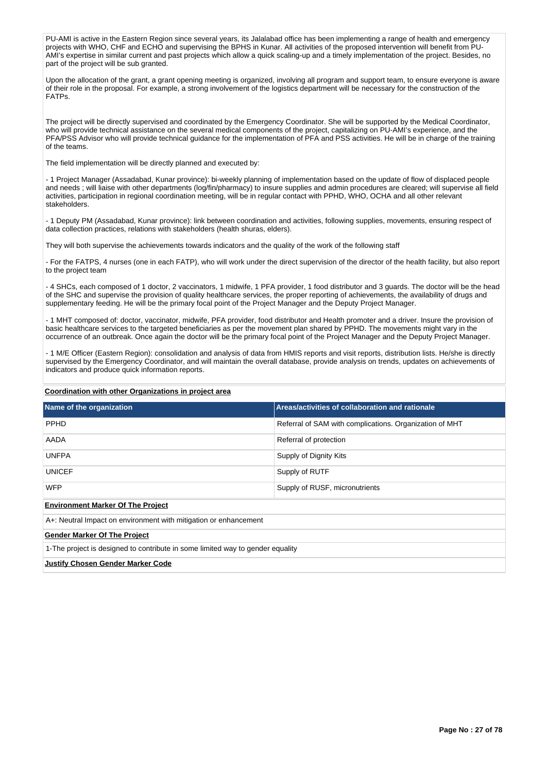PU-AMI is active in the Eastern Region since several years, its Jalalabad office has been implementing a range of health and emergency projects with WHO, CHF and ECHO and supervising the BPHS in Kunar. All activities of the proposed intervention will benefit from PU-AMI's expertise in similar current and past projects which allow a quick scaling-up and a timely implementation of the project. Besides, no part of the project will be sub granted.

Upon the allocation of the grant, a grant opening meeting is organized, involving all program and support team, to ensure everyone is aware of their role in the proposal. For example, a strong involvement of the logistics department will be necessary for the construction of the FATPs.

The project will be directly supervised and coordinated by the Emergency Coordinator. She will be supported by the Medical Coordinator, who will provide technical assistance on the several medical components of the project, capitalizing on PU-AMI's experience, and the PFA/PSS Advisor who will provide technical guidance for the implementation of PFA and PSS activities. He will be in charge of the training of the teams.

The field implementation will be directly planned and executed by:

- 1 Project Manager (Assadabad, Kunar province): bi-weekly planning of implementation based on the update of flow of displaced people and needs ; will liaise with other departments (log/fin/pharmacy) to insure supplies and admin procedures are cleared; will supervise all field activities, participation in regional coordination meeting, will be in regular contact with PPHD, WHO, OCHA and all other relevant stakeholders.

- 1 Deputy PM (Assadabad, Kunar province): link between coordination and activities, following supplies, movements, ensuring respect of data collection practices, relations with stakeholders (health shuras, elders).

They will both supervise the achievements towards indicators and the quality of the work of the following staff

- For the FATPS, 4 nurses (one in each FATP), who will work under the direct supervision of the director of the health facility, but also report to the project team

- 4 SHCs, each composed of 1 doctor, 2 vaccinators, 1 midwife, 1 PFA provider, 1 food distributor and 3 guards. The doctor will be the head of the SHC and supervise the provision of quality healthcare services, the proper reporting of achievements, the availability of drugs and supplementary feeding. He will be the primary focal point of the Project Manager and the Deputy Project Manager.

- 1 MHT composed of: doctor, vaccinator, midwife, PFA provider, food distributor and Health promoter and a driver. Insure the provision of basic healthcare services to the targeted beneficiaries as per the movement plan shared by PPHD. The movements might vary in the occurrence of an outbreak. Once again the doctor will be the primary focal point of the Project Manager and the Deputy Project Manager.

- 1 M/E Officer (Eastern Region): consolidation and analysis of data from HMIS reports and visit reports, distribution lists. He/she is directly supervised by the Emergency Coordinator, and will maintain the overall database, provide analysis on trends, updates on achievements of indicators and produce quick information reports.

#### **Coordination with other Organizations in project area**

| Name of the organization                                                       | Areas/activities of collaboration and rationale         |  |  |  |  |  |  |  |
|--------------------------------------------------------------------------------|---------------------------------------------------------|--|--|--|--|--|--|--|
| <b>PPHD</b>                                                                    | Referral of SAM with complications. Organization of MHT |  |  |  |  |  |  |  |
| AADA                                                                           | Referral of protection                                  |  |  |  |  |  |  |  |
| <b>UNFPA</b><br>Supply of Dignity Kits                                         |                                                         |  |  |  |  |  |  |  |
| <b>UNICEF</b>                                                                  | Supply of RUTF                                          |  |  |  |  |  |  |  |
| <b>WFP</b><br>Supply of RUSF, micronutrients                                   |                                                         |  |  |  |  |  |  |  |
| <b>Environment Marker Of The Project</b>                                       |                                                         |  |  |  |  |  |  |  |
| A+: Neutral Impact on environment with mitigation or enhancement               |                                                         |  |  |  |  |  |  |  |
| <b>Gender Marker Of The Project</b>                                            |                                                         |  |  |  |  |  |  |  |
| 1-The project is designed to contribute in some limited way to gender equality |                                                         |  |  |  |  |  |  |  |
| Justifv Chosen Gender Marker Code                                              |                                                         |  |  |  |  |  |  |  |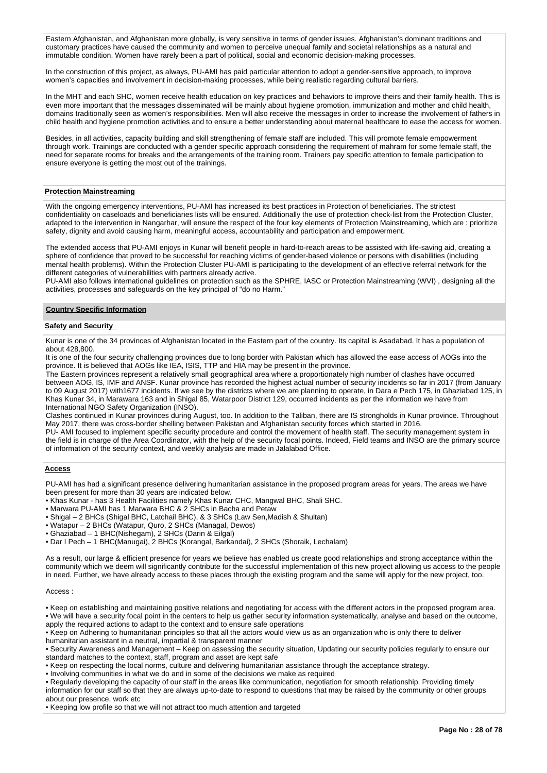Eastern Afghanistan, and Afghanistan more globally, is very sensitive in terms of gender issues. Afghanistan's dominant traditions and customary practices have caused the community and women to perceive unequal family and societal relationships as a natural and immutable condition. Women have rarely been a part of political, social and economic decision-making processes.

In the construction of this project, as always, PU-AMI has paid particular attention to adopt a gender-sensitive approach, to improve women's capacities and involvement in decision-making processes, while being realistic regarding cultural barriers.

In the MHT and each SHC, women receive health education on key practices and behaviors to improve theirs and their family health. This is even more important that the messages disseminated will be mainly about hygiene promotion, immunization and mother and child health, domains traditionally seen as women's responsibilities. Men will also receive the messages in order to increase the involvement of fathers in child health and hygiene promotion activities and to ensure a better understanding about maternal healthcare to ease the access for women.

Besides, in all activities, capacity building and skill strengthening of female staff are included. This will promote female empowerment through work. Trainings are conducted with a gender specific approach considering the requirement of mahram for some female staff, the need for separate rooms for breaks and the arrangements of the training room. Trainers pay specific attention to female participation to ensure everyone is getting the most out of the trainings.

#### **Protection Mainstreaming**

With the ongoing emergency interventions, PU-AMI has increased its best practices in Protection of beneficiaries. The strictest confidentiality on caseloads and beneficiaries lists will be ensured. Additionally the use of protection check-list from the Protection Cluster, adapted to the intervention in Nangarhar, will ensure the respect of the four key elements of Protection Mainstreaming, which are : prioritize safety, dignity and avoid causing harm, meaningful access, accountability and participation and empowerment.

The extended access that PU-AMI enjoys in Kunar will benefit people in hard-to-reach areas to be assisted with life-saving aid, creating a sphere of confidence that proved to be successful for reaching victims of gender-based violence or persons with disabilities (including mental health problems). Within the Protection Cluster PU-AMI is participating to the development of an effective referral network for the different categories of vulnerabilities with partners already active.

PU-AMI also follows international guidelines on protection such as the SPHRE, IASC or Protection Mainstreaming (WVI) , designing all the activities, processes and safeguards on the key principal of "do no Harm."

#### **Country Specific Information**

#### **Safety and Security**

Kunar is one of the 34 provinces of Afghanistan located in the Eastern part of the country. Its capital is Asadabad. It has a population of about 428,800.

It is one of the four security challenging provinces due to long border with Pakistan which has allowed the ease access of AOGs into the province. It is believed that AOGs like IEA, ISIS, TTP and HIA may be present in the province.

The Eastern provinces represent a relatively small geographical area where a proportionately high number of clashes have occurred between AOG, IS, IMF and ANSF. Kunar province has recorded the highest actual number of security incidents so far in 2017 (from January to 09 August 2017) with1677 incidents. If we see by the districts where we are planning to operate, in Dara e Pech 175, in Ghaziabad 125, in Khas Kunar 34, in Marawara 163 and in Shigal 85, Watarpoor District 129, occurred incidents as per the information we have from International NGO Safety Organization (INSO).

Clashes continued in Kunar provinces during August, too. In addition to the Taliban, there are IS strongholds in Kunar province. Throughout May 2017, there was cross-border shelling between Pakistan and Afghanistan security forces which started in 2016.

PU- AMI focused to implement specific security procedure and control the movement of health staff. The security management system in the field is in charge of the Area Coordinator, with the help of the security focal points. Indeed, Field teams and INSO are the primary source of information of the security context, and weekly analysis are made in Jalalabad Office.

### **Access**

PU-AMI has had a significant presence delivering humanitarian assistance in the proposed program areas for years. The areas we have been present for more than 30 years are indicated below.

- Khas Kunar has 3 Health Facilities namely Khas Kunar CHC, Mangwal BHC, Shali SHC.
- Marwara PU-AMI has 1 Marwara BHC & 2 SHCs in Bacha and Petaw
- Shigal 2 BHCs (Shigal BHC, Latchail BHC), & 3 SHCs (Law Sen,Madish & Shultan)
- Watapur 2 BHCs (Watapur, Quro, 2 SHCs (Managal, Dewos)
- Ghaziabad 1 BHC(Nishegam), 2 SHCs (Darin & Eilgal)
- Dar I Pech 1 BHC(Manugai), 2 BHCs (Korangal, Barkandai), 2 SHCs (Shoraik, Lechalam)

As a result, our large & efficient presence for years we believe has enabled us create good relationships and strong acceptance within the community which we deem will significantly contribute for the successful implementation of this new project allowing us access to the people in need. Further, we have already access to these places through the existing program and the same will apply for the new project, too.

#### Access :

• Keep on establishing and maintaining positive relations and negotiating for access with the different actors in the proposed program area. • We will have a security focal point in the centers to help us gather security information systematically, analyse and based on the outcome, apply the required actions to adapt to the context and to ensure safe operations

• Keep on Adhering to humanitarian principles so that all the actors would view us as an organization who is only there to deliver humanitarian assistant in a neutral, impartial & transparent manner

• Security Awareness and Management – Keep on assessing the security situation, Updating our security policies regularly to ensure our standard matches to the context, staff, program and asset are kept safe

• Keep on respecting the local norms, culture and delivering humanitarian assistance through the acceptance strategy.

• Involving communities in what we do and in some of the decisions we make as required

• Regularly developing the capacity of our staff in the areas like communication, negotiation for smooth relationship. Providing timely information for our staff so that they are always up-to-date to respond to questions that may be raised by the community or other groups about our presence, work etc

• Keeping low profile so that we will not attract too much attention and targeted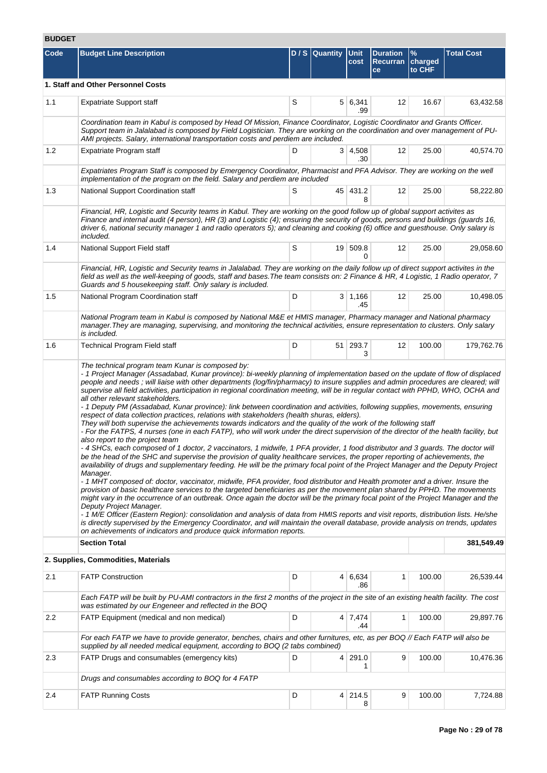# **BUDGET**

| Code    | <b>Budget Line Description</b>                                                                                                                                                                                                                                                                                                                                                                                                                                                                                                                                                                                                                                                                                                                                                                                                                                                                                                                                                                                                                                                                                                                                                                                                                                                                                                                                                                                                                                                                                                                                                                                                                                                                                                                                                                                                                                                                                                                                                                                                                                                                                                                                                     |             | D / S   Quantity   Unit | cost                  | <b>Duration</b><br><b>Recurran</b><br>ce | $\frac{9}{6}$<br>charged<br>to CHF | <b>Total Cost</b> |  |  |  |  |
|---------|------------------------------------------------------------------------------------------------------------------------------------------------------------------------------------------------------------------------------------------------------------------------------------------------------------------------------------------------------------------------------------------------------------------------------------------------------------------------------------------------------------------------------------------------------------------------------------------------------------------------------------------------------------------------------------------------------------------------------------------------------------------------------------------------------------------------------------------------------------------------------------------------------------------------------------------------------------------------------------------------------------------------------------------------------------------------------------------------------------------------------------------------------------------------------------------------------------------------------------------------------------------------------------------------------------------------------------------------------------------------------------------------------------------------------------------------------------------------------------------------------------------------------------------------------------------------------------------------------------------------------------------------------------------------------------------------------------------------------------------------------------------------------------------------------------------------------------------------------------------------------------------------------------------------------------------------------------------------------------------------------------------------------------------------------------------------------------------------------------------------------------------------------------------------------------|-------------|-------------------------|-----------------------|------------------------------------------|------------------------------------|-------------------|--|--|--|--|
|         | 1. Staff and Other Personnel Costs                                                                                                                                                                                                                                                                                                                                                                                                                                                                                                                                                                                                                                                                                                                                                                                                                                                                                                                                                                                                                                                                                                                                                                                                                                                                                                                                                                                                                                                                                                                                                                                                                                                                                                                                                                                                                                                                                                                                                                                                                                                                                                                                                 |             |                         |                       |                                          |                                    |                   |  |  |  |  |
| 1.1     | <b>Expatriate Support staff</b>                                                                                                                                                                                                                                                                                                                                                                                                                                                                                                                                                                                                                                                                                                                                                                                                                                                                                                                                                                                                                                                                                                                                                                                                                                                                                                                                                                                                                                                                                                                                                                                                                                                                                                                                                                                                                                                                                                                                                                                                                                                                                                                                                    | S           |                         | 5 6,341<br>.99        | 12                                       | 16.67                              | 63,432.58         |  |  |  |  |
|         | Coordination team in Kabul is composed by Head Of Mission, Finance Coordinator, Logistic Coordinator and Grants Officer.<br>Support team in Jalalabad is composed by Field Logistician. They are working on the coordination and over management of PU-<br>AMI projects. Salary, international transportation costs and perdiem are included.                                                                                                                                                                                                                                                                                                                                                                                                                                                                                                                                                                                                                                                                                                                                                                                                                                                                                                                                                                                                                                                                                                                                                                                                                                                                                                                                                                                                                                                                                                                                                                                                                                                                                                                                                                                                                                      |             |                         |                       |                                          |                                    |                   |  |  |  |  |
| 1.2     | Expatriate Program staff                                                                                                                                                                                                                                                                                                                                                                                                                                                                                                                                                                                                                                                                                                                                                                                                                                                                                                                                                                                                                                                                                                                                                                                                                                                                                                                                                                                                                                                                                                                                                                                                                                                                                                                                                                                                                                                                                                                                                                                                                                                                                                                                                           | D           |                         | $3 \mid 4,508$<br>.30 | 12                                       | 25.00                              | 40,574.70         |  |  |  |  |
|         | Expatriates Program Staff is composed by Emergency Coordinator, Pharmacist and PFA Advisor. They are working on the well<br>implementation of the program on the field. Salary and perdiem are included                                                                                                                                                                                                                                                                                                                                                                                                                                                                                                                                                                                                                                                                                                                                                                                                                                                                                                                                                                                                                                                                                                                                                                                                                                                                                                                                                                                                                                                                                                                                                                                                                                                                                                                                                                                                                                                                                                                                                                            |             |                         |                       |                                          |                                    |                   |  |  |  |  |
| 1.3     | National Support Coordination staff                                                                                                                                                                                                                                                                                                                                                                                                                                                                                                                                                                                                                                                                                                                                                                                                                                                                                                                                                                                                                                                                                                                                                                                                                                                                                                                                                                                                                                                                                                                                                                                                                                                                                                                                                                                                                                                                                                                                                                                                                                                                                                                                                | 12<br>25.00 | 58,222.80               |                       |                                          |                                    |                   |  |  |  |  |
|         | Financial, HR, Logistic and Security teams in Kabul. They are working on the good follow up of global support activites as<br>Finance and internal audit (4 person), HR (3) and Logistic (4); ensuring the security of goods, persons and buildings (guards 16,<br>driver 6, national security manager 1 and radio operators 5); and cleaning and cooking (6) office and guesthouse. Only salary is<br>included.                                                                                                                                                                                                                                                                                                                                                                                                                                                                                                                                                                                                                                                                                                                                                                                                                                                                                                                                                                                                                                                                                                                                                                                                                                                                                                                                                                                                                                                                                                                                                                                                                                                                                                                                                                   |             |                         |                       |                                          |                                    |                   |  |  |  |  |
| 1.4     | National Support Field staff                                                                                                                                                                                                                                                                                                                                                                                                                                                                                                                                                                                                                                                                                                                                                                                                                                                                                                                                                                                                                                                                                                                                                                                                                                                                                                                                                                                                                                                                                                                                                                                                                                                                                                                                                                                                                                                                                                                                                                                                                                                                                                                                                       | S           |                         | 19 509.8<br>$\Omega$  | 12                                       | 25.00                              | 29,058.60         |  |  |  |  |
|         | Financial, HR, Logistic and Security teams in Jalalabad. They are working on the daily follow up of direct support activites in the<br>field as well as the well-keeping of goods, staff and bases. The team consists on: 2 Finance & HR, 4 Logistic, 1 Radio operator, 7<br>Guards and 5 housekeeping staff. Only salary is included.                                                                                                                                                                                                                                                                                                                                                                                                                                                                                                                                                                                                                                                                                                                                                                                                                                                                                                                                                                                                                                                                                                                                                                                                                                                                                                                                                                                                                                                                                                                                                                                                                                                                                                                                                                                                                                             |             |                         |                       |                                          |                                    |                   |  |  |  |  |
| 1.5     | National Program Coordination staff                                                                                                                                                                                                                                                                                                                                                                                                                                                                                                                                                                                                                                                                                                                                                                                                                                                                                                                                                                                                                                                                                                                                                                                                                                                                                                                                                                                                                                                                                                                                                                                                                                                                                                                                                                                                                                                                                                                                                                                                                                                                                                                                                | D           |                         | 3 1,166<br>.45        | 12                                       | 25.00                              | 10,498.05         |  |  |  |  |
|         | National Program team in Kabul is composed by National M&E et HMIS manager, Pharmacy manager and National pharmacy<br>manager. They are managing, supervising, and monitoring the technical activities, ensure representation to clusters. Only salary<br>is included.                                                                                                                                                                                                                                                                                                                                                                                                                                                                                                                                                                                                                                                                                                                                                                                                                                                                                                                                                                                                                                                                                                                                                                                                                                                                                                                                                                                                                                                                                                                                                                                                                                                                                                                                                                                                                                                                                                             |             |                         |                       |                                          |                                    |                   |  |  |  |  |
| 1.6     | Technical Program Field staff                                                                                                                                                                                                                                                                                                                                                                                                                                                                                                                                                                                                                                                                                                                                                                                                                                                                                                                                                                                                                                                                                                                                                                                                                                                                                                                                                                                                                                                                                                                                                                                                                                                                                                                                                                                                                                                                                                                                                                                                                                                                                                                                                      | D           |                         | 51 293.7<br>3         | 12                                       | 100.00                             | 179,762.76        |  |  |  |  |
|         | - 1 Project Manager (Assadabad, Kunar province): bi-weekly planning of implementation based on the update of flow of displaced<br>people and needs; will liaise with other departments (log/fin/pharmacy) to insure supplies and admin procedures are cleared; will<br>supervise all field activities, participation in regional coordination meeting, will be in regular contact with PPHD, WHO, OCHA and<br>all other relevant stakeholders.<br>- 1 Deputy PM (Assadabad, Kunar province): link between coordination and activities, following supplies, movements, ensuring<br>respect of data collection practices, relations with stakeholders (health shuras, elders).<br>They will both supervise the achievements towards indicators and the quality of the work of the following staff<br>- For the FATPS, 4 nurses (one in each FATP), who will work under the direct supervision of the director of the health facility, but<br>also report to the project team<br>- 4 SHCs, each composed of 1 doctor, 2 vaccinators, 1 midwife, 1 PFA provider, 1 food distributor and 3 guards. The doctor will<br>be the head of the SHC and supervise the provision of quality healthcare services, the proper reporting of achievements, the<br>availability of drugs and supplementary feeding. He will be the primary focal point of the Project Manager and the Deputy Project<br>Manager.<br>- 1 MHT composed of: doctor, vaccinator, midwife, PFA provider, food distributor and Health promoter and a driver. Insure the<br>provision of basic healthcare services to the targeted beneficiaries as per the movement plan shared by PPHD. The movements<br>might vary in the occurrence of an outbreak. Once again the doctor will be the primary focal point of the Project Manager and the<br>Deputy Project Manager.<br>- 1 M/E Officer (Eastern Region): consolidation and analysis of data from HMIS reports and visit reports, distribution lists. He/she<br>is directly supervised by the Emergency Coordinator, and will maintain the overall database, provide analysis on trends, updates<br>on achievements of indicators and produce quick information reports. |             |                         |                       |                                          |                                    |                   |  |  |  |  |
|         | <b>Section Total</b>                                                                                                                                                                                                                                                                                                                                                                                                                                                                                                                                                                                                                                                                                                                                                                                                                                                                                                                                                                                                                                                                                                                                                                                                                                                                                                                                                                                                                                                                                                                                                                                                                                                                                                                                                                                                                                                                                                                                                                                                                                                                                                                                                               |             |                         |                       |                                          |                                    | 381,549.49        |  |  |  |  |
| 2.1     | 2. Supplies, Commodities, Materials<br><b>FATP Construction</b>                                                                                                                                                                                                                                                                                                                                                                                                                                                                                                                                                                                                                                                                                                                                                                                                                                                                                                                                                                                                                                                                                                                                                                                                                                                                                                                                                                                                                                                                                                                                                                                                                                                                                                                                                                                                                                                                                                                                                                                                                                                                                                                    | D           |                         | 4 6,634               | 1                                        | 100.00                             |                   |  |  |  |  |
|         | Each FATP will be built by PU-AMI contractors in the first 2 months of the project in the site of an existing health facility. The cost                                                                                                                                                                                                                                                                                                                                                                                                                                                                                                                                                                                                                                                                                                                                                                                                                                                                                                                                                                                                                                                                                                                                                                                                                                                                                                                                                                                                                                                                                                                                                                                                                                                                                                                                                                                                                                                                                                                                                                                                                                            |             |                         | .86                   |                                          |                                    | 26,539.44         |  |  |  |  |
|         | was estimated by our Engeneer and reflected in the BOQ                                                                                                                                                                                                                                                                                                                                                                                                                                                                                                                                                                                                                                                                                                                                                                                                                                                                                                                                                                                                                                                                                                                                                                                                                                                                                                                                                                                                                                                                                                                                                                                                                                                                                                                                                                                                                                                                                                                                                                                                                                                                                                                             |             |                         |                       |                                          |                                    |                   |  |  |  |  |
| $2.2\,$ | FATP Equipment (medical and non medical)                                                                                                                                                                                                                                                                                                                                                                                                                                                                                                                                                                                                                                                                                                                                                                                                                                                                                                                                                                                                                                                                                                                                                                                                                                                                                                                                                                                                                                                                                                                                                                                                                                                                                                                                                                                                                                                                                                                                                                                                                                                                                                                                           | D           |                         | $4 \mid 7,474$<br>.44 | 1                                        | 100.00                             | 29,897.76         |  |  |  |  |
|         | For each FATP we have to provide generator, benches, chairs and other furnitures, etc, as per BOQ // Each FATP will also be<br>supplied by all needed medical equipment, according to BOQ (2 tabs combined)                                                                                                                                                                                                                                                                                                                                                                                                                                                                                                                                                                                                                                                                                                                                                                                                                                                                                                                                                                                                                                                                                                                                                                                                                                                                                                                                                                                                                                                                                                                                                                                                                                                                                                                                                                                                                                                                                                                                                                        |             |                         |                       |                                          |                                    |                   |  |  |  |  |
| 2.3     | FATP Drugs and consumables (emergency kits)                                                                                                                                                                                                                                                                                                                                                                                                                                                                                                                                                                                                                                                                                                                                                                                                                                                                                                                                                                                                                                                                                                                                                                                                                                                                                                                                                                                                                                                                                                                                                                                                                                                                                                                                                                                                                                                                                                                                                                                                                                                                                                                                        | D           | 4                       | 291.0<br>1            | 9                                        | 100.00                             | 10,476.36         |  |  |  |  |
|         | Drugs and consumables according to BOQ for 4 FATP                                                                                                                                                                                                                                                                                                                                                                                                                                                                                                                                                                                                                                                                                                                                                                                                                                                                                                                                                                                                                                                                                                                                                                                                                                                                                                                                                                                                                                                                                                                                                                                                                                                                                                                                                                                                                                                                                                                                                                                                                                                                                                                                  |             |                         |                       |                                          |                                    |                   |  |  |  |  |
| 2.4     | <b>FATP Running Costs</b>                                                                                                                                                                                                                                                                                                                                                                                                                                                                                                                                                                                                                                                                                                                                                                                                                                                                                                                                                                                                                                                                                                                                                                                                                                                                                                                                                                                                                                                                                                                                                                                                                                                                                                                                                                                                                                                                                                                                                                                                                                                                                                                                                          | D           |                         | 4 214.5<br>8          | 9                                        | 100.00                             | 7,724.88          |  |  |  |  |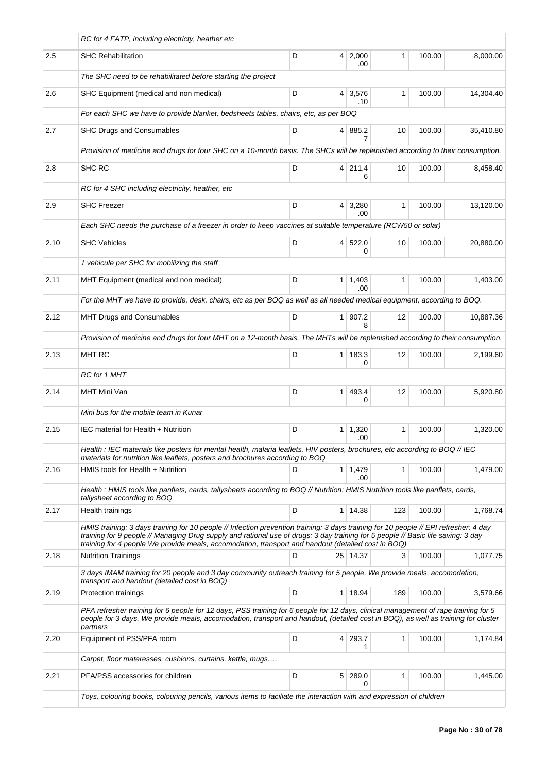|      | RC for 4 FATP, including electricty, heather etc                                                                                                                                                                                                                                                                                                                               |   |                |                       |     |        |           |
|------|--------------------------------------------------------------------------------------------------------------------------------------------------------------------------------------------------------------------------------------------------------------------------------------------------------------------------------------------------------------------------------|---|----------------|-----------------------|-----|--------|-----------|
| 2.5  | <b>SHC Rehabilitation</b>                                                                                                                                                                                                                                                                                                                                                      | D |                | 4 2,000<br>.00        | 1   | 100.00 | 8,000.00  |
|      | The SHC need to be rehabilitated before starting the project                                                                                                                                                                                                                                                                                                                   |   |                |                       |     |        |           |
| 2.6  | SHC Equipment (medical and non medical)                                                                                                                                                                                                                                                                                                                                        | D |                | 4 3,576<br>.10        | 1   | 100.00 | 14,304.40 |
|      | For each SHC we have to provide blanket, bedsheets tables, chairs, etc, as per BOQ                                                                                                                                                                                                                                                                                             |   |                |                       |     |        |           |
| 2.7  | SHC Drugs and Consumables                                                                                                                                                                                                                                                                                                                                                      | D |                | 4 885.2<br>7          | 10  | 100.00 | 35,410.80 |
|      | Provision of medicine and drugs for four SHC on a 10-month basis. The SHCs will be replenished according to their consumption.                                                                                                                                                                                                                                                 |   |                |                       |     |        |           |
| 2.8  | SHC RC                                                                                                                                                                                                                                                                                                                                                                         | D | $\vert$        | 211.4<br>6            | 10  | 100.00 | 8,458.40  |
|      | RC for 4 SHC including electricity, heather, etc                                                                                                                                                                                                                                                                                                                               |   |                |                       |     |        |           |
| 2.9  | <b>SHC Freezer</b>                                                                                                                                                                                                                                                                                                                                                             | D |                | $4 \mid 3,280$<br>.00 | 1   | 100.00 | 13,120.00 |
|      | Each SHC needs the purchase of a freezer in order to keep vaccines at suitable temperature (RCW50 or solar)                                                                                                                                                                                                                                                                    |   |                |                       |     |        |           |
| 2.10 | <b>SHC Vehicles</b>                                                                                                                                                                                                                                                                                                                                                            | D | 4 <sup>1</sup> | 522.0<br>0            | 10  | 100.00 | 20,880.00 |
|      | 1 vehicule per SHC for mobilizing the staff                                                                                                                                                                                                                                                                                                                                    |   |                |                       |     |        |           |
| 2.11 | MHT Equipment (medical and non medical)                                                                                                                                                                                                                                                                                                                                        | D |                | $1 \mid 1,403$<br>.00 | 1   | 100.00 | 1,403.00  |
|      | For the MHT we have to provide, desk, chairs, etc as per BOQ as well as all needed medical equipment, according to BOQ.                                                                                                                                                                                                                                                        |   |                |                       |     |        |           |
| 2.12 | MHT Drugs and Consumables                                                                                                                                                                                                                                                                                                                                                      | D | 1 <sup>1</sup> | 907.2<br>8            | 12  | 100.00 | 10,887.36 |
|      | Provision of medicine and drugs for four MHT on a 12-month basis. The MHTs will be replenished according to their consumption.                                                                                                                                                                                                                                                 |   |                |                       |     |        |           |
| 2.13 | <b>MHT RC</b>                                                                                                                                                                                                                                                                                                                                                                  | D | $\mathbf{1}$   | 183.3<br>0            | 12  | 100.00 | 2,199.60  |
|      | RC for 1 MHT                                                                                                                                                                                                                                                                                                                                                                   |   |                |                       |     |        |           |
| 2.14 | MHT Mini Van                                                                                                                                                                                                                                                                                                                                                                   | D | 1 <sup>1</sup> | 493.4<br>0            | 12  | 100.00 | 5,920.80  |
|      | Mini bus for the mobile team in Kunar                                                                                                                                                                                                                                                                                                                                          |   |                |                       |     |        |           |
| 2.15 | IEC material for Health + Nutrition                                                                                                                                                                                                                                                                                                                                            | D | 1 <sup>1</sup> | 1,320<br>.00          | 1   | 100.00 | 1,320.00  |
|      | Health : IEC materials like posters for mental health, malaria leaflets, HIV posters, brochures, etc according to BOQ // IEC<br>materials for nutrition like leaflets, posters and brochures according to BOQ                                                                                                                                                                  |   |                |                       |     |        |           |
| 2.16 | HMIS tools for Health + Nutrition                                                                                                                                                                                                                                                                                                                                              | D |                | $1 \mid 1,479$<br>.00 | 1   | 100.00 | 1,479.00  |
|      | Health : HMIS tools like panflets, cards, tallysheets according to BOQ // Nutrition: HMIS Nutrition tools like panflets, cards,<br>tallysheet according to BOQ                                                                                                                                                                                                                 |   |                |                       |     |        |           |
| 2.17 | Health trainings                                                                                                                                                                                                                                                                                                                                                               | D |                | 1 14.38               | 123 | 100.00 | 1,768.74  |
|      | HMIS training: 3 days training for 10 people // Infection prevention training: 3 days training for 10 people // EPI refresher: 4 day<br>training for 9 people // Managing Drug supply and rational use of drugs: 3 day training for 5 people // Basic life saving: 3 day<br>training for 4 people We provide meals, accomodation, transport and handout (detailed cost in BOQ) |   |                |                       |     |        |           |
| 2.18 | <b>Nutrition Trainings</b>                                                                                                                                                                                                                                                                                                                                                     | D |                | 25 14.37              | 3   | 100.00 | 1,077.75  |
|      | 3 days IMAM training for 20 people and 3 day community outreach training for 5 people, We provide meals, accomodation,<br>transport and handout (detailed cost in BOQ)                                                                                                                                                                                                         |   |                |                       |     |        |           |
| 2.19 | Protection trainings                                                                                                                                                                                                                                                                                                                                                           | D |                | 1 18.94               | 189 | 100.00 | 3,579.66  |
|      | PFA refresher training for 6 people for 12 days, PSS training for 6 people for 12 days, clinical management of rape training for 5<br>people for 3 days. We provide meals, accomodation, transport and handout, (detailed cost in BOQ), as well as training for cluster<br>partners                                                                                            |   |                |                       |     |        |           |
| 2.20 | Equipment of PSS/PFA room                                                                                                                                                                                                                                                                                                                                                      | D | 4 <sup>1</sup> | 293.7<br>1            | 1   | 100.00 | 1,174.84  |
|      | Carpet, floor materesses, cushions, curtains, kettle, mugs                                                                                                                                                                                                                                                                                                                     |   |                |                       |     |        |           |
| 2.21 | PFA/PSS accessories for children                                                                                                                                                                                                                                                                                                                                               | D | 5 <sup>1</sup> | 289.0                 | 1   | 100.00 | 1,445.00  |
|      | Toys, colouring books, colouring pencils, various items to faciliate the interaction with and expression of children                                                                                                                                                                                                                                                           |   |                |                       |     |        |           |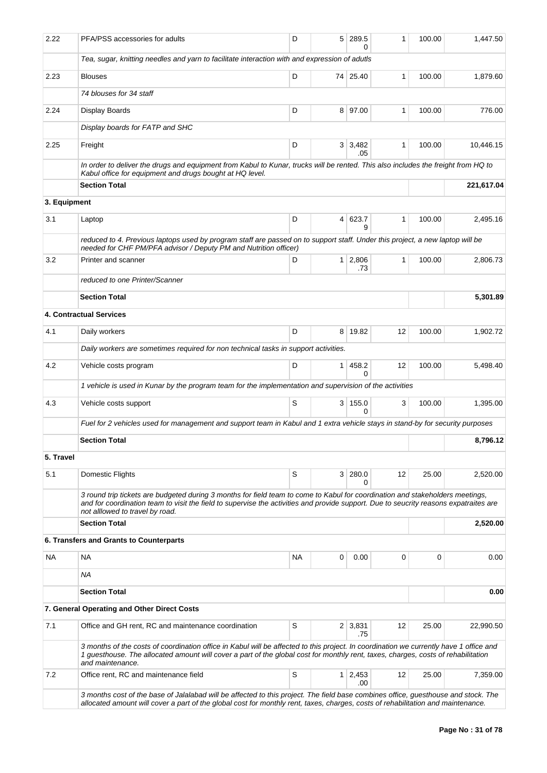| 2.22         | PFA/PSS accessories for adults                                                                                                                                                                                                                                                                  | D  | 5 <sup>1</sup> | 289.5<br>$\Omega$     | 1  | 100.00 | 1,447.50   |
|--------------|-------------------------------------------------------------------------------------------------------------------------------------------------------------------------------------------------------------------------------------------------------------------------------------------------|----|----------------|-----------------------|----|--------|------------|
|              | Tea, sugar, knitting needles and yarn to facilitate interaction with and expression of adutls                                                                                                                                                                                                   |    |                |                       |    |        |            |
| 2.23         | <b>Blouses</b>                                                                                                                                                                                                                                                                                  | D  |                | 74 25.40              | 1  | 100.00 | 1,879.60   |
|              | 74 blouses for 34 staff                                                                                                                                                                                                                                                                         |    |                |                       |    |        |            |
| 2.24         | <b>Display Boards</b>                                                                                                                                                                                                                                                                           | D  |                | 8 97.00               | 1  | 100.00 | 776.00     |
|              | Display boards for FATP and SHC                                                                                                                                                                                                                                                                 |    |                |                       |    |        |            |
| 2.25         | Freight                                                                                                                                                                                                                                                                                         | D  |                | 3 3,482               | 1  | 100.00 | 10,446.15  |
|              | In order to deliver the drugs and equipment from Kabul to Kunar, trucks will be rented. This also includes the freight from HQ to                                                                                                                                                               |    |                | .05                   |    |        |            |
|              | Kabul office for equipment and drugs bought at HQ level.<br><b>Section Total</b>                                                                                                                                                                                                                |    |                |                       |    |        | 221,617.04 |
| 3. Equipment |                                                                                                                                                                                                                                                                                                 |    |                |                       |    |        |            |
| 3.1          | Laptop                                                                                                                                                                                                                                                                                          | D  | 4 <sup>1</sup> | 623.7                 | 1  | 100.00 | 2,495.16   |
|              | reduced to 4. Previous laptops used by program staff are passed on to support staff. Under this project, a new laptop will be                                                                                                                                                                   |    |                | я                     |    |        |            |
|              | needed for CHF PM/PFA advisor / Deputy PM and Nutrition officer)                                                                                                                                                                                                                                |    |                |                       |    |        |            |
| 3.2          | Printer and scanner                                                                                                                                                                                                                                                                             | D  |                | $1 \mid 2,806$<br>.73 | 1  | 100.00 | 2,806.73   |
|              | reduced to one Printer/Scanner                                                                                                                                                                                                                                                                  |    |                |                       |    |        |            |
|              | <b>Section Total</b>                                                                                                                                                                                                                                                                            |    |                |                       |    |        | 5.301.89   |
|              | 4. Contractual Services                                                                                                                                                                                                                                                                         |    |                |                       |    |        |            |
| 4.1          | Daily workers                                                                                                                                                                                                                                                                                   | D  |                | 8 19.82               | 12 | 100.00 | 1,902.72   |
|              | Daily workers are sometimes required for non technical tasks in support activities.                                                                                                                                                                                                             |    |                |                       |    |        |            |
| 4.2          | Vehicle costs program                                                                                                                                                                                                                                                                           | D  | $\mathbf{1}$   | 458.2<br>0            | 12 | 100.00 | 5,498.40   |
|              | 1 vehicle is used in Kunar by the program team for the implementation and supervision of the activities                                                                                                                                                                                         |    |                |                       |    |        |            |
| 4.3          | Vehicle costs support                                                                                                                                                                                                                                                                           | S  |                | 3   155.0<br>$\Omega$ | 3  | 100.00 | 1,395.00   |
|              | Fuel for 2 vehicles used for management and support team in Kabul and 1 extra vehicle stays in stand-by for security purposes                                                                                                                                                                   |    |                |                       |    |        |            |
|              | <b>Section Total</b>                                                                                                                                                                                                                                                                            |    |                |                       |    |        | 8,796.12   |
| 5. Travel    |                                                                                                                                                                                                                                                                                                 |    |                |                       |    |        |            |
| 5.1          | Domestic Flights                                                                                                                                                                                                                                                                                | S  |                | 3 280.0               | 12 | 25.00  | 2,520.00   |
|              | 3 round trip tickets are budgeted during 3 months for field team to come to Kabul for coordination and stakeholders meetings,                                                                                                                                                                   |    |                | 0                     |    |        |            |
|              | and for coordination team to visit the field to supervise the activities and provide support. Due to seucrity reasons expatraites are<br>not alllowed to travel by road.                                                                                                                        |    |                |                       |    |        |            |
|              | <b>Section Total</b>                                                                                                                                                                                                                                                                            |    |                |                       |    |        | 2,520.00   |
|              | 6. Transfers and Grants to Counterparts                                                                                                                                                                                                                                                         |    |                |                       |    |        |            |
| <b>NA</b>    | NA                                                                                                                                                                                                                                                                                              | NA | 0              | 0.00                  | 0  | 0      | 0.00       |
|              | ΝA                                                                                                                                                                                                                                                                                              |    |                |                       |    |        |            |
|              | <b>Section Total</b>                                                                                                                                                                                                                                                                            |    |                |                       |    |        | 0.00       |
|              | 7. General Operating and Other Direct Costs                                                                                                                                                                                                                                                     |    |                |                       |    |        |            |
| 7.1          | Office and GH rent, RC and maintenance coordination                                                                                                                                                                                                                                             | S  |                | $2 \mid 3,831$<br>.75 | 12 | 25.00  | 22,990.50  |
|              | 3 months of the costs of coordination office in Kabul will be affected to this project. In coordination we currently have 1 office and<br>1 guesthouse. The allocated amount will cover a part of the global cost for monthly rent, taxes, charges, costs of rehabilitation<br>and maintenance. |    |                |                       |    |        |            |
| 7.2          | Office rent, RC and maintenance field                                                                                                                                                                                                                                                           | S  | 1 <sup>1</sup> | 2,453                 | 12 | 25.00  | 7,359.00   |
|              | 3 months cost of the base of Jalalabad will be affected to this project. The field base combines office, guesthouse and stock. The<br>allocated amount will cover a part of the global cost for monthly rent, taxes, charges, costs of rehabilitation and maintenance.                          |    |                | .00                   |    |        |            |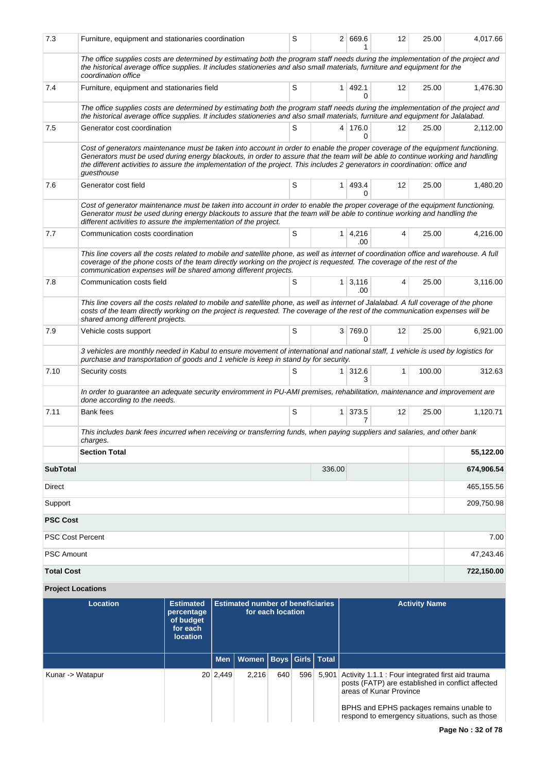| 7.3                     | Furniture, equipment and stationaries coordination                                                                                                                                                                                                                                                                                                                                                              | S |                | 2 669.6             | 12                | 25.00  | 4,017.66   |  |
|-------------------------|-----------------------------------------------------------------------------------------------------------------------------------------------------------------------------------------------------------------------------------------------------------------------------------------------------------------------------------------------------------------------------------------------------------------|---|----------------|---------------------|-------------------|--------|------------|--|
|                         | The office supplies costs are determined by estimating both the program staff needs during the implementation of the project and<br>the historical average office supplies. It includes stationeries and also small materials, furniture and equipment for the<br>coordination office                                                                                                                           |   |                |                     |                   |        |            |  |
| 7.4                     | Furniture, equipment and stationaries field                                                                                                                                                                                                                                                                                                                                                                     | S | $\mathbf{1}$   | 492.1<br>0          | $12 \overline{ }$ | 25.00  | 1,476.30   |  |
|                         | The office supplies costs are determined by estimating both the program staff needs during the implementation of the project and<br>the historical average office supplies. It includes stationeries and also small materials, furniture and equipment for Jalalabad.                                                                                                                                           |   |                |                     |                   |        |            |  |
| 7.5                     | Generator cost coordination                                                                                                                                                                                                                                                                                                                                                                                     | S |                | 4 176.0<br>0        | 12                | 25.00  | 2,112.00   |  |
|                         | Cost of generators maintenance must be taken into account in order to enable the proper coverage of the equipment functioning.<br>Generators must be used during energy blackouts, in order to assure that the team will be able to continue working and handling<br>the different activities to assure the implementation of the project. This includes 2 generators in coordination: office and<br>guesthouse |   |                |                     |                   |        |            |  |
| 7.6                     | Generator cost field                                                                                                                                                                                                                                                                                                                                                                                            | S | $\mathbf{1}$   | 493.4<br>0          | 12                | 25.00  | 1,480.20   |  |
|                         | Cost of generator maintenance must be taken into account in order to enable the proper coverage of the equipment functioning.<br>Generator must be used during energy blackouts to assure that the team will be able to continue working and handling the<br>different activities to assure the implementation of the project.                                                                                  |   |                |                     |                   |        |            |  |
| 7.7                     | Communication costs coordination                                                                                                                                                                                                                                                                                                                                                                                | S | 1 <sup>1</sup> | 4,216<br>.00        | 4                 | 25.00  | 4,216.00   |  |
|                         | This line covers all the costs related to mobile and satellite phone, as well as internet of coordination office and warehouse. A full<br>coverage of the phone costs of the team directly working on the project is requested. The coverage of the rest of the<br>communication expenses will be shared among different projects.                                                                              |   |                |                     |                   |        |            |  |
| 7.8                     | Communication costs field                                                                                                                                                                                                                                                                                                                                                                                       | S | 1 <sup>1</sup> | 3,116<br>.00        | 4                 | 25.00  | 3,116.00   |  |
|                         | This line covers all the costs related to mobile and satellite phone, as well as internet of Jalalabad. A full coverage of the phone<br>costs of the team directly working on the project is requested. The coverage of the rest of the communication expenses will be<br>shared among different projects.                                                                                                      |   |                |                     |                   |        |            |  |
| 7.9                     | Vehicle costs support                                                                                                                                                                                                                                                                                                                                                                                           | S |                | 3 769.0<br>$\Omega$ | 12                | 25.00  | 6,921.00   |  |
|                         | 3 vehicles are monthly needed in Kabul to ensure movement of international and national staff, 1 vehicle is used by logistics for<br>purchase and transportation of goods and 1 vehicle is keep in stand by for security.                                                                                                                                                                                       |   |                |                     |                   |        |            |  |
| 7.10                    | Security costs                                                                                                                                                                                                                                                                                                                                                                                                  | S | 1              | 312.6<br>3          | $\mathbf{1}$      | 100.00 | 312.63     |  |
|                         | In order to guarantee an adequate security enviromment in PU-AMI premises, rehabilitation, maintenance and improvement are<br>done according to the needs.                                                                                                                                                                                                                                                      |   |                |                     |                   |        |            |  |
| 7.11                    | <b>Bank fees</b>                                                                                                                                                                                                                                                                                                                                                                                                | S | 1 <sup>1</sup> | 373.5<br>7          | 12                | 25.00  | 1,120.71   |  |
|                         | This includes bank fees incurred when receiving or transferring funds, when paying suppliers and salaries, and other bank<br>charges.                                                                                                                                                                                                                                                                           |   |                |                     |                   |        |            |  |
|                         | <b>Section Total</b>                                                                                                                                                                                                                                                                                                                                                                                            |   |                |                     |                   |        | 55,122.00  |  |
| <b>SubTotal</b>         |                                                                                                                                                                                                                                                                                                                                                                                                                 |   | 336.00         |                     |                   |        | 674,906.54 |  |
| <b>Direct</b>           |                                                                                                                                                                                                                                                                                                                                                                                                                 |   |                |                     |                   |        | 465,155.56 |  |
| Support                 |                                                                                                                                                                                                                                                                                                                                                                                                                 |   |                |                     |                   |        | 209,750.98 |  |
| <b>PSC Cost</b>         |                                                                                                                                                                                                                                                                                                                                                                                                                 |   |                |                     |                   |        |            |  |
| <b>PSC Cost Percent</b> |                                                                                                                                                                                                                                                                                                                                                                                                                 |   |                |                     |                   |        | 7.00       |  |
| <b>PSC Amount</b>       |                                                                                                                                                                                                                                                                                                                                                                                                                 |   | 47,243.46      |                     |                   |        |            |  |
| <b>Total Cost</b>       |                                                                                                                                                                                                                                                                                                                                                                                                                 |   |                |                     |                   |        | 722,150.00 |  |

**Project Locations**

| Location         | <b>Estimated</b><br>percentage<br>of budget<br>for each<br><b>location</b> |          | <b>Estimated number of beneficiaries</b><br>for each location |     |     |       | <b>Activity Name</b>                                                                                                                                                                                                            |
|------------------|----------------------------------------------------------------------------|----------|---------------------------------------------------------------|-----|-----|-------|---------------------------------------------------------------------------------------------------------------------------------------------------------------------------------------------------------------------------------|
|                  |                                                                            |          | Men   Women   Boys   Girls   Total                            |     |     |       |                                                                                                                                                                                                                                 |
| Kunar -> Watapur |                                                                            | 20 2,449 | 2.216                                                         | 640 | 596 | 5,901 | Activity 1.1.1 : Four integrated first aid trauma<br>posts (FATP) are established in conflict affected<br>areas of Kunar Province<br>BPHS and EPHS packages remains unable to<br>respond to emergency situations, such as those |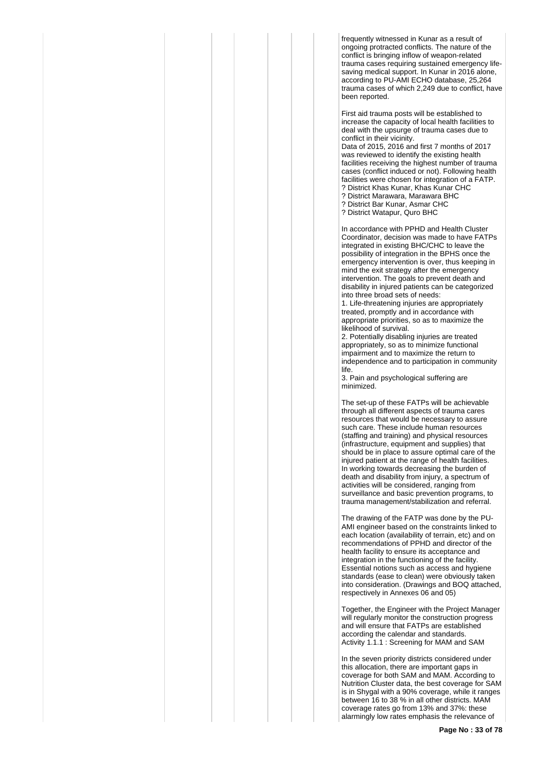frequently witnessed in Kunar as a result of ongoing protracted conflicts. The nature of the conflict is bringing inflow of weapon-related trauma cases requiring sustained emergency lifesaving medical support. In Kunar in 2016 alone, according to PU-AMI ECHO database, 25,264 trauma cases of which 2,249 due to conflict, have been reported.

First aid trauma posts will be established to increase the capacity of local health facilities to deal with the upsurge of trauma cases due to conflict in their vicinity.

Data of 2015, 2016 and first 7 months of 2017 was reviewed to identify the existing health facilities receiving the highest number of trauma cases (conflict induced or not). Following health facilities were chosen for integration of a FATP. ? District Khas Kunar, Khas Kunar CHC

- ? District Marawara, Marawara BHC
- ? District Bar Kunar, Asmar CHC
- ? District Watapur, Quro BHC

In accordance with PPHD and Health Cluster Coordinator, decision was made to have FATPs integrated in existing BHC/CHC to leave the possibility of integration in the BPHS once the emergency intervention is over, thus keeping in mind the exit strategy after the emergency intervention. The goals to prevent death and disability in injured patients can be categorized into three broad sets of needs:

1. Life-threatening injuries are appropriately treated, promptly and in accordance with appropriate priorities, so as to maximize the likelihood of survival.

2. Potentially disabling injuries are treated appropriately, so as to minimize functional impairment and to maximize the return to independence and to participation in community life.

3. Pain and psychological suffering are minimized.

The set-up of these FATPs will be achievable through all different aspects of trauma cares resources that would be necessary to assure such care. These include human resources (staffing and training) and physical resources (infrastructure, equipment and supplies) that should be in place to assure optimal care of the injured patient at the range of health facilities. In working towards decreasing the burden of death and disability from injury, a spectrum of activities will be considered, ranging from surveillance and basic prevention programs, to trauma management/stabilization and referral.

The drawing of the FATP was done by the PU-AMI engineer based on the constraints linked to each location (availability of terrain, etc) and on recommendations of PPHD and director of the health facility to ensure its acceptance and integration in the functioning of the facility. Essential notions such as access and hygiene standards (ease to clean) were obviously taken into consideration. (Drawings and BOQ attached, respectively in Annexes 06 and 05)

Together, the Engineer with the Project Manager will regularly monitor the construction progress and will ensure that FATPs are established according the calendar and standards. Activity 1.1.1 : Screening for MAM and SAM

In the seven priority districts considered under this allocation, there are important gaps in coverage for both SAM and MAM. According to Nutrition Cluster data, the best coverage for SAM is in Shygal with a 90% coverage, while it ranges between 16 to 38 % in all other districts. MAM coverage rates go from 13% and 37%: these alarmingly low rates emphasis the relevance of

**Page No : 33 of 78**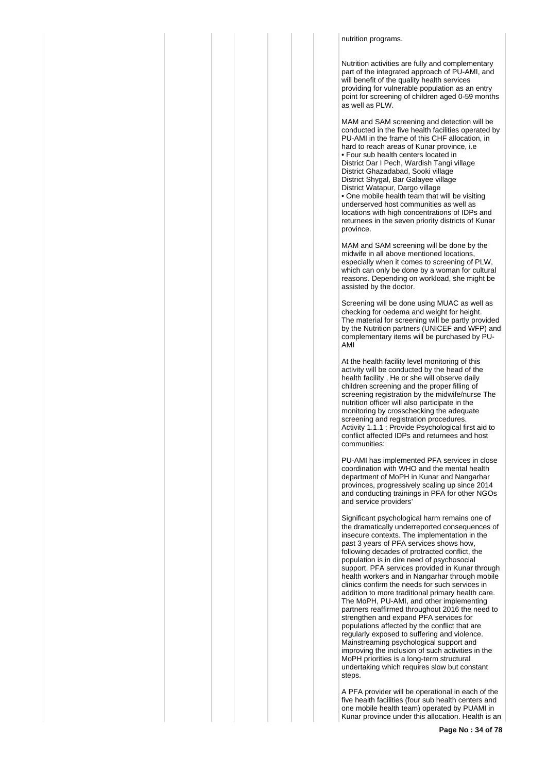#### nutrition programs.

Nutrition activities are fully and complementary part of the integrated approach of PU-AMI, and will benefit of the quality health services providing for vulnerable population as an entry point for screening of children aged 0-59 months as well as PLW.

MAM and SAM screening and detection will be conducted in the five health facilities operated by PU-AMI in the frame of this CHF allocation, in hard to reach areas of Kunar province, i.e • Four sub health centers located in District Dar I Pech, Wardish Tangi village District Ghazadabad, Sooki village District Shygal, Bar Galayee village District Watapur, Dargo village • One mobile health team that will be visiting underserved host communities as well as locations with high concentrations of IDPs and returnees in the seven priority districts of Kunar province.

MAM and SAM screening will be done by the midwife in all above mentioned locations, especially when it comes to screening of PLW, which can only be done by a woman for cultural reasons. Depending on workload, she might be assisted by the doctor.

Screening will be done using MUAC as well as checking for oedema and weight for height. The material for screening will be partly provided by the Nutrition partners (UNICEF and WFP) and complementary items will be purchased by PU-AMI

At the health facility level monitoring of this activity will be conducted by the head of the health facility , He or she will observe daily children screening and the proper filling of screening registration by the midwife/nurse The nutrition officer will also participate in the monitoring by crosschecking the adequate screening and registration procedures. Activity 1.1.1 : Provide Psychological first aid to conflict affected IDPs and returnees and host communities:

PU-AMI has implemented PFA services in close coordination with WHO and the mental health department of MoPH in Kunar and Nangarhar provinces, progressively scaling up since 2014 and conducting trainings in PFA for other NGOs and service providers'

Significant psychological harm remains one of the dramatically underreported consequences of insecure contexts. The implementation in the past 3 years of PFA services shows how, following decades of protracted conflict, the population is in dire need of psychosocial support. PFA services provided in Kunar through health workers and in Nangarhar through mobile clinics confirm the needs for such services in addition to more traditional primary health care. The MoPH, PU-AMI, and other implementing partners reaffirmed throughout 2016 the need to strengthen and expand PFA services for populations affected by the conflict that are regularly exposed to suffering and violence. Mainstreaming psychological support and improving the inclusion of such activities in the MoPH priorities is a long-term structural undertaking which requires slow but constant steps.

A PFA provider will be operational in each of the five health facilities (four sub health centers and one mobile health team) operated by PUAMI in Kunar province under this allocation. Health is an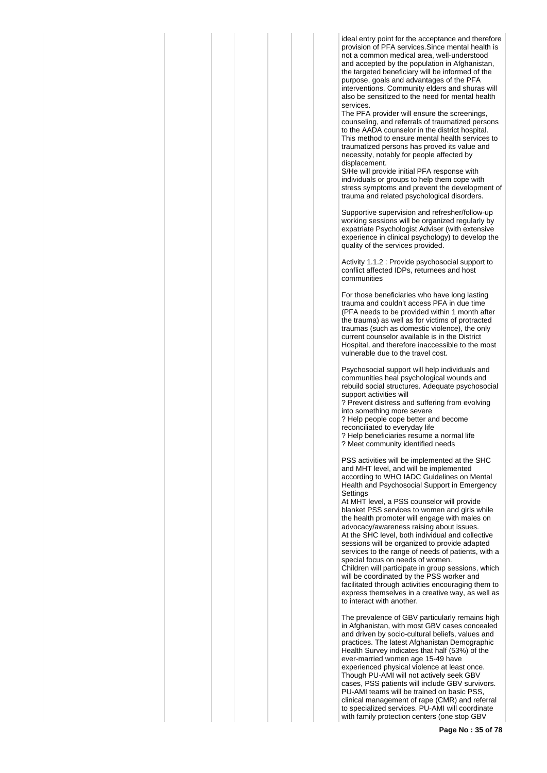ideal entry point for the acceptance and therefore provision of PFA services.Since mental health is not a common medical area, well-understood and accepted by the population in Afghanistan, the targeted beneficiary will be informed of the purpose, goals and advantages of the PFA interventions. Community elders and shuras will also be sensitized to the need for mental health services.

The PFA provider will ensure the screenings, counseling, and referrals of traumatized persons to the AADA counselor in the district hospital. This method to ensure mental health services to traumatized persons has proved its value and necessity, notably for people affected by displacement.

S/He will provide initial PFA response with individuals or groups to help them cope with stress symptoms and prevent the development of trauma and related psychological disorders.

Supportive supervision and refresher/follow-up working sessions will be organized regularly by expatriate Psychologist Adviser (with extensive experience in clinical psychology) to develop the quality of the services provided.

Activity 1.1.2 : Provide psychosocial support to conflict affected IDPs, returnees and host communities

For those beneficiaries who have long lasting trauma and couldn't access PFA in due time (PFA needs to be provided within 1 month after the trauma) as well as for victims of protracted traumas (such as domestic violence), the only current counselor available is in the District Hospital, and therefore inaccessible to the most vulnerable due to the travel cost.

Psychosocial support will help individuals and communities heal psychological wounds and rebuild social structures. Adequate psychosocial support activities will

? Prevent distress and suffering from evolving into something more severe

? Help people cope better and become

reconciliated to everyday life

? Help beneficiaries resume a normal life

? Meet community identified needs

PSS activities will be implemented at the SHC and MHT level, and will be implemented according to WHO IADC Guidelines on Mental Health and Psychosocial Support in Emergency **Settings** 

At MHT level, a PSS counselor will provide blanket PSS services to women and girls while the health promoter will engage with males on advocacy/awareness raising about issues. At the SHC level, both individual and collective sessions will be organized to provide adapted services to the range of needs of patients, with a special focus on needs of women. Children will participate in group sessions, which will be coordinated by the PSS worker and facilitated through activities encouraging them to express themselves in a creative way, as well as to interact with another.

The prevalence of GBV particularly remains high in Afghanistan, with most GBV cases concealed and driven by socio-cultural beliefs, values and practices. The latest Afghanistan Demographic Health Survey indicates that half (53%) of the ever-married women age 15-49 have experienced physical violence at least once. Though PU-AMI will not actively seek GBV cases, PSS patients will include GBV survivors. PU-AMI teams will be trained on basic PSS, clinical management of rape (CMR) and referral to specialized services. PU-AMI will coordinate with family protection centers (one stop GBV

**Page No : 35 of 78**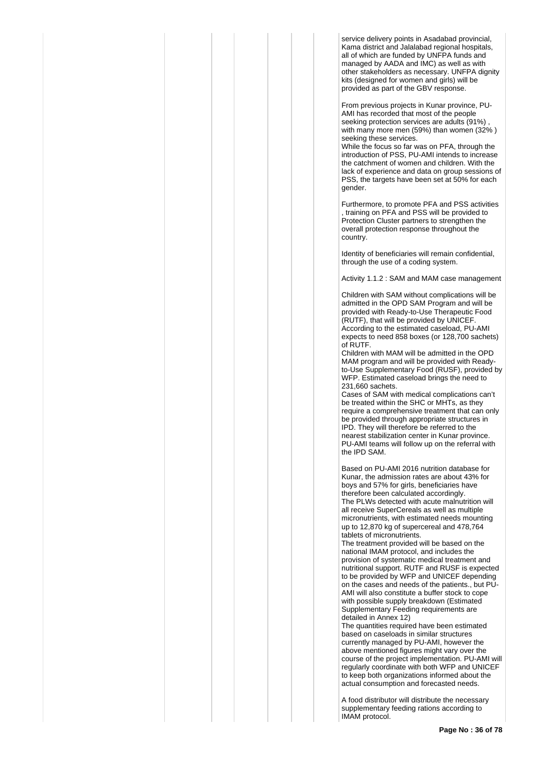service delivery points in Asadabad provincial, Kama district and Jalalabad regional hospitals, all of which are funded by UNFPA funds and managed by AADA and IMC) as well as with other stakeholders as necessary. UNFPA dignity kits (designed for women and girls) will be provided as part of the GBV response.

From previous projects in Kunar province, PU-AMI has recorded that most of the people seeking protection services are adults (91%) with many more men (59%) than women (32% ) seeking these services.

While the focus so far was on PFA, through the introduction of PSS, PU-AMI intends to increase the catchment of women and children. With the lack of experience and data on group sessions of PSS, the targets have been set at 50% for each gender.

Furthermore, to promote PFA and PSS activities , training on PFA and PSS will be provided to Protection Cluster partners to strengthen the overall protection response throughout the country.

Identity of beneficiaries will remain confidential, through the use of a coding system.

Activity 1.1.2 : SAM and MAM case management

Children with SAM without complications will be admitted in the OPD SAM Program and will be provided with Ready-to-Use Therapeutic Food (RUTF), that will be provided by UNICEF. According to the estimated caseload, PU-AMI expects to need 858 boxes (or 128,700 sachets) of RUTF.

Children with MAM will be admitted in the OPD MAM program and will be provided with Readyto-Use Supplementary Food (RUSF), provided by WFP. Estimated caseload brings the need to 231,660 sachets.

Cases of SAM with medical complications can't be treated within the SHC or MHTs, as they require a comprehensive treatment that can only be provided through appropriate structures in IPD. They will therefore be referred to the nearest stabilization center in Kunar province. PU-AMI teams will follow up on the referral with the IPD SAM.

Based on PU-AMI 2016 nutrition database for Kunar, the admission rates are about 43% for boys and 57% for girls, beneficiaries have therefore been calculated accordingly. The PLWs detected with acute malnutrition will all receive SuperCereals as well as multiple micronutrients, with estimated needs mounting up to 12,870 kg of supercereal and 478,764 tablets of micronutrients.

The treatment provided will be based on the national IMAM protocol, and includes the provision of systematic medical treatment and nutritional support. RUTF and RUSF is expected to be provided by WFP and UNICEF depending on the cases and needs of the patients., but PU-AMI will also constitute a buffer stock to cope with possible supply breakdown (Estimated Supplementary Feeding requirements are detailed in Annex 12)

The quantities required have been estimated based on caseloads in similar structures currently managed by PU-AMI, however the above mentioned figures might vary over the course of the project implementation. PU-AMI will regularly coordinate with both WFP and UNICEF to keep both organizations informed about the actual consumption and forecasted needs.

A food distributor will distribute the necessary supplementary feeding rations according to IMAM protocol.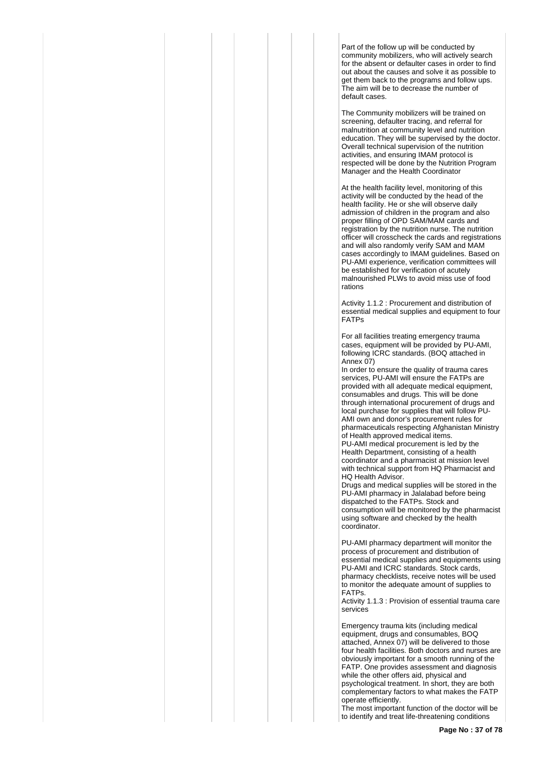Part of the follow up will be conducted by community mobilizers, who will actively search for the absent or defaulter cases in order to find out about the causes and solve it as possible to get them back to the programs and follow ups. The aim will be to decrease the number of default cases.

The Community mobilizers will be trained on screening, defaulter tracing, and referral for malnutrition at community level and nutrition education. They will be supervised by the doctor. Overall technical supervision of the nutrition activities, and ensuring IMAM protocol is respected will be done by the Nutrition Program Manager and the Health Coordinator

At the health facility level, monitoring of this activity will be conducted by the head of the health facility. He or she will observe daily admission of children in the program and also proper filling of OPD SAM/MAM cards and registration by the nutrition nurse. The nutrition officer will crosscheck the cards and registrations and will also randomly verify SAM and MAM cases accordingly to IMAM guidelines. Based on PU-AMI experience, verification committees will be established for verification of acutely malnourished PLWs to avoid miss use of food rations

Activity 1.1.2 : Procurement and distribution of essential medical supplies and equipment to four FATPs

For all facilities treating emergency trauma cases, equipment will be provided by PU-AMI, following ICRC standards. (BOQ attached in Annex 07)

In order to ensure the quality of trauma cares services, PU-AMI will ensure the FATPs are provided with all adequate medical equipment, consumables and drugs. This will be done through international procurement of drugs and local purchase for supplies that will follow PU-AMI own and donor's procurement rules for pharmaceuticals respecting Afghanistan Ministry of Health approved medical items.

PU-AMI medical procurement is led by the Health Department, consisting of a health coordinator and a pharmacist at mission level with technical support from HQ Pharmacist and HQ Health Advisor.

Drugs and medical supplies will be stored in the PU-AMI pharmacy in Jalalabad before being dispatched to the FATPs. Stock and consumption will be monitored by the pharmacist using software and checked by the health coordinator.

PU-AMI pharmacy department will monitor the process of procurement and distribution of essential medical supplies and equipments using PU-AMI and ICRC standards. Stock cards, pharmacy checklists, receive notes will be used to monitor the adequate amount of supplies to FATPs.

Activity 1.1.3 : Provision of essential trauma care services

Emergency trauma kits (including medical equipment, drugs and consumables, BOQ attached, Annex 07) will be delivered to those four health facilities. Both doctors and nurses are obviously important for a smooth running of the FATP. One provides assessment and diagnosis while the other offers aid, physical and psychological treatment. In short, they are both complementary factors to what makes the FATP operate efficiently.

The most important function of the doctor will be to identify and treat life-threatening conditions

**Page No : 37 of 78**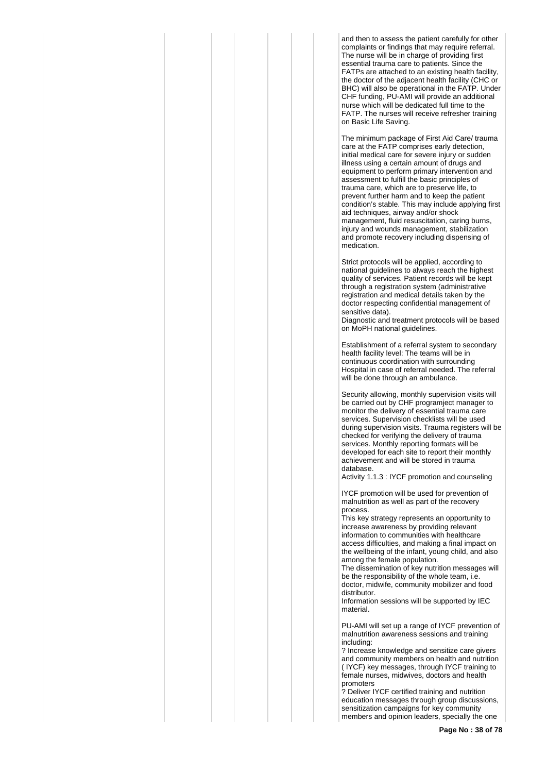and then to assess the patient carefully for other complaints or findings that may require referral. The nurse will be in charge of providing first essential trauma care to patients. Since the FATPs are attached to an existing health facility, the doctor of the adjacent health facility (CHC or BHC) will also be operational in the FATP. Under CHF funding, PU-AMI will provide an additional nurse which will be dedicated full time to the FATP. The nurses will receive refresher training on Basic Life Saving.

The minimum package of First Aid Care/ trauma care at the FATP comprises early detection, initial medical care for severe injury or sudden illness using a certain amount of drugs and equipment to perform primary intervention and assessment to fulfill the basic principles of trauma care, which are to preserve life, to prevent further harm and to keep the patient condition's stable. This may include applying first aid techniques, airway and/or shock management, fluid resuscitation, caring burns, injury and wounds management, stabilization and promote recovery including dispensing of medication.

Strict protocols will be applied, according to national guidelines to always reach the highest quality of services. Patient records will be kept through a registration system (administrative registration and medical details taken by the doctor respecting confidential management of sensitive data).

Diagnostic and treatment protocols will be based on MoPH national guidelines.

Establishment of a referral system to secondary health facility level: The teams will be in continuous coordination with surrounding Hospital in case of referral needed. The referral will be done through an ambulance.

Security allowing, monthly supervision visits will be carried out by CHF programject manager to monitor the delivery of essential trauma care services. Supervision checklists will be used during supervision visits. Trauma registers will be checked for verifying the delivery of trauma services. Monthly reporting formats will be developed for each site to report their monthly achievement and will be stored in trauma database.

Activity 1.1.3 : IYCF promotion and counseling

IYCF promotion will be used for prevention of malnutrition as well as part of the recovery process.

This key strategy represents an opportunity to increase awareness by providing relevant information to communities with healthcare access difficulties, and making a final impact on the wellbeing of the infant, young child, and also among the female population.

The dissemination of key nutrition messages will be the responsibility of the whole team, i.e. doctor, midwife, community mobilizer and food distributor.

Information sessions will be supported by IEC material.

PU-AMI will set up a range of IYCF prevention of malnutrition awareness sessions and training including:

? Increase knowledge and sensitize care givers and community members on health and nutrition ( IYCF) key messages, through IYCF training to female nurses, midwives, doctors and health promoters

? Deliver IYCF certified training and nutrition education messages through group discussions, sensitization campaigns for key community members and opinion leaders, specially the one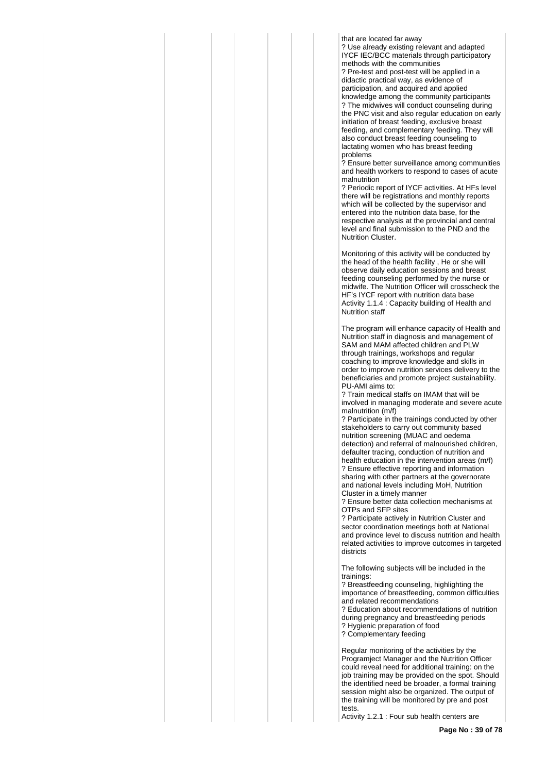that are located far away

? Use already existing relevant and adapted IYCF IEC/BCC materials through participatory methods with the communities ? Pre-test and post-test will be applied in a didactic practical way, as evidence of participation, and acquired and applied knowledge among the community participants ? The midwives will conduct counseling during the PNC visit and also regular education on early initiation of breast feeding, exclusive breast feeding, and complementary feeding. They will also conduct breast feeding counseling to lactating women who has breast feeding problems

? Ensure better surveillance among communities and health workers to respond to cases of acute malnutrition

? Periodic report of IYCF activities. At HFs level there will be registrations and monthly reports which will be collected by the supervisor and entered into the nutrition data base, for the respective analysis at the provincial and central level and final submission to the PND and the Nutrition Cluster.

Monitoring of this activity will be conducted by the head of the health facility , He or she will observe daily education sessions and breast feeding counseling performed by the nurse or midwife. The Nutrition Officer will crosscheck the HF's IYCF report with nutrition data base Activity 1.1.4 : Capacity building of Health and Nutrition staff

The program will enhance capacity of Health and Nutrition staff in diagnosis and management of SAM and MAM affected children and PLW through trainings, workshops and regular coaching to improve knowledge and skills in order to improve nutrition services delivery to the beneficiaries and promote project sustainability. PU-AMI aims to:

? Train medical staffs on IMAM that will be involved in managing moderate and severe acute malnutrition (m/f)

? Participate in the trainings conducted by other stakeholders to carry out community based nutrition screening (MUAC and oedema detection) and referral of malnourished children, defaulter tracing, conduction of nutrition and health education in the intervention areas (m/f) ? Ensure effective reporting and information sharing with other partners at the governorate and national levels including MoH, Nutrition Cluster in a timely manner

? Ensure better data collection mechanisms at OTPs and SFP sites

? Participate actively in Nutrition Cluster and sector coordination meetings both at National and province level to discuss nutrition and health related activities to improve outcomes in targeted districts

The following subjects will be included in the trainings:

? Breastfeeding counseling, highlighting the importance of breastfeeding, common difficulties and related recommendations

? Education about recommendations of nutrition during pregnancy and breastfeeding periods ? Hygienic preparation of food ? Complementary feeding

Regular monitoring of the activities by the Programject Manager and the Nutrition Officer could reveal need for additional training: on the job training may be provided on the spot. Should the identified need be broader, a formal training session might also be organized. The output of the training will be monitored by pre and post tests.

Activity 1.2.1 : Four sub health centers are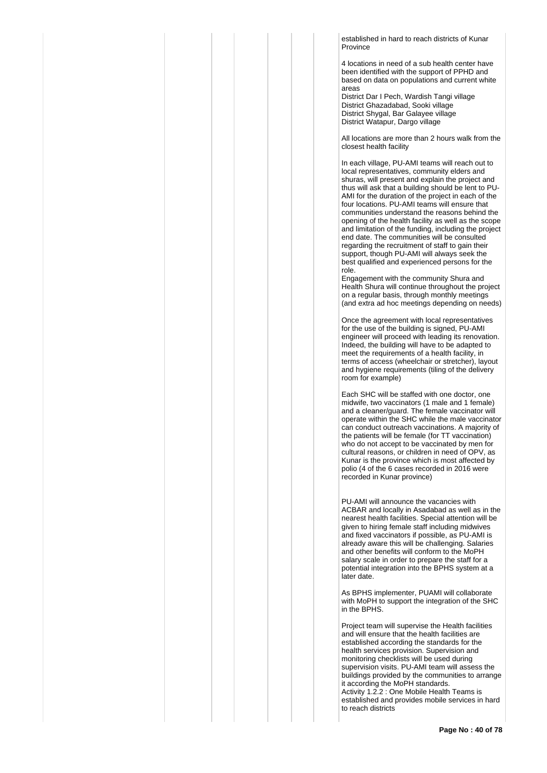established in hard to reach districts of Kunar Province

4 locations in need of a sub health center have been identified with the support of PPHD and based on data on populations and current white areas

District Dar I Pech, Wardish Tangi village District Ghazadabad, Sooki village District Shygal, Bar Galayee village District Watapur, Dargo village

All locations are more than 2 hours walk from the closest health facility

In each village, PU-AMI teams will reach out to local representatives, community elders and shuras, will present and explain the project and thus will ask that a building should be lent to PU-AMI for the duration of the project in each of the four locations. PU-AMI teams will ensure that communities understand the reasons behind the opening of the health facility as well as the scope and limitation of the funding, including the project end date. The communities will be consulted regarding the recruitment of staff to gain their support, though PU-AMI will always seek the best qualified and experienced persons for the role.

Engagement with the community Shura and Health Shura will continue throughout the project on a regular basis, through monthly meetings (and extra ad hoc meetings depending on needs)

Once the agreement with local representatives for the use of the building is signed, PU-AMI engineer will proceed with leading its renovation. Indeed, the building will have to be adapted to meet the requirements of a health facility, in terms of access (wheelchair or stretcher), layout and hygiene requirements (tiling of the delivery room for example)

Each SHC will be staffed with one doctor, one midwife, two vaccinators (1 male and 1 female) and a cleaner/guard. The female vaccinator will operate within the SHC while the male vaccinator can conduct outreach vaccinations. A majority of the patients will be female (for TT vaccination) who do not accept to be vaccinated by men for cultural reasons, or children in need of OPV, as Kunar is the province which is most affected by polio (4 of the 6 cases recorded in 2016 were recorded in Kunar province)

PU-AMI will announce the vacancies with ACBAR and locally in Asadabad as well as in the nearest health facilities. Special attention will be given to hiring female staff including midwives and fixed vaccinators if possible, as PU-AMI is already aware this will be challenging. Salaries and other benefits will conform to the MoPH salary scale in order to prepare the staff for a potential integration into the BPHS system at a later date.

As BPHS implementer, PUAMI will collaborate with MoPH to support the integration of the SHC in the BPHS.

Project team will supervise the Health facilities and will ensure that the health facilities are established according the standards for the health services provision. Supervision and monitoring checklists will be used during supervision visits. PU-AMI team will assess the buildings provided by the communities to arrange it according the MoPH standards. Activity 1.2.2 : One Mobile Health Teams is established and provides mobile services in hard to reach districts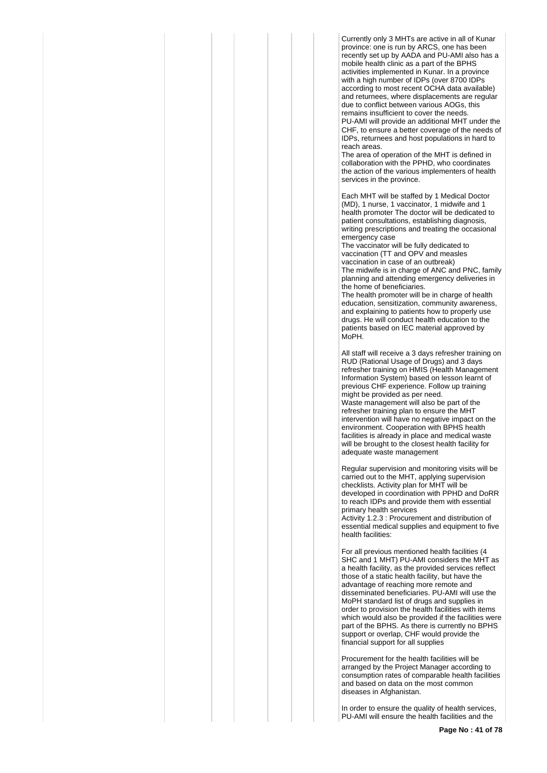Currently only 3 MHTs are active in all of Kunar province: one is run by ARCS, one has been recently set up by AADA and PU-AMI also has a mobile health clinic as a part of the BPHS activities implemented in Kunar. In a province with a high number of IDPs (over 8700 IDPs according to most recent OCHA data available) and returnees, where displacements are regular due to conflict between various AOGs, this remains insufficient to cover the needs. PU-AMI will provide an additional MHT under the CHF, to ensure a better coverage of the needs of IDPs, returnees and host populations in hard to reach areas.

The area of operation of the MHT is defined in collaboration with the PPHD, who coordinates the action of the various implementers of health services in the province.

Each MHT will be staffed by 1 Medical Doctor (MD), 1 nurse, 1 vaccinator, 1 midwife and 1 health promoter The doctor will be dedicated to patient consultations, establishing diagnosis, writing prescriptions and treating the occasional emergency case

The vaccinator will be fully dedicated to vaccination (TT and OPV and measles vaccination in case of an outbreak) The midwife is in charge of ANC and PNC, family planning and attending emergency deliveries in the home of beneficiaries.

The health promoter will be in charge of health education, sensitization, community awareness, and explaining to patients how to properly use drugs. He will conduct health education to the patients based on IEC material approved by MoPH.

All staff will receive a 3 days refresher training on RUD (Rational Usage of Drugs) and 3 days refresher training on HMIS (Health Management Information System) based on lesson learnt of previous CHF experience. Follow up training might be provided as per need. Waste management will also be part of the refresher training plan to ensure the MHT intervention will have no negative impact on the environment. Cooperation with BPHS health facilities is already in place and medical waste will be brought to the closest health facility for adequate waste management

Regular supervision and monitoring visits will be carried out to the MHT, applying supervision checklists. Activity plan for MHT will be developed in coordination with PPHD and DoRR to reach IDPs and provide them with essential primary health services

Activity 1.2.3 : Procurement and distribution of essential medical supplies and equipment to five health facilities:

For all previous mentioned health facilities (4 SHC and 1 MHT) PU-AMI considers the MHT as a health facility, as the provided services reflect those of a static health facility, but have the advantage of reaching more remote and disseminated beneficiaries. PU-AMI will use the MoPH standard list of drugs and supplies in order to provision the health facilities with items which would also be provided if the facilities were part of the BPHS. As there is currently no BPHS support or overlap, CHF would provide the financial support for all supplies

Procurement for the health facilities will be arranged by the Project Manager according to consumption rates of comparable health facilities and based on data on the most common diseases in Afghanistan.

In order to ensure the quality of health services, PU-AMI will ensure the health facilities and the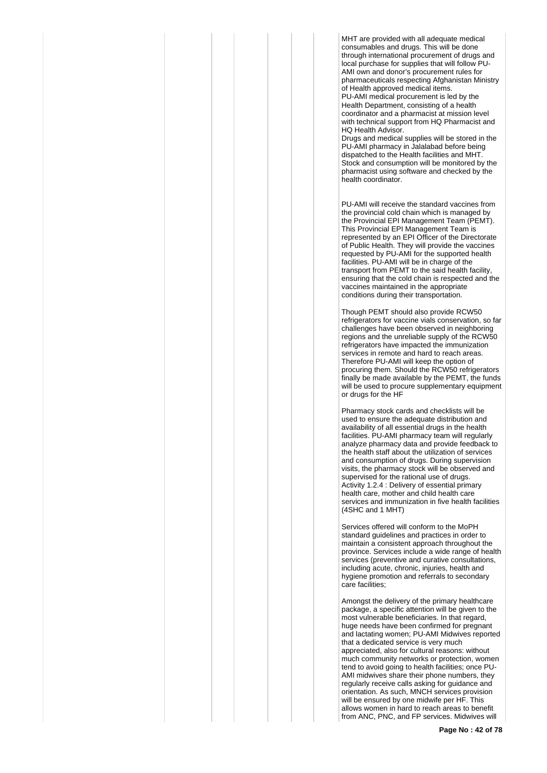MHT are provided with all adequate medical consumables and drugs. This will be done through international procurement of drugs and local purchase for supplies that will follow PU-AMI own and donor's procurement rules for pharmaceuticals respecting Afghanistan Ministry of Health approved medical items. PU-AMI medical procurement is led by the Health Department, consisting of a health coordinator and a pharmacist at mission level

with technical support from HQ Pharmacist and HQ Health Advisor.

Drugs and medical supplies will be stored in the PU-AMI pharmacy in Jalalabad before being dispatched to the Health facilities and MHT. Stock and consumption will be monitored by the pharmacist using software and checked by the health coordinator.

PU-AMI will receive the standard vaccines from the provincial cold chain which is managed by the Provincial EPI Management Team (PEMT). This Provincial EPI Management Team is represented by an EPI Officer of the Directorate of Public Health. They will provide the vaccines requested by PU-AMI for the supported health facilities. PU-AMI will be in charge of the transport from PEMT to the said health facility, ensuring that the cold chain is respected and the vaccines maintained in the appropriate conditions during their transportation.

Though PEMT should also provide RCW50 refrigerators for vaccine vials conservation, so far challenges have been observed in neighboring regions and the unreliable supply of the RCW50 refrigerators have impacted the immunization services in remote and hard to reach areas. Therefore PU-AMI will keep the option of procuring them. Should the RCW50 refrigerators finally be made available by the PEMT, the funds will be used to procure supplementary equipment or drugs for the HF

Pharmacy stock cards and checklists will be used to ensure the adequate distribution and availability of all essential drugs in the health facilities. PU-AMI pharmacy team will regularly analyze pharmacy data and provide feedback to the health staff about the utilization of services and consumption of drugs. During supervision visits, the pharmacy stock will be observed and supervised for the rational use of drugs. Activity 1.2.4 : Delivery of essential primary health care, mother and child health care services and immunization in five health facilities (4SHC and 1 MHT)

Services offered will conform to the MoPH standard guidelines and practices in order to maintain a consistent approach throughout the province. Services include a wide range of health services (preventive and curative consultations, including acute, chronic, injuries, health and hygiene promotion and referrals to secondary care facilities;

Amongst the delivery of the primary healthcare package, a specific attention will be given to the most vulnerable beneficiaries. In that regard, huge needs have been confirmed for pregnant and lactating women; PU-AMI Midwives reported that a dedicated service is very much appreciated, also for cultural reasons: without much community networks or protection, women tend to avoid going to health facilities; once PU-AMI midwives share their phone numbers, they regularly receive calls asking for guidance and orientation. As such, MNCH services provision will be ensured by one midwife per HF. This allows women in hard to reach areas to benefit from ANC, PNC, and FP services. Midwives will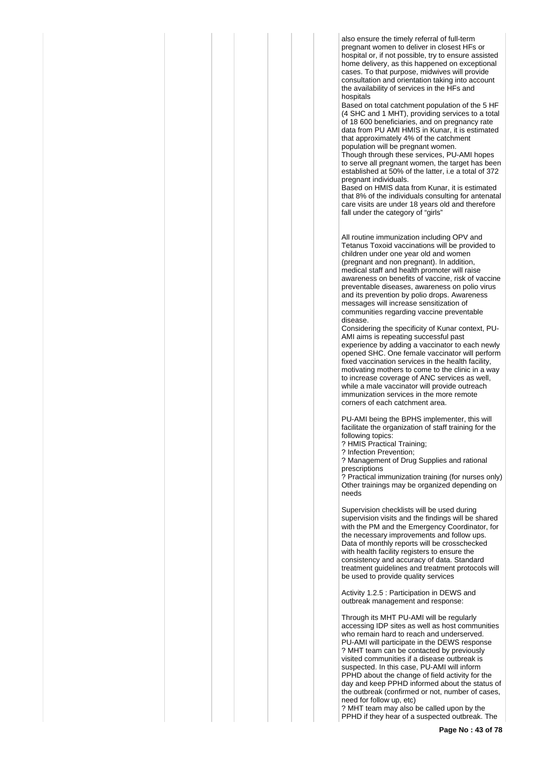also ensure the timely referral of full-term pregnant women to deliver in closest HFs or hospital or, if not possible, try to ensure assisted home delivery, as this happened on exceptional cases. To that purpose, midwives will provide consultation and orientation taking into account the availability of services in the HFs and hospitals

Based on total catchment population of the 5 HF (4 SHC and 1 MHT), providing services to a total of 18 600 beneficiaries, and on pregnancy rate data from PU AMI HMIS in Kunar, it is estimated that approximately 4% of the catchment population will be pregnant women. Though through these services, PU-AMI hopes

to serve all pregnant women, the target has been established at 50% of the latter, i.e a total of 372 pregnant individuals.

Based on HMIS data from Kunar, it is estimated that 8% of the individuals consulting for antenatal care visits are under 18 years old and therefore fall under the category of "girls"

All routine immunization including OPV and Tetanus Toxoid vaccinations will be provided to children under one year old and women (pregnant and non pregnant). In addition, medical staff and health promoter will raise awareness on benefits of vaccine, risk of vaccine preventable diseases, awareness on polio virus and its prevention by polio drops. Awareness messages will increase sensitization of communities regarding vaccine preventable disease.

Considering the specificity of Kunar context, PU-AMI aims is repeating successful past experience by adding a vaccinator to each newly opened SHC. One female vaccinator will perform fixed vaccination services in the health facility, motivating mothers to come to the clinic in a way to increase coverage of ANC services as well, while a male vaccinator will provide outreach immunization services in the more remote corners of each catchment area.

PU-AMI being the BPHS implementer, this will facilitate the organization of staff training for the following topics:

? HMIS Practical Training;

? Infection Prevention;

? Management of Drug Supplies and rational prescriptions

? Practical immunization training (for nurses only) Other trainings may be organized depending on needs

Supervision checklists will be used during supervision visits and the findings will be shared with the PM and the Emergency Coordinator, for the necessary improvements and follow ups. Data of monthly reports will be crosschecked with health facility registers to ensure the consistency and accuracy of data. Standard treatment guidelines and treatment protocols will be used to provide quality services

Activity 1.2.5 : Participation in DEWS and outbreak management and response:

Through its MHT PU-AMI will be regularly accessing IDP sites as well as host communities who remain hard to reach and underserved. PU-AMI will participate in the DEWS response ? MHT team can be contacted by previously visited communities if a disease outbreak is suspected. In this case, PU-AMI will inform PPHD about the change of field activity for the day and keep PPHD informed about the status of the outbreak (confirmed or not, number of cases, need for follow up, etc)

? MHT team may also be called upon by the PPHD if they hear of a suspected outbreak. The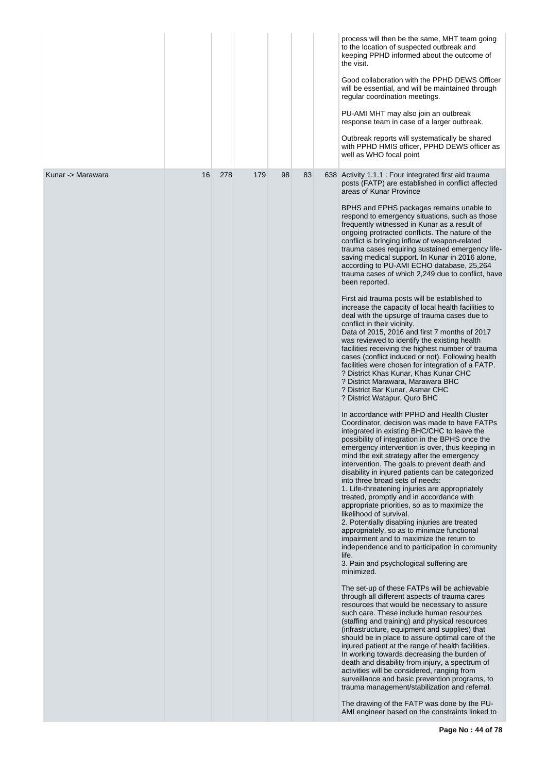|                   |    |     |     |    |    | process will then be the same, MHT team going<br>to the location of suspected outbreak and<br>keeping PPHD informed about the outcome of<br>the visit.<br>Good collaboration with the PPHD DEWS Officer<br>will be essential, and will be maintained through<br>regular coordination meetings.<br>PU-AMI MHT may also join an outbreak<br>response team in case of a larger outbreak.<br>Outbreak reports will systematically be shared<br>with PPHD HMIS officer, PPHD DEWS officer as<br>well as WHO focal point                                                                                                                                                                                                                                                                                                                                                                                                                                                                                                                                                                                                                                                                                                                                                                                                                                                                                                                                                                                                                                                                                                                                                                                                                                                                                                                                                                                                                                                                                                                                                                                                                                                                                                                                                                                                                                                                                                                                                                                                                                                                                                                                                                                                                                                                                                                                                           |
|-------------------|----|-----|-----|----|----|------------------------------------------------------------------------------------------------------------------------------------------------------------------------------------------------------------------------------------------------------------------------------------------------------------------------------------------------------------------------------------------------------------------------------------------------------------------------------------------------------------------------------------------------------------------------------------------------------------------------------------------------------------------------------------------------------------------------------------------------------------------------------------------------------------------------------------------------------------------------------------------------------------------------------------------------------------------------------------------------------------------------------------------------------------------------------------------------------------------------------------------------------------------------------------------------------------------------------------------------------------------------------------------------------------------------------------------------------------------------------------------------------------------------------------------------------------------------------------------------------------------------------------------------------------------------------------------------------------------------------------------------------------------------------------------------------------------------------------------------------------------------------------------------------------------------------------------------------------------------------------------------------------------------------------------------------------------------------------------------------------------------------------------------------------------------------------------------------------------------------------------------------------------------------------------------------------------------------------------------------------------------------------------------------------------------------------------------------------------------------------------------------------------------------------------------------------------------------------------------------------------------------------------------------------------------------------------------------------------------------------------------------------------------------------------------------------------------------------------------------------------------------------------------------------------------------------------------------------------------------|
| Kunar -> Marawara | 16 | 278 | 179 | 98 | 83 | 638 Activity 1.1.1 : Four integrated first aid trauma<br>posts (FATP) are established in conflict affected<br>areas of Kunar Province<br>BPHS and EPHS packages remains unable to<br>respond to emergency situations, such as those<br>frequently witnessed in Kunar as a result of<br>ongoing protracted conflicts. The nature of the<br>conflict is bringing inflow of weapon-related<br>trauma cases requiring sustained emergency life-<br>saving medical support. In Kunar in 2016 alone,<br>according to PU-AMI ECHO database, 25,264<br>trauma cases of which 2,249 due to conflict, have<br>been reported.<br>First aid trauma posts will be established to<br>increase the capacity of local health facilities to<br>deal with the upsurge of trauma cases due to<br>conflict in their vicinity.<br>Data of 2015, 2016 and first 7 months of 2017<br>was reviewed to identify the existing health<br>facilities receiving the highest number of trauma<br>cases (conflict induced or not). Following health<br>facilities were chosen for integration of a FATP.<br>? District Khas Kunar, Khas Kunar CHC<br>? District Marawara, Marawara BHC<br>? District Bar Kunar, Asmar CHC<br>? District Watapur, Quro BHC<br>In accordance with PPHD and Health Cluster<br>Coordinator, decision was made to have FATPs<br>integrated in existing BHC/CHC to leave the<br>possibility of integration in the BPHS once the<br>emergency intervention is over, thus keeping in<br>mind the exit strategy after the emergency<br>intervention. The goals to prevent death and<br>disability in injured patients can be categorized<br>into three broad sets of needs:<br>1. Life-threatening injuries are appropriately<br>treated, promptly and in accordance with<br>appropriate priorities, so as to maximize the<br>likelihood of survival.<br>2. Potentially disabling injuries are treated<br>appropriately, so as to minimize functional<br>impairment and to maximize the return to<br>independence and to participation in community<br>life.<br>3. Pain and psychological suffering are<br>minimized.<br>The set-up of these FATPs will be achievable<br>through all different aspects of trauma cares<br>resources that would be necessary to assure<br>such care. These include human resources<br>(staffing and training) and physical resources<br>(infrastructure, equipment and supplies) that<br>should be in place to assure optimal care of the<br>injured patient at the range of health facilities.<br>In working towards decreasing the burden of<br>death and disability from injury, a spectrum of<br>activities will be considered, ranging from<br>surveillance and basic prevention programs, to<br>trauma management/stabilization and referral.<br>The drawing of the FATP was done by the PU-<br>AMI engineer based on the constraints linked to |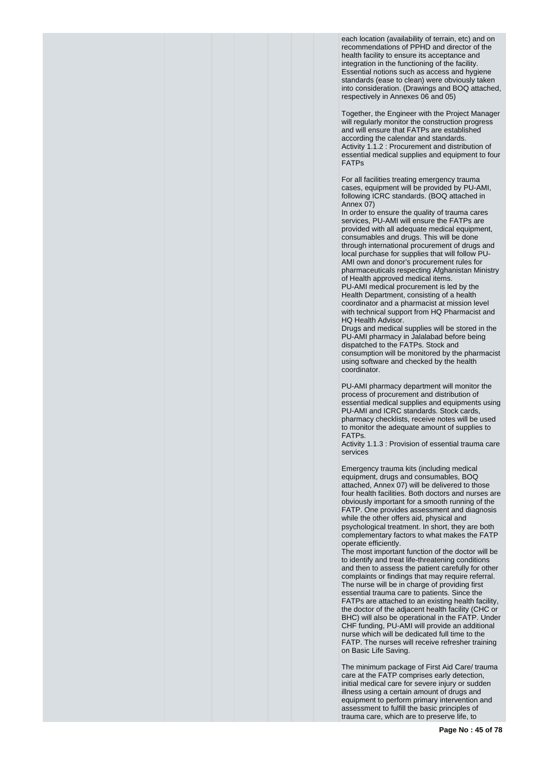each location (availability of terrain, etc) and on recommendations of PPHD and director of the health facility to ensure its acceptance and integration in the functioning of the facility. Essential notions such as access and hygiene standards (ease to clean) were obviously taken into consideration. (Drawings and BOQ attached, respectively in Annexes 06 and 05)

Together, the Engineer with the Project Manager will regularly monitor the construction progress and will ensure that FATPs are established according the calendar and standards. Activity 1.1.2 : Procurement and distribution of essential medical supplies and equipment to four FATPs

For all facilities treating emergency trauma cases, equipment will be provided by PU-AMI, following ICRC standards. (BOQ attached in Annex 07)

In order to ensure the quality of trauma cares services, PU-AMI will ensure the FATPs are provided with all adequate medical equipment, consumables and drugs. This will be done through international procurement of drugs and local purchase for supplies that will follow PU-AMI own and donor's procurement rules for pharmaceuticals respecting Afghanistan Ministry of Health approved medical items. PU-AMI medical procurement is led by the Health Department, consisting of a health coordinator and a pharmacist at mission level with technical support from HQ Pharmacist and HQ Health Advisor.

Drugs and medical supplies will be stored in the PU-AMI pharmacy in Jalalabad before being dispatched to the FATPs. Stock and consumption will be monitored by the pharmacist using software and checked by the health coordinator.

PU-AMI pharmacy department will monitor the process of procurement and distribution of essential medical supplies and equipments using PU-AMI and ICRC standards. Stock cards, pharmacy checklists, receive notes will be used to monitor the adequate amount of supplies to FATPs.

Activity 1.1.3 : Provision of essential trauma care services

Emergency trauma kits (including medical equipment, drugs and consumables, BOQ attached, Annex 07) will be delivered to those four health facilities. Both doctors and nurses are obviously important for a smooth running of the FATP. One provides assessment and diagnosis while the other offers aid, physical and psychological treatment. In short, they are both complementary factors to what makes the FATP operate efficiently.

The most important function of the doctor will be to identify and treat life-threatening conditions and then to assess the patient carefully for other complaints or findings that may require referral. The nurse will be in charge of providing first essential trauma care to patients. Since the FATPs are attached to an existing health facility, the doctor of the adjacent health facility (CHC or BHC) will also be operational in the FATP. Under CHF funding, PU-AMI will provide an additional nurse which will be dedicated full time to the FATP. The nurses will receive refresher training on Basic Life Saving.

The minimum package of First Aid Care/ trauma care at the FATP comprises early detection, initial medical care for severe injury or sudden illness using a certain amount of drugs and equipment to perform primary intervention and assessment to fulfill the basic principles of trauma care, which are to preserve life, to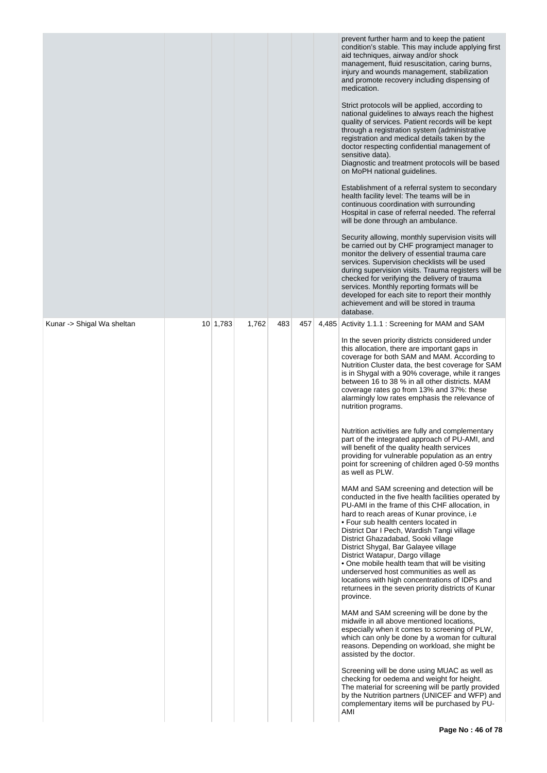|                            |                 |       |     |     | through a registration system (administrative<br>registration and medical details taken by the<br>doctor respecting confidential management of<br>sensitive data).<br>Diagnostic and treatment protocols will be based<br>on MoPH national guidelines.<br>Establishment of a referral system to secondary<br>health facility level: The teams will be in<br>continuous coordination with surrounding<br>Hospital in case of referral needed. The referral<br>will be done through an ambulance.<br>Security allowing, monthly supervision visits will<br>be carried out by CHF programject manager to<br>monitor the delivery of essential trauma care<br>services. Supervision checklists will be used<br>during supervision visits. Trauma registers will be<br>checked for verifying the delivery of trauma<br>services. Monthly reporting formats will be<br>developed for each site to report their monthly<br>achievement and will be stored in trauma<br>database.                                                                                                                                                                                                                                                                                                                                                                                                                                                                                                                                                                                                                                                                                                                                                                                                                                                        |
|----------------------------|-----------------|-------|-----|-----|----------------------------------------------------------------------------------------------------------------------------------------------------------------------------------------------------------------------------------------------------------------------------------------------------------------------------------------------------------------------------------------------------------------------------------------------------------------------------------------------------------------------------------------------------------------------------------------------------------------------------------------------------------------------------------------------------------------------------------------------------------------------------------------------------------------------------------------------------------------------------------------------------------------------------------------------------------------------------------------------------------------------------------------------------------------------------------------------------------------------------------------------------------------------------------------------------------------------------------------------------------------------------------------------------------------------------------------------------------------------------------------------------------------------------------------------------------------------------------------------------------------------------------------------------------------------------------------------------------------------------------------------------------------------------------------------------------------------------------------------------------------------------------------------------------------------------------|
| Kunar -> Shigal Wa sheltan | $10 \mid 1,783$ | 1,762 | 483 | 457 | 4,485 Activity 1.1.1 : Screening for MAM and SAM<br>In the seven priority districts considered under<br>this allocation, there are important gaps in<br>coverage for both SAM and MAM. According to<br>Nutrition Cluster data, the best coverage for SAM<br>is in Shygal with a 90% coverage, while it ranges<br>between 16 to 38 % in all other districts. MAM<br>coverage rates go from 13% and 37%: these<br>alarmingly low rates emphasis the relevance of<br>nutrition programs.<br>Nutrition activities are fully and complementary<br>part of the integrated approach of PU-AMI, and<br>will benefit of the quality health services<br>providing for vulnerable population as an entry<br>point for screening of children aged 0-59 months<br>as well as PLW.<br>MAM and SAM screening and detection will be<br>conducted in the five health facilities operated by<br>PU-AMI in the frame of this CHF allocation, in<br>hard to reach areas of Kunar province, i.e.<br>• Four sub health centers located in<br>District Dar I Pech, Wardish Tangi village<br>District Ghazadabad, Sooki village<br>District Shygal, Bar Galayee village<br>District Watapur, Dargo village<br>• One mobile health team that will be visiting<br>underserved host communities as well as<br>locations with high concentrations of IDPs and<br>returnees in the seven priority districts of Kunar<br>province.<br>MAM and SAM screening will be done by the<br>midwife in all above mentioned locations,<br>especially when it comes to screening of PLW,<br>which can only be done by a woman for cultural<br>reasons. Depending on workload, she might be<br>assisted by the doctor.<br>Screening will be done using MUAC as well as<br>checking for oedema and weight for height.<br>The material for screening will be partly provided |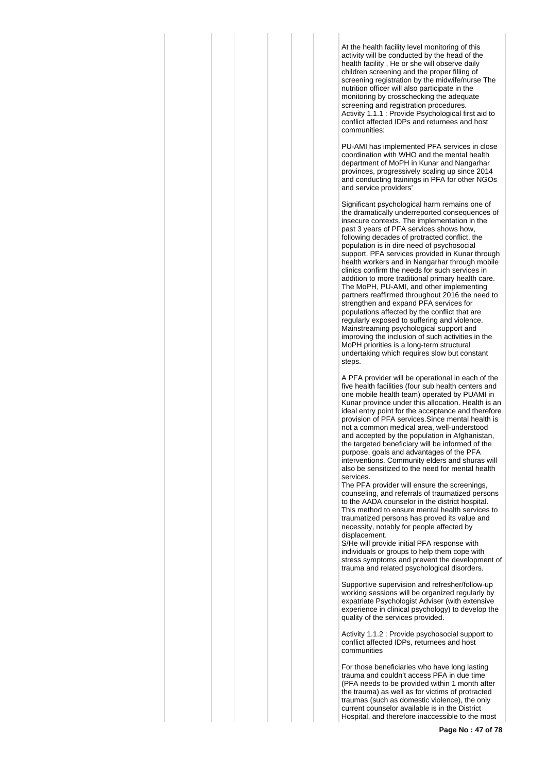At the health facility level monitoring of this activity will be conducted by the head of the health facility , He or she will observe daily children screening and the proper filling of screening registration by the midwife/nurse The nutrition officer will also participate in the monitoring by crosschecking the adequate screening and registration procedures. Activity 1.1.1 : Provide Psychological first aid to conflict affected IDPs and returnees and host communities:

PU-AMI has implemented PFA services in close coordination with WHO and the mental health department of MoPH in Kunar and Nangarhar provinces, progressively scaling up since 2014 and conducting trainings in PFA for other NGOs and service providers'

Significant psychological harm remains one of the dramatically underreported consequences of insecure contexts. The implementation in the past 3 years of PFA services shows how, following decades of protracted conflict, the population is in dire need of psychosocial support. PFA services provided in Kunar through health workers and in Nangarhar through mobile clinics confirm the needs for such services in addition to more traditional primary health care. The MoPH, PU-AMI, and other implementing partners reaffirmed throughout 2016 the need to strengthen and expand PFA services for populations affected by the conflict that are regularly exposed to suffering and violence. Mainstreaming psychological support and improving the inclusion of such activities in the MoPH priorities is a long-term structural undertaking which requires slow but constant steps.

A PFA provider will be operational in each of the five health facilities (four sub health centers and one mobile health team) operated by PUAMI in Kunar province under this allocation. Health is an ideal entry point for the acceptance and therefore provision of PFA services.Since mental health is not a common medical area, well-understood and accepted by the population in Afghanistan, the targeted beneficiary will be informed of the purpose, goals and advantages of the PFA interventions. Community elders and shuras will also be sensitized to the need for mental health services.

The PFA provider will ensure the screenings, counseling, and referrals of traumatized persons to the AADA counselor in the district hospital. This method to ensure mental health services to traumatized persons has proved its value and necessity, notably for people affected by displacement.

S/He will provide initial PFA response with individuals or groups to help them cope with stress symptoms and prevent the development of trauma and related psychological disorders.

Supportive supervision and refresher/follow-up working sessions will be organized regularly by expatriate Psychologist Adviser (with extensive experience in clinical psychology) to develop the quality of the services provided.

Activity 1.1.2 : Provide psychosocial support to conflict affected IDPs, returnees and host communities

For those beneficiaries who have long lasting trauma and couldn't access PFA in due time (PFA needs to be provided within 1 month after the trauma) as well as for victims of protracted traumas (such as domestic violence), the only current counselor available is in the District Hospital, and therefore inaccessible to the most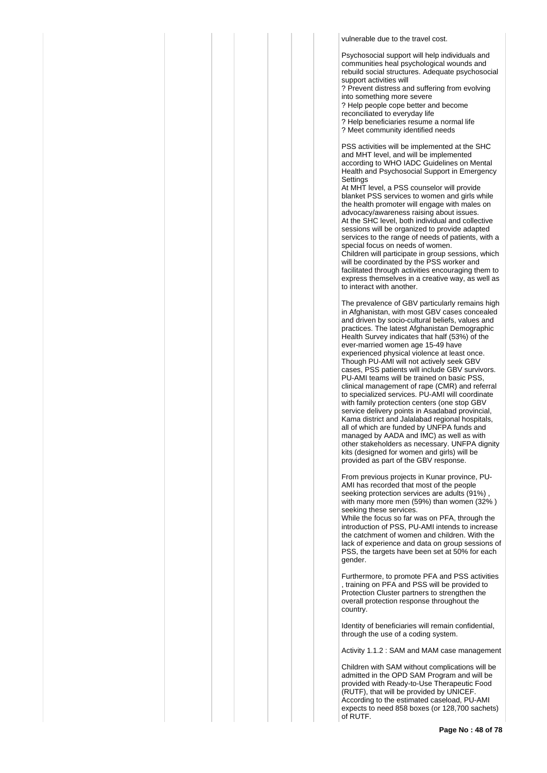vulnerable due to the travel cost.

Psychosocial support will help individuals and communities heal psychological wounds and rebuild social structures. Adequate psychosocial support activities will ? Prevent distress and suffering from evolving into something more severe

? Help people cope better and become reconciliated to everyday life ? Help beneficiaries resume a normal life ? Meet community identified needs

PSS activities will be implemented at the SHC and MHT level, and will be implemented according to WHO IADC Guidelines on Mental Health and Psychosocial Support in Emergency **Settings** 

At MHT level, a PSS counselor will provide blanket PSS services to women and girls while the health promoter will engage with males on advocacy/awareness raising about issues. At the SHC level, both individual and collective sessions will be organized to provide adapted services to the range of needs of patients, with a special focus on needs of women. Children will participate in group sessions, which will be coordinated by the PSS worker and facilitated through activities encouraging them to express themselves in a creative way, as well as to interact with another.

The prevalence of GBV particularly remains high in Afghanistan, with most GBV cases concealed and driven by socio-cultural beliefs, values and practices. The latest Afghanistan Demographic Health Survey indicates that half (53%) of the ever-married women age 15-49 have experienced physical violence at least once. Though PU-AMI will not actively seek GBV cases, PSS patients will include GBV survivors. PU-AMI teams will be trained on basic PSS, clinical management of rape (CMR) and referral to specialized services. PU-AMI will coordinate with family protection centers (one stop GBV service delivery points in Asadabad provincial, Kama district and Jalalabad regional hospitals, all of which are funded by UNFPA funds and managed by AADA and IMC) as well as with other stakeholders as necessary. UNFPA dignity kits (designed for women and girls) will be provided as part of the GBV response.

From previous projects in Kunar province, PU-AMI has recorded that most of the people seeking protection services are adults (91%) with many more men (59%) than women (32% ) seeking these services.

While the focus so far was on PFA, through the introduction of PSS, PU-AMI intends to increase the catchment of women and children. With the lack of experience and data on group sessions of PSS, the targets have been set at 50% for each gender.

Furthermore, to promote PFA and PSS activities , training on PFA and PSS will be provided to Protection Cluster partners to strengthen the overall protection response throughout the country.

Identity of beneficiaries will remain confidential, through the use of a coding system.

Activity 1.1.2 : SAM and MAM case management

Children with SAM without complications will be admitted in the OPD SAM Program and will be provided with Ready-to-Use Therapeutic Food (RUTF), that will be provided by UNICEF. According to the estimated caseload, PU-AMI expects to need 858 boxes (or 128,700 sachets) of RUTF.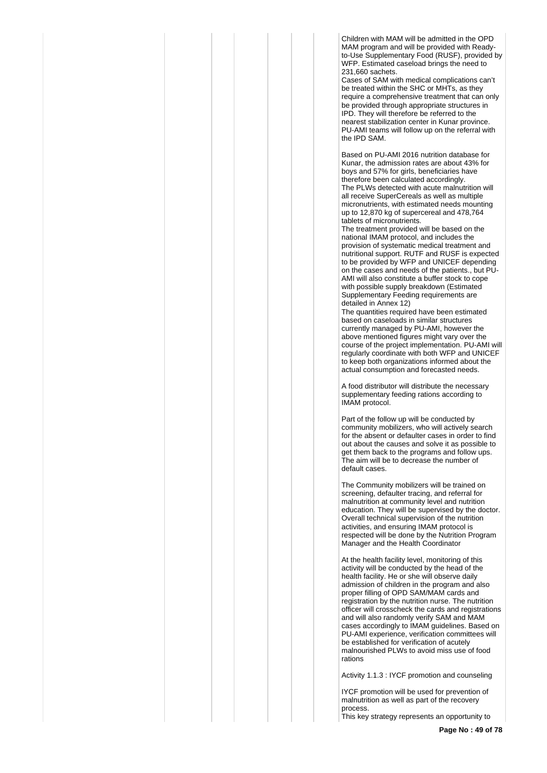Children with MAM will be admitted in the OPD MAM program and will be provided with Readyto-Use Supplementary Food (RUSF), provided by WFP. Estimated caseload brings the need to 231,660 sachets.

Cases of SAM with medical complications can't be treated within the SHC or MHTs, as they require a comprehensive treatment that can only be provided through appropriate structures in IPD. They will therefore be referred to the nearest stabilization center in Kunar province. PU-AMI teams will follow up on the referral with the IPD SAM.

Based on PU-AMI 2016 nutrition database for Kunar, the admission rates are about 43% for boys and 57% for girls, beneficiaries have therefore been calculated accordingly. The PLWs detected with acute malnutrition will all receive SuperCereals as well as multiple micronutrients, with estimated needs mounting up to 12,870 kg of supercereal and 478,764 tablets of micronutrients.

The treatment provided will be based on the national IMAM protocol, and includes the provision of systematic medical treatment and nutritional support. RUTF and RUSF is expected to be provided by WFP and UNICEF depending on the cases and needs of the patients., but PU-AMI will also constitute a buffer stock to cope with possible supply breakdown (Estimated Supplementary Feeding requirements are detailed in Annex 12)

The quantities required have been estimated based on caseloads in similar structures currently managed by PU-AMI, however the above mentioned figures might vary over the course of the project implementation. PU-AMI will regularly coordinate with both WFP and UNICEF to keep both organizations informed about the actual consumption and forecasted needs.

A food distributor will distribute the necessary supplementary feeding rations according to IMAM protocol.

Part of the follow up will be conducted by community mobilizers, who will actively search for the absent or defaulter cases in order to find out about the causes and solve it as possible to get them back to the programs and follow ups. The aim will be to decrease the number of default cases.

The Community mobilizers will be trained on screening, defaulter tracing, and referral for malnutrition at community level and nutrition education. They will be supervised by the doctor. Overall technical supervision of the nutrition activities, and ensuring IMAM protocol is respected will be done by the Nutrition Program Manager and the Health Coordinator

At the health facility level, monitoring of this activity will be conducted by the head of the health facility. He or she will observe daily admission of children in the program and also proper filling of OPD SAM/MAM cards and registration by the nutrition nurse. The nutrition officer will crosscheck the cards and registrations and will also randomly verify SAM and MAM cases accordingly to IMAM guidelines. Based on PU-AMI experience, verification committees will be established for verification of acutely malnourished PLWs to avoid miss use of food rations

Activity 1.1.3 : IYCF promotion and counseling

IYCF promotion will be used for prevention of malnutrition as well as part of the recovery process.

This key strategy represents an opportunity to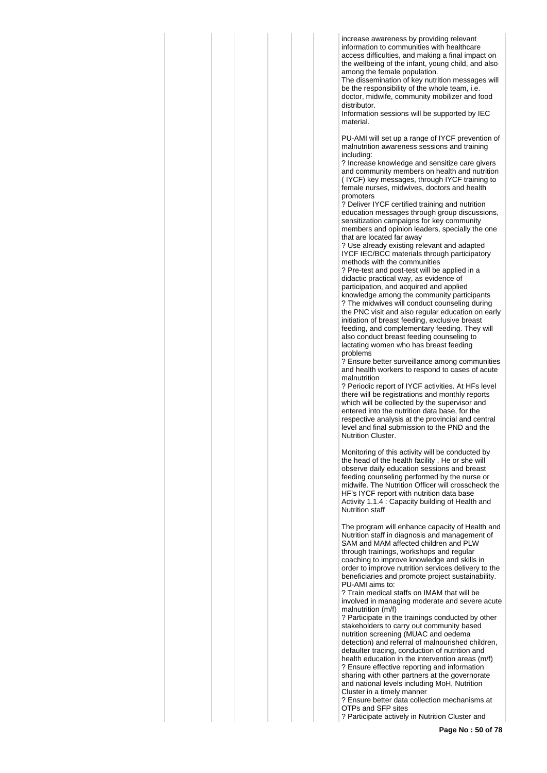increase awareness by providing relevant information to communities with healthcare access difficulties, and making a final impact on the wellbeing of the infant, young child, and also among the female population.

The dissemination of key nutrition messages will be the responsibility of the whole team, i.e. doctor, midwife, community mobilizer and food distributor.

Information sessions will be supported by IEC material.

PU-AMI will set up a range of IYCF prevention of malnutrition awareness sessions and training including:

? Increase knowledge and sensitize care givers and community members on health and nutrition ( IYCF) key messages, through IYCF training to female nurses, midwives, doctors and health promoters

? Deliver IYCF certified training and nutrition education messages through group discussions, sensitization campaigns for key community members and opinion leaders, specially the one that are located far away

? Use already existing relevant and adapted IYCF IEC/BCC materials through participatory methods with the communities

? Pre-test and post-test will be applied in a didactic practical way, as evidence of participation, and acquired and applied knowledge among the community participants ? The midwives will conduct counseling during the PNC visit and also regular education on early initiation of breast feeding, exclusive breast feeding, and complementary feeding. They will also conduct breast feeding counseling to lactating women who has breast feeding problems

? Ensure better surveillance among communities and health workers to respond to cases of acute malnutrition

? Periodic report of IYCF activities. At HFs level there will be registrations and monthly reports which will be collected by the supervisor and entered into the nutrition data base, for the respective analysis at the provincial and central level and final submission to the PND and the Nutrition Cluster.

Monitoring of this activity will be conducted by the head of the health facility , He or she will observe daily education sessions and breast feeding counseling performed by the nurse or midwife. The Nutrition Officer will crosscheck the HF's IYCF report with nutrition data base Activity 1.1.4 : Capacity building of Health and Nutrition staff

The program will enhance capacity of Health and Nutrition staff in diagnosis and management of SAM and MAM affected children and PLW through trainings, workshops and regular coaching to improve knowledge and skills in order to improve nutrition services delivery to the beneficiaries and promote project sustainability. PU-AMI aims to:

? Train medical staffs on IMAM that will be involved in managing moderate and severe acute malnutrition (m/f)

? Participate in the trainings conducted by other stakeholders to carry out community based nutrition screening (MUAC and oedema detection) and referral of malnourished children, defaulter tracing, conduction of nutrition and health education in the intervention areas (m/f) ? Ensure effective reporting and information sharing with other partners at the governorate and national levels including MoH, Nutrition Cluster in a timely manner

? Ensure better data collection mechanisms at OTPs and SFP sites

? Participate actively in Nutrition Cluster and

**Page No : 50 of 78**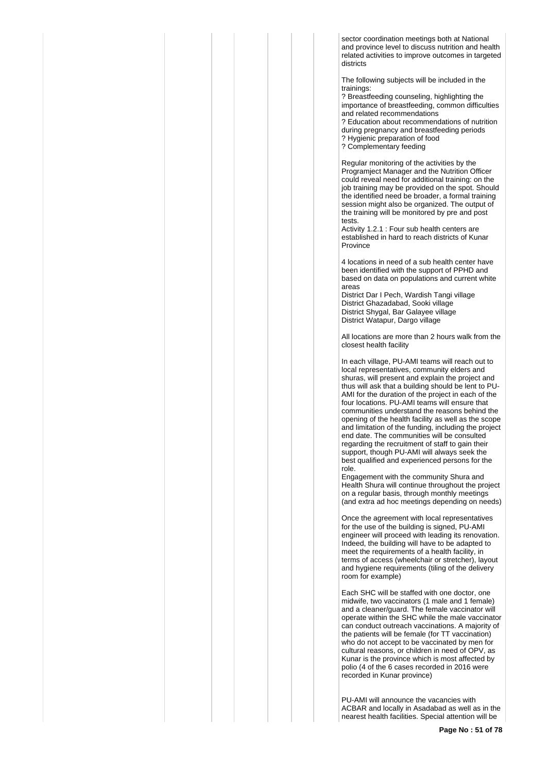sector coordination meetings both at National and province level to discuss nutrition and health related activities to improve outcomes in targeted districts

The following subjects will be included in the trainings:

? Breastfeeding counseling, highlighting the importance of breastfeeding, common difficulties and related recommendations

? Education about recommendations of nutrition during pregnancy and breastfeeding periods ? Hygienic preparation of food ? Complementary feeding

Regular monitoring of the activities by the Programject Manager and the Nutrition Officer could reveal need for additional training: on the job training may be provided on the spot. Should the identified need be broader, a formal training session might also be organized. The output of the training will be monitored by pre and post tests.

Activity 1.2.1 : Four sub health centers are established in hard to reach districts of Kunar Province

4 locations in need of a sub health center have been identified with the support of PPHD and based on data on populations and current white areas

District Dar I Pech, Wardish Tangi village District Ghazadabad, Sooki village District Shygal, Bar Galayee village District Watapur, Dargo village

All locations are more than 2 hours walk from the closest health facility

In each village, PU-AMI teams will reach out to local representatives, community elders and shuras, will present and explain the project and thus will ask that a building should be lent to PU-AMI for the duration of the project in each of the four locations. PU-AMI teams will ensure that communities understand the reasons behind the opening of the health facility as well as the scope and limitation of the funding, including the project end date. The communities will be consulted regarding the recruitment of staff to gain their support, though PU-AMI will always seek the best qualified and experienced persons for the role.

Engagement with the community Shura and Health Shura will continue throughout the project on a regular basis, through monthly meetings (and extra ad hoc meetings depending on needs)

Once the agreement with local representatives for the use of the building is signed, PU-AMI engineer will proceed with leading its renovation. Indeed, the building will have to be adapted to meet the requirements of a health facility, in terms of access (wheelchair or stretcher), layout and hygiene requirements (tiling of the delivery room for example)

Each SHC will be staffed with one doctor, one midwife, two vaccinators (1 male and 1 female) and a cleaner/guard. The female vaccinator will operate within the SHC while the male vaccinator can conduct outreach vaccinations. A majority of the patients will be female (for TT vaccination) who do not accept to be vaccinated by men for cultural reasons, or children in need of OPV, as Kunar is the province which is most affected by polio (4 of the 6 cases recorded in 2016 were recorded in Kunar province)

PU-AMI will announce the vacancies with ACBAR and locally in Asadabad as well as in the nearest health facilities. Special attention will be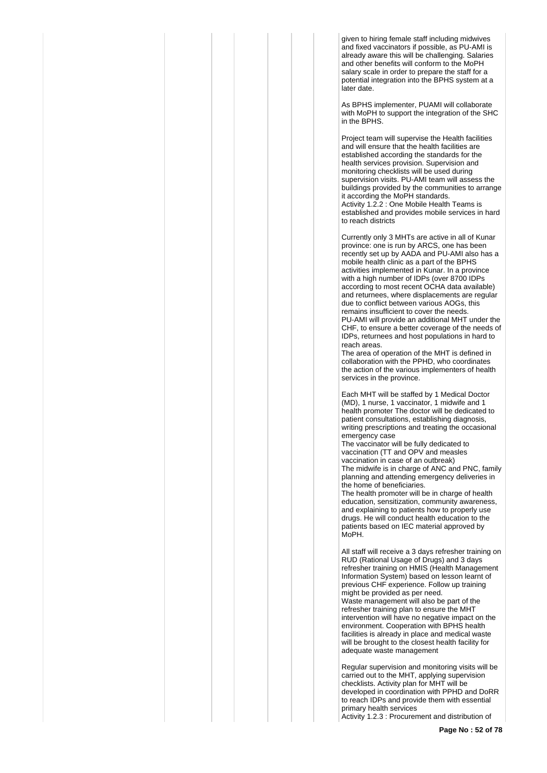given to hiring female staff including midwives and fixed vaccinators if possible, as PU-AMI is already aware this will be challenging. Salaries and other benefits will conform to the MoPH salary scale in order to prepare the staff for a potential integration into the BPHS system at a later date.

As BPHS implementer, PUAMI will collaborate with MoPH to support the integration of the SHC in the BPHS.

Project team will supervise the Health facilities and will ensure that the health facilities are established according the standards for the health services provision. Supervision and monitoring checklists will be used during supervision visits. PU-AMI team will assess the buildings provided by the communities to arrange it according the MoPH standards. Activity 1.2.2 : One Mobile Health Teams is established and provides mobile services in hard to reach districts

Currently only 3 MHTs are active in all of Kunar province: one is run by ARCS, one has been recently set up by AADA and PU-AMI also has a mobile health clinic as a part of the BPHS activities implemented in Kunar. In a province with a high number of IDPs (over 8700 IDPs according to most recent OCHA data available) and returnees, where displacements are regular due to conflict between various AOGs, this remains insufficient to cover the needs. PU-AMI will provide an additional MHT under the CHF, to ensure a better coverage of the needs of IDPs, returnees and host populations in hard to reach areas.

The area of operation of the MHT is defined in collaboration with the PPHD, who coordinates the action of the various implementers of health services in the province.

Each MHT will be staffed by 1 Medical Doctor (MD), 1 nurse, 1 vaccinator, 1 midwife and 1 health promoter The doctor will be dedicated to patient consultations, establishing diagnosis, writing prescriptions and treating the occasional emergency case

The vaccinator will be fully dedicated to vaccination (TT and OPV and measles vaccination in case of an outbreak) The midwife is in charge of ANC and PNC, family planning and attending emergency deliveries in the home of beneficiaries.

The health promoter will be in charge of health education, sensitization, community awareness, and explaining to patients how to properly use drugs. He will conduct health education to the patients based on IEC material approved by MoPH.

All staff will receive a 3 days refresher training on RUD (Rational Usage of Drugs) and 3 days refresher training on HMIS (Health Management Information System) based on lesson learnt of previous CHF experience. Follow up training might be provided as per need. Waste management will also be part of the refresher training plan to ensure the MHT intervention will have no negative impact on the environment. Cooperation with BPHS health facilities is already in place and medical waste will be brought to the closest health facility for adequate waste management

Regular supervision and monitoring visits will be carried out to the MHT, applying supervision checklists. Activity plan for MHT will be developed in coordination with PPHD and DoRR to reach IDPs and provide them with essential primary health services Activity 1.2.3 : Procurement and distribution of

**Page No : 52 of 78**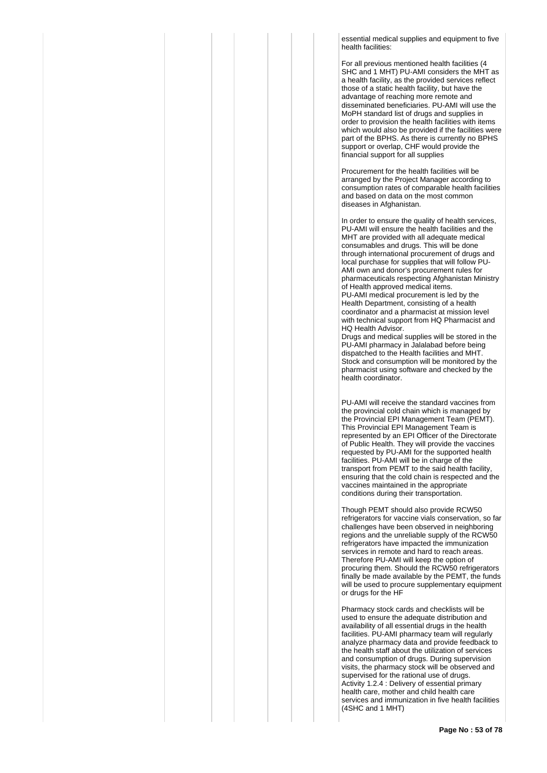essential medical supplies and equipment to five health facilities:

For all previous mentioned health facilities (4 SHC and 1 MHT) PU-AMI considers the MHT as a health facility, as the provided services reflect those of a static health facility, but have the advantage of reaching more remote and disseminated beneficiaries. PU-AMI will use the MoPH standard list of drugs and supplies in order to provision the health facilities with items which would also be provided if the facilities were part of the BPHS. As there is currently no BPHS support or overlap, CHF would provide the financial support for all supplies

Procurement for the health facilities will be arranged by the Project Manager according to consumption rates of comparable health facilities and based on data on the most common diseases in Afghanistan.

In order to ensure the quality of health services, PU-AMI will ensure the health facilities and the MHT are provided with all adequate medical consumables and drugs. This will be done through international procurement of drugs and local purchase for supplies that will follow PU-AMI own and donor's procurement rules for pharmaceuticals respecting Afghanistan Ministry of Health approved medical items. PU-AMI medical procurement is led by the Health Department, consisting of a health coordinator and a pharmacist at mission level with technical support from HQ Pharmacist and HQ Health Advisor.

Drugs and medical supplies will be stored in the PU-AMI pharmacy in Jalalabad before being dispatched to the Health facilities and MHT. Stock and consumption will be monitored by the pharmacist using software and checked by the health coordinator.

PU-AMI will receive the standard vaccines from the provincial cold chain which is managed by the Provincial EPI Management Team (PEMT). This Provincial EPI Management Team is represented by an EPI Officer of the Directorate of Public Health. They will provide the vaccines requested by PU-AMI for the supported health facilities. PU-AMI will be in charge of the transport from PEMT to the said health facility, ensuring that the cold chain is respected and the vaccines maintained in the appropriate conditions during their transportation.

Though PEMT should also provide RCW50 refrigerators for vaccine vials conservation, so far challenges have been observed in neighboring regions and the unreliable supply of the RCW50 refrigerators have impacted the immunization services in remote and hard to reach areas. Therefore PU-AMI will keep the option of procuring them. Should the RCW50 refrigerators finally be made available by the PEMT, the funds will be used to procure supplementary equipment or drugs for the HF

Pharmacy stock cards and checklists will be used to ensure the adequate distribution and availability of all essential drugs in the health facilities. PU-AMI pharmacy team will regularly analyze pharmacy data and provide feedback to the health staff about the utilization of services and consumption of drugs. During supervision visits, the pharmacy stock will be observed and supervised for the rational use of drugs. Activity 1.2.4 : Delivery of essential primary health care, mother and child health care services and immunization in five health facilities (4SHC and 1 MHT)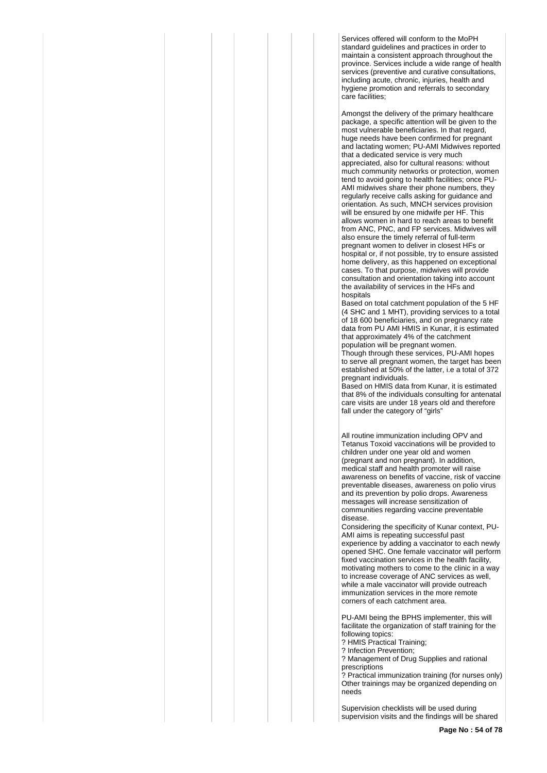Services offered will conform to the MoPH standard guidelines and practices in order to maintain a consistent approach throughout the province. Services include a wide range of health services (preventive and curative consultations, including acute, chronic, injuries, health and hygiene promotion and referrals to secondary care facilities;

Amongst the delivery of the primary healthcare package, a specific attention will be given to the most vulnerable beneficiaries. In that regard, huge needs have been confirmed for pregnant and lactating women; PU-AMI Midwives reported that a dedicated service is very much appreciated, also for cultural reasons: without much community networks or protection, women tend to avoid going to health facilities; once PU-AMI midwives share their phone numbers, they regularly receive calls asking for guidance and orientation. As such, MNCH services provision will be ensured by one midwife per HF. This allows women in hard to reach areas to benefit from ANC, PNC, and FP services. Midwives will also ensure the timely referral of full-term pregnant women to deliver in closest HFs or hospital or, if not possible, try to ensure assisted home delivery, as this happened on exceptional cases. To that purpose, midwives will provide consultation and orientation taking into account the availability of services in the HFs and hospitals

Based on total catchment population of the 5 HF (4 SHC and 1 MHT), providing services to a total of 18 600 beneficiaries, and on pregnancy rate data from PU AMI HMIS in Kunar, it is estimated that approximately 4% of the catchment population will be pregnant women.

Though through these services, PU-AMI hopes to serve all pregnant women, the target has been established at 50% of the latter, i.e a total of 372 pregnant individuals.

Based on HMIS data from Kunar, it is estimated that 8% of the individuals consulting for antenatal care visits are under 18 years old and therefore fall under the category of "girls"

All routine immunization including OPV and Tetanus Toxoid vaccinations will be provided to children under one year old and women (pregnant and non pregnant). In addition, medical staff and health promoter will raise awareness on benefits of vaccine, risk of vaccine preventable diseases, awareness on polio virus and its prevention by polio drops. Awareness messages will increase sensitization of communities regarding vaccine preventable disease.

Considering the specificity of Kunar context, PU-AMI aims is repeating successful past experience by adding a vaccinator to each newly opened SHC. One female vaccinator will perform fixed vaccination services in the health facility, motivating mothers to come to the clinic in a way to increase coverage of ANC services as well, while a male vaccinator will provide outreach immunization services in the more remote corners of each catchment area.

PU-AMI being the BPHS implementer, this will facilitate the organization of staff training for the following topics:

? HMIS Practical Training;

? Infection Prevention;

? Management of Drug Supplies and rational prescriptions

? Practical immunization training (for nurses only) Other trainings may be organized depending on needs

Supervision checklists will be used during supervision visits and the findings will be shared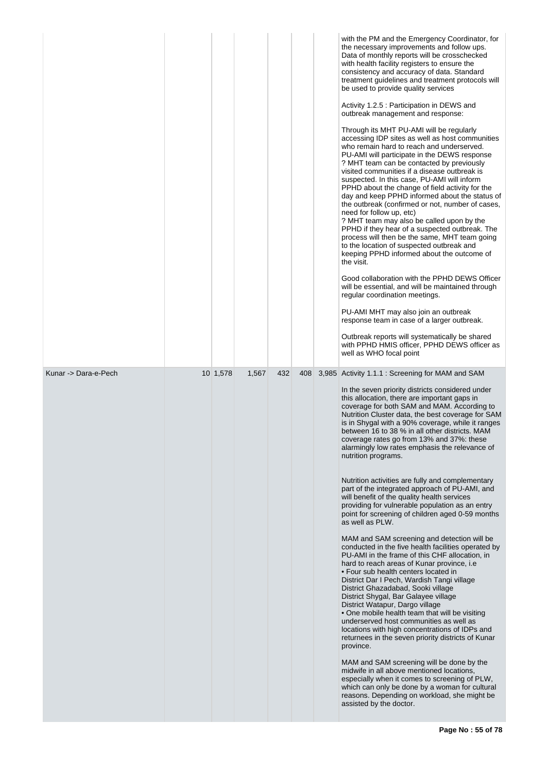|                      |          |       |     |     | with the PM and the Emergency Coordinator, for<br>the necessary improvements and follow ups.<br>Data of monthly reports will be crosschecked<br>with health facility registers to ensure the<br>consistency and accuracy of data. Standard<br>treatment guidelines and treatment protocols will<br>be used to provide quality services<br>Activity 1.2.5 : Participation in DEWS and<br>outbreak management and response:<br>Through its MHT PU-AMI will be regularly<br>accessing IDP sites as well as host communities<br>who remain hard to reach and underserved.<br>PU-AMI will participate in the DEWS response<br>? MHT team can be contacted by previously<br>visited communities if a disease outbreak is<br>suspected. In this case, PU-AMI will inform<br>PPHD about the change of field activity for the<br>day and keep PPHD informed about the status of<br>the outbreak (confirmed or not, number of cases,<br>need for follow up, etc)<br>? MHT team may also be called upon by the<br>PPHD if they hear of a suspected outbreak. The<br>process will then be the same, MHT team going<br>to the location of suspected outbreak and<br>keeping PPHD informed about the outcome of<br>the visit.<br>Good collaboration with the PPHD DEWS Officer<br>will be essential, and will be maintained through<br>regular coordination meetings.<br>PU-AMI MHT may also join an outbreak<br>response team in case of a larger outbreak.<br>Outbreak reports will systematically be shared<br>with PPHD HMIS officer, PPHD DEWS officer as<br>well as WHO focal point |
|----------------------|----------|-------|-----|-----|-----------------------------------------------------------------------------------------------------------------------------------------------------------------------------------------------------------------------------------------------------------------------------------------------------------------------------------------------------------------------------------------------------------------------------------------------------------------------------------------------------------------------------------------------------------------------------------------------------------------------------------------------------------------------------------------------------------------------------------------------------------------------------------------------------------------------------------------------------------------------------------------------------------------------------------------------------------------------------------------------------------------------------------------------------------------------------------------------------------------------------------------------------------------------------------------------------------------------------------------------------------------------------------------------------------------------------------------------------------------------------------------------------------------------------------------------------------------------------------------------------------------------------------------------------------------------------|
| Kunar -> Dara-e-Pech | 10 1,578 | 1,567 | 432 | 408 | 3,985 Activity 1.1.1 : Screening for MAM and SAM<br>In the seven priority districts considered under<br>this allocation, there are important gaps in                                                                                                                                                                                                                                                                                                                                                                                                                                                                                                                                                                                                                                                                                                                                                                                                                                                                                                                                                                                                                                                                                                                                                                                                                                                                                                                                                                                                                        |
|                      |          |       |     |     | coverage for both SAM and MAM. According to<br>Nutrition Cluster data, the best coverage for SAM<br>is in Shygal with a 90% coverage, while it ranges<br>between 16 to 38 % in all other districts. MAM<br>coverage rates go from 13% and 37%: these<br>alarmingly low rates emphasis the relevance of<br>nutrition programs.                                                                                                                                                                                                                                                                                                                                                                                                                                                                                                                                                                                                                                                                                                                                                                                                                                                                                                                                                                                                                                                                                                                                                                                                                                               |
|                      |          |       |     |     | Nutrition activities are fully and complementary<br>part of the integrated approach of PU-AMI, and<br>will benefit of the quality health services<br>providing for vulnerable population as an entry<br>point for screening of children aged 0-59 months<br>as well as PLW.                                                                                                                                                                                                                                                                                                                                                                                                                                                                                                                                                                                                                                                                                                                                                                                                                                                                                                                                                                                                                                                                                                                                                                                                                                                                                                 |
|                      |          |       |     |     | MAM and SAM screening and detection will be<br>conducted in the five health facilities operated by<br>PU-AMI in the frame of this CHF allocation, in<br>hard to reach areas of Kunar province, i.e.<br>• Four sub health centers located in<br>District Dar I Pech, Wardish Tangi village<br>District Ghazadabad, Sooki village<br>District Shygal, Bar Galayee village<br>District Watapur, Dargo village<br>• One mobile health team that will be visiting<br>underserved host communities as well as<br>locations with high concentrations of IDPs and<br>returnees in the seven priority districts of Kunar<br>province.                                                                                                                                                                                                                                                                                                                                                                                                                                                                                                                                                                                                                                                                                                                                                                                                                                                                                                                                                |
|                      |          |       |     |     | MAM and SAM screening will be done by the<br>midwife in all above mentioned locations,<br>especially when it comes to screening of PLW,<br>which can only be done by a woman for cultural<br>reasons. Depending on workload, she might be<br>assisted by the doctor.                                                                                                                                                                                                                                                                                                                                                                                                                                                                                                                                                                                                                                                                                                                                                                                                                                                                                                                                                                                                                                                                                                                                                                                                                                                                                                        |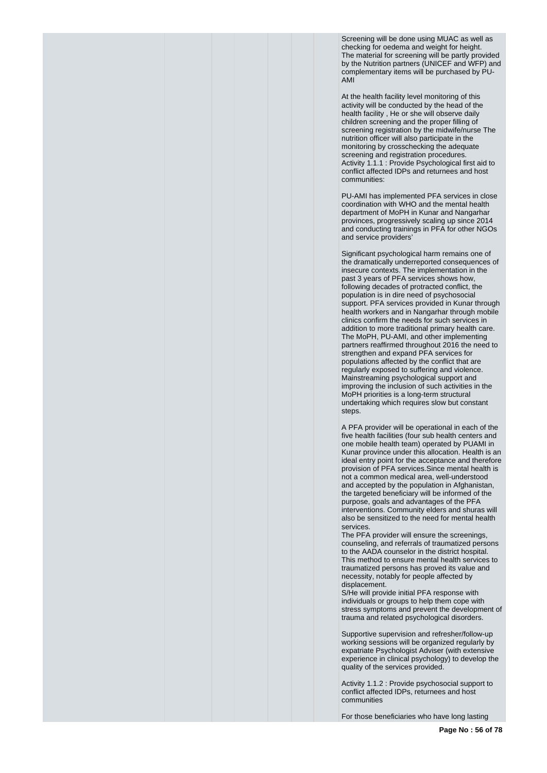Screening will be done using MUAC as well as checking for oedema and weight for height. The material for screening will be partly provided by the Nutrition partners (UNICEF and WFP) and complementary items will be purchased by PU-AMI

At the health facility level monitoring of this activity will be conducted by the head of the health facility , He or she will observe daily children screening and the proper filling of screening registration by the midwife/nurse The nutrition officer will also participate in the monitoring by crosschecking the adequate screening and registration procedures. Activity 1.1.1 : Provide Psychological first aid to conflict affected IDPs and returnees and host communities:

PU-AMI has implemented PFA services in close coordination with WHO and the mental health department of MoPH in Kunar and Nangarhar provinces, progressively scaling up since 2014 and conducting trainings in PFA for other NGOs and service providers'

Significant psychological harm remains one of the dramatically underreported consequences of insecure contexts. The implementation in the past 3 years of PFA services shows how, following decades of protracted conflict, the population is in dire need of psychosocial support. PFA services provided in Kunar through health workers and in Nangarhar through mobile clinics confirm the needs for such services in addition to more traditional primary health care. The MoPH, PU-AMI, and other implementing partners reaffirmed throughout 2016 the need to strengthen and expand PFA services for populations affected by the conflict that are regularly exposed to suffering and violence. Mainstreaming psychological support and improving the inclusion of such activities in the MoPH priorities is a long-term structural undertaking which requires slow but constant steps.

A PFA provider will be operational in each of the five health facilities (four sub health centers and one mobile health team) operated by PUAMI in Kunar province under this allocation. Health is an ideal entry point for the acceptance and therefore provision of PFA services.Since mental health is not a common medical area, well-understood and accepted by the population in Afghanistan, the targeted beneficiary will be informed of the purpose, goals and advantages of the PFA interventions. Community elders and shuras will also be sensitized to the need for mental health services.

The PFA provider will ensure the screenings, counseling, and referrals of traumatized persons to the AADA counselor in the district hospital. This method to ensure mental health services to traumatized persons has proved its value and necessity, notably for people affected by displacement.

S/He will provide initial PFA response with individuals or groups to help them cope with stress symptoms and prevent the development of trauma and related psychological disorders.

Supportive supervision and refresher/follow-up working sessions will be organized regularly by expatriate Psychologist Adviser (with extensive experience in clinical psychology) to develop the quality of the services provided.

Activity 1.1.2 : Provide psychosocial support to conflict affected IDPs, returnees and host communities

For those beneficiaries who have long lasting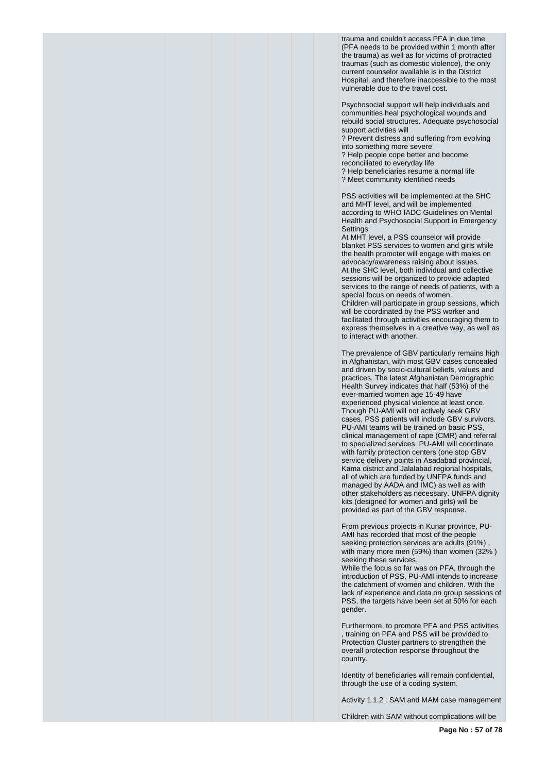trauma and couldn't access PFA in due time (PFA needs to be provided within 1 month after the trauma) as well as for victims of protracted traumas (such as domestic violence), the only current counselor available is in the District Hospital, and therefore inaccessible to the most vulnerable due to the travel cost.

Psychosocial support will help individuals and communities heal psychological wounds and rebuild social structures. Adequate psychosocial support activities will

? Prevent distress and suffering from evolving into something more severe

? Help people cope better and become

reconciliated to everyday life

? Help beneficiaries resume a normal life

? Meet community identified needs

PSS activities will be implemented at the SHC and MHT level, and will be implemented according to WHO IADC Guidelines on Mental Health and Psychosocial Support in Emergency **Settings** 

At MHT level, a PSS counselor will provide blanket PSS services to women and girls while the health promoter will engage with males on advocacy/awareness raising about issues. At the SHC level, both individual and collective sessions will be organized to provide adapted services to the range of needs of patients, with a special focus on needs of women. Children will participate in group sessions, which will be coordinated by the PSS worker and facilitated through activities encouraging them to express themselves in a creative way, as well as to interact with another.

The prevalence of GBV particularly remains high in Afghanistan, with most GBV cases concealed and driven by socio-cultural beliefs, values and practices. The latest Afghanistan Demographic Health Survey indicates that half (53%) of the ever-married women age 15-49 have experienced physical violence at least once. Though PU-AMI will not actively seek GBV cases, PSS patients will include GBV survivors. PU-AMI teams will be trained on basic PSS, clinical management of rape (CMR) and referral to specialized services. PU-AMI will coordinate with family protection centers (one stop GBV service delivery points in Asadabad provincial, Kama district and Jalalabad regional hospitals, all of which are funded by UNFPA funds and managed by AADA and IMC) as well as with other stakeholders as necessary. UNFPA dignity kits (designed for women and girls) will be provided as part of the GBV response.

From previous projects in Kunar province, PU-AMI has recorded that most of the people seeking protection services are adults (91%) with many more men (59%) than women (32% ) seeking these services.

While the focus so far was on PFA, through the introduction of PSS, PU-AMI intends to increase the catchment of women and children. With the lack of experience and data on group sessions of PSS, the targets have been set at 50% for each gender.

Furthermore, to promote PFA and PSS activities , training on PFA and PSS will be provided to Protection Cluster partners to strengthen the overall protection response throughout the country.

Identity of beneficiaries will remain confidential, through the use of a coding system.

Activity 1.1.2 : SAM and MAM case management

Children with SAM without complications will be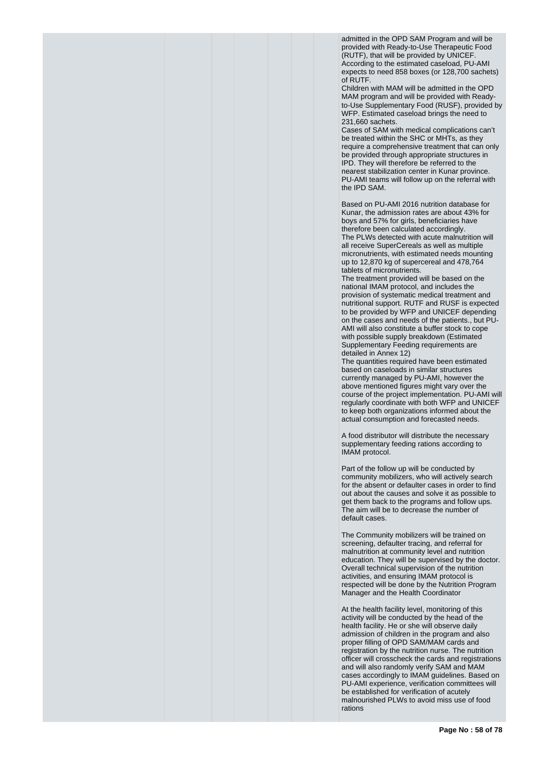admitted in the OPD SAM Program and will be provided with Ready-to-Use Therapeutic Food (RUTF), that will be provided by UNICEF. According to the estimated caseload, PU-AMI expects to need 858 boxes (or 128,700 sachets)  $of$  RUTF.

Children with MAM will be admitted in the OPD MAM program and will be provided with Readyto-Use Supplementary Food (RUSF), provided by WFP. Estimated caseload brings the need to 231,660 sachets.

Cases of SAM with medical complications can't be treated within the SHC or MHTs, as they require a comprehensive treatment that can only be provided through appropriate structures in IPD. They will therefore be referred to the nearest stabilization center in Kunar province. PU-AMI teams will follow up on the referral with the IPD SAM.

Based on PU-AMI 2016 nutrition database for Kunar, the admission rates are about 43% for boys and 57% for girls, beneficiaries have therefore been calculated accordingly. The PLWs detected with acute malnutrition will all receive SuperCereals as well as multiple micronutrients, with estimated needs mounting up to 12,870 kg of supercereal and 478,764 tablets of micronutrients.

The treatment provided will be based on the national IMAM protocol, and includes the provision of systematic medical treatment and nutritional support. RUTF and RUSF is expected to be provided by WFP and UNICEF depending on the cases and needs of the patients., but PU-AMI will also constitute a buffer stock to cope with possible supply breakdown (Estimated Supplementary Feeding requirements are detailed in Annex 12)

The quantities required have been estimated based on caseloads in similar structures currently managed by PU-AMI, however the above mentioned figures might vary over the course of the project implementation. PU-AMI will regularly coordinate with both WFP and UNICEF to keep both organizations informed about the actual consumption and forecasted needs.

A food distributor will distribute the necessary supplementary feeding rations according to IMAM protocol.

Part of the follow up will be conducted by community mobilizers, who will actively search for the absent or defaulter cases in order to find out about the causes and solve it as possible to get them back to the programs and follow ups. The aim will be to decrease the number of default cases.

The Community mobilizers will be trained on screening, defaulter tracing, and referral for malnutrition at community level and nutrition education. They will be supervised by the doctor. Overall technical supervision of the nutrition activities, and ensuring IMAM protocol is respected will be done by the Nutrition Program Manager and the Health Coordinator

At the health facility level, monitoring of this activity will be conducted by the head of the health facility. He or she will observe daily admission of children in the program and also proper filling of OPD SAM/MAM cards and registration by the nutrition nurse. The nutrition officer will crosscheck the cards and registrations and will also randomly verify SAM and MAM cases accordingly to IMAM guidelines. Based on PU-AMI experience, verification committees will be established for verification of acutely malnourished PLWs to avoid miss use of food rations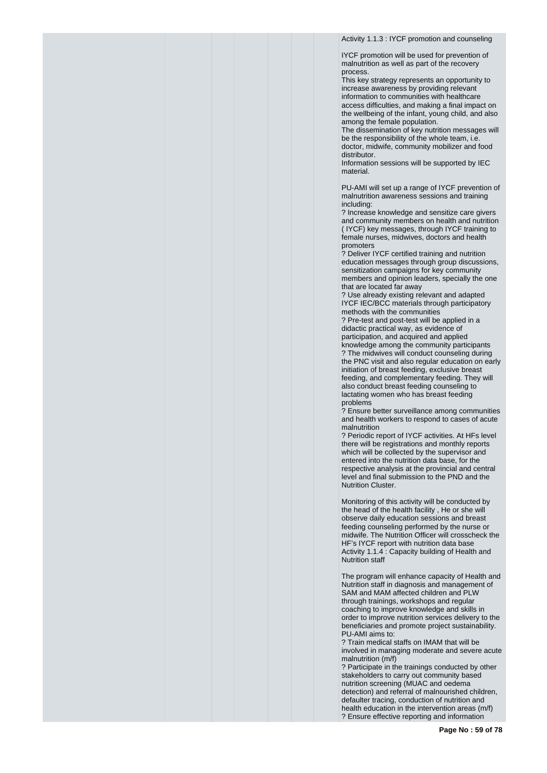Activity 1.1.3 : IYCF promotion and counseling

IYCF promotion will be used for prevention of malnutrition as well as part of the recovery process.

This key strategy represents an opportunity to increase awareness by providing relevant information to communities with healthcare access difficulties, and making a final impact on the wellbeing of the infant, young child, and also among the female population.

The dissemination of key nutrition messages will be the responsibility of the whole team, i.e. doctor, midwife, community mobilizer and food distributor.

Information sessions will be supported by IEC material.

PU-AMI will set up a range of IYCF prevention of malnutrition awareness sessions and training including:

? Increase knowledge and sensitize care givers and community members on health and nutrition ( IYCF) key messages, through IYCF training to female nurses, midwives, doctors and health promoters

? Deliver IYCF certified training and nutrition education messages through group discussions, sensitization campaigns for key community members and opinion leaders, specially the one that are located far away

? Use already existing relevant and adapted IYCF IEC/BCC materials through participatory methods with the communities

? Pre-test and post-test will be applied in a didactic practical way, as evidence of participation, and acquired and applied knowledge among the community participants ? The midwives will conduct counseling during the PNC visit and also regular education on early initiation of breast feeding, exclusive breast feeding, and complementary feeding. They will also conduct breast feeding counseling to lactating women who has breast feeding problems

? Ensure better surveillance among communities and health workers to respond to cases of acute malnutrition

? Periodic report of IYCF activities. At HFs level there will be registrations and monthly reports which will be collected by the supervisor and entered into the nutrition data base, for the respective analysis at the provincial and central level and final submission to the PND and the Nutrition Cluster.

Monitoring of this activity will be conducted by the head of the health facility , He or she will observe daily education sessions and breast feeding counseling performed by the nurse or midwife. The Nutrition Officer will crosscheck the HF's IYCF report with nutrition data base Activity 1.1.4 : Capacity building of Health and Nutrition staff

The program will enhance capacity of Health and Nutrition staff in diagnosis and management of SAM and MAM affected children and PLW through trainings, workshops and regular coaching to improve knowledge and skills in order to improve nutrition services delivery to the beneficiaries and promote project sustainability. PU-AMI aims to:

? Train medical staffs on IMAM that will be involved in managing moderate and severe acute malnutrition (m/f)

? Participate in the trainings conducted by other stakeholders to carry out community based nutrition screening (MUAC and oedema detection) and referral of malnourished children, defaulter tracing, conduction of nutrition and health education in the intervention areas (m/f) ? Ensure effective reporting and information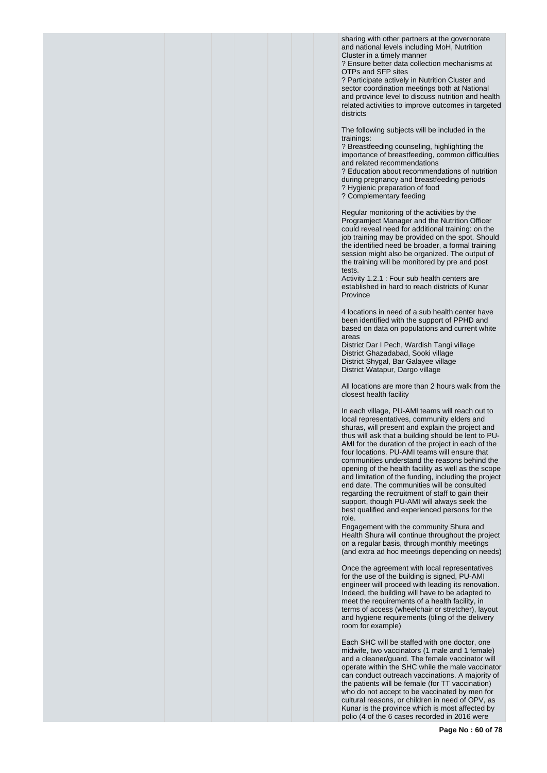sharing with other partners at the governorate and national levels including MoH, Nutrition Cluster in a timely manner

? Ensure better data collection mechanisms at OTPs and SFP sites

? Participate actively in Nutrition Cluster and sector coordination meetings both at National and province level to discuss nutrition and health related activities to improve outcomes in targeted districts

The following subjects will be included in the trainings:

? Breastfeeding counseling, highlighting the importance of breastfeeding, common difficulties and related recommendations

? Education about recommendations of nutrition during pregnancy and breastfeeding periods

? Hygienic preparation of food

? Complementary feeding

Regular monitoring of the activities by the Programject Manager and the Nutrition Officer could reveal need for additional training: on the job training may be provided on the spot. Should the identified need be broader, a formal training session might also be organized. The output of the training will be monitored by pre and post tests.

Activity 1.2.1 : Four sub health centers are established in hard to reach districts of Kunar Province

4 locations in need of a sub health center have been identified with the support of PPHD and based on data on populations and current white areas

District Dar I Pech, Wardish Tangi village District Ghazadabad, Sooki village District Shygal, Bar Galayee village District Watapur, Dargo village

All locations are more than 2 hours walk from the closest health facility

In each village, PU-AMI teams will reach out to local representatives, community elders and shuras, will present and explain the project and thus will ask that a building should be lent to PU-AMI for the duration of the project in each of the four locations. PU-AMI teams will ensure that communities understand the reasons behind the opening of the health facility as well as the scope and limitation of the funding, including the project end date. The communities will be consulted regarding the recruitment of staff to gain their support, though PU-AMI will always seek the best qualified and experienced persons for the role.

Engagement with the community Shura and Health Shura will continue throughout the project on a regular basis, through monthly meetings (and extra ad hoc meetings depending on needs)

Once the agreement with local representatives for the use of the building is signed, PU-AMI engineer will proceed with leading its renovation. Indeed, the building will have to be adapted to meet the requirements of a health facility, in terms of access (wheelchair or stretcher), layout and hygiene requirements (tiling of the delivery room for example)

Each SHC will be staffed with one doctor, one midwife, two vaccinators (1 male and 1 female) and a cleaner/guard. The female vaccinator will operate within the SHC while the male vaccinator can conduct outreach vaccinations. A majority of the patients will be female (for TT vaccination) who do not accept to be vaccinated by men for cultural reasons, or children in need of OPV, as Kunar is the province which is most affected by polio (4 of the 6 cases recorded in 2016 were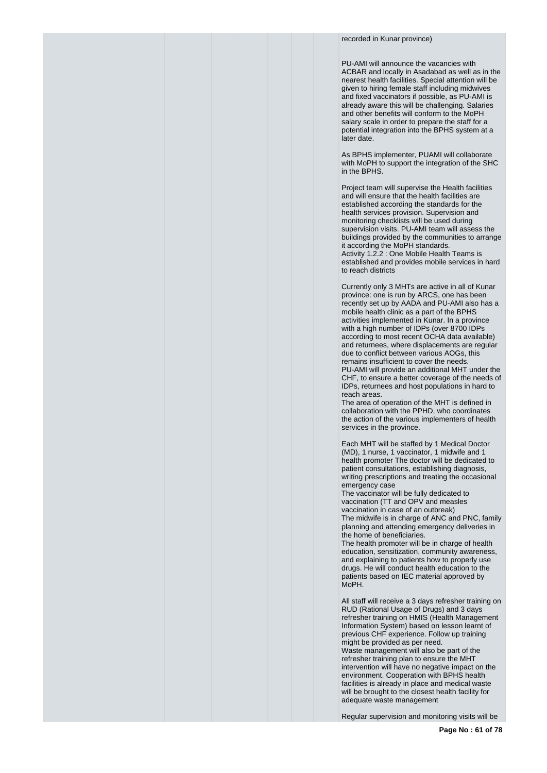recorded in Kunar province)

PU-AMI will announce the vacancies with ACBAR and locally in Asadabad as well as in the nearest health facilities. Special attention will be given to hiring female staff including midwives and fixed vaccinators if possible, as PU-AMI is already aware this will be challenging. Salaries and other benefits will conform to the MoPH salary scale in order to prepare the staff for a potential integration into the BPHS system at a later date.

As BPHS implementer, PUAMI will collaborate with MoPH to support the integration of the SHC in the BPHS.

Project team will supervise the Health facilities and will ensure that the health facilities are established according the standards for the health services provision. Supervision and monitoring checklists will be used during supervision visits. PU-AMI team will assess the buildings provided by the communities to arrange it according the MoPH standards. Activity 1.2.2 : One Mobile Health Teams is established and provides mobile services in hard to reach districts

Currently only 3 MHTs are active in all of Kunar province: one is run by ARCS, one has been recently set up by AADA and PU-AMI also has a mobile health clinic as a part of the BPHS activities implemented in Kunar. In a province with a high number of IDPs (over 8700 IDPs according to most recent OCHA data available) and returnees, where displacements are regular due to conflict between various AOGs, this remains insufficient to cover the needs. PU-AMI will provide an additional MHT under the CHF, to ensure a better coverage of the needs of IDPs, returnees and host populations in hard to reach areas.

The area of operation of the MHT is defined in collaboration with the PPHD, who coordinates the action of the various implementers of health services in the province.

Each MHT will be staffed by 1 Medical Doctor (MD), 1 nurse, 1 vaccinator, 1 midwife and 1 health promoter The doctor will be dedicated to patient consultations, establishing diagnosis, writing prescriptions and treating the occasional emergency case

The vaccinator will be fully dedicated to vaccination (TT and OPV and measles vaccination in case of an outbreak) The midwife is in charge of ANC and PNC, family planning and attending emergency deliveries in the home of beneficiaries.

The health promoter will be in charge of health education, sensitization, community awareness, and explaining to patients how to properly use drugs. He will conduct health education to the patients based on IEC material approved by MoPH.

All staff will receive a 3 days refresher training on RUD (Rational Usage of Drugs) and 3 days refresher training on HMIS (Health Management Information System) based on lesson learnt of previous CHF experience. Follow up training might be provided as per need. Waste management will also be part of the refresher training plan to ensure the MHT intervention will have no negative impact on the environment. Cooperation with BPHS health facilities is already in place and medical waste will be brought to the closest health facility for adequate waste management

Regular supervision and monitoring visits will be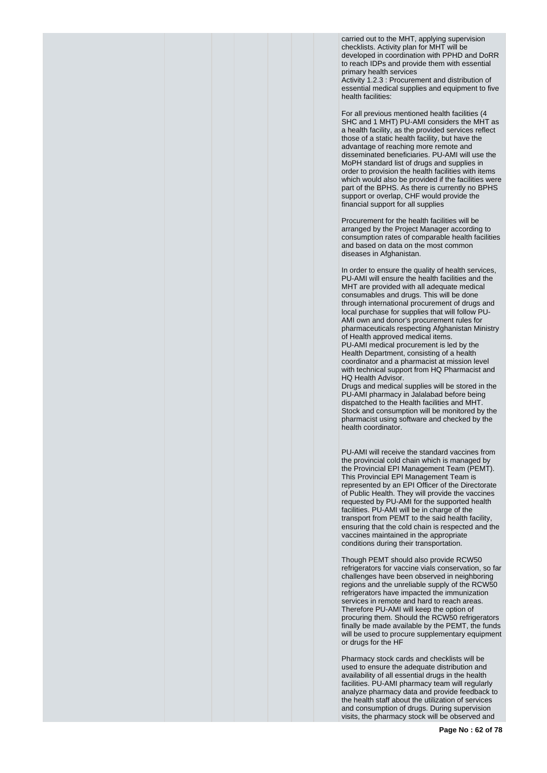carried out to the MHT, applying supervision checklists. Activity plan for MHT will be developed in coordination with PPHD and DoRR to reach IDPs and provide them with essential primary health services Activity 1.2.3 : Procurement and distribution of essential medical supplies and equipment to five health facilities:

For all previous mentioned health facilities (4 SHC and 1 MHT) PU-AMI considers the MHT as a health facility, as the provided services reflect those of a static health facility, but have the advantage of reaching more remote and disseminated beneficiaries. PU-AMI will use the MoPH standard list of drugs and supplies in order to provision the health facilities with items which would also be provided if the facilities were part of the BPHS. As there is currently no BPHS support or overlap, CHF would provide the financial support for all supplies

Procurement for the health facilities will be arranged by the Project Manager according to consumption rates of comparable health facilities and based on data on the most common diseases in Afghanistan.

In order to ensure the quality of health services, PU-AMI will ensure the health facilities and the MHT are provided with all adequate medical consumables and drugs. This will be done through international procurement of drugs and local purchase for supplies that will follow PU-AMI own and donor's procurement rules for pharmaceuticals respecting Afghanistan Ministry of Health approved medical items. PU-AMI medical procurement is led by the Health Department, consisting of a health coordinator and a pharmacist at mission level with technical support from HQ Pharmacist and HQ Health Advisor.

Drugs and medical supplies will be stored in the PU-AMI pharmacy in Jalalabad before being dispatched to the Health facilities and MHT. Stock and consumption will be monitored by the pharmacist using software and checked by the health coordinator.

PU-AMI will receive the standard vaccines from the provincial cold chain which is managed by the Provincial EPI Management Team (PEMT). This Provincial EPI Management Team is represented by an EPI Officer of the Directorate of Public Health. They will provide the vaccines requested by PU-AMI for the supported health facilities. PU-AMI will be in charge of the transport from PEMT to the said health facility, ensuring that the cold chain is respected and the vaccines maintained in the appropriate conditions during their transportation.

Though PEMT should also provide RCW50 refrigerators for vaccine vials conservation, so far challenges have been observed in neighboring regions and the unreliable supply of the RCW50 refrigerators have impacted the immunization services in remote and hard to reach areas. Therefore PU-AMI will keep the option of procuring them. Should the RCW50 refrigerators finally be made available by the PEMT, the funds will be used to procure supplementary equipment or drugs for the HF

Pharmacy stock cards and checklists will be used to ensure the adequate distribution and availability of all essential drugs in the health facilities. PU-AMI pharmacy team will regularly analyze pharmacy data and provide feedback to the health staff about the utilization of services and consumption of drugs. During supervision visits, the pharmacy stock will be observed and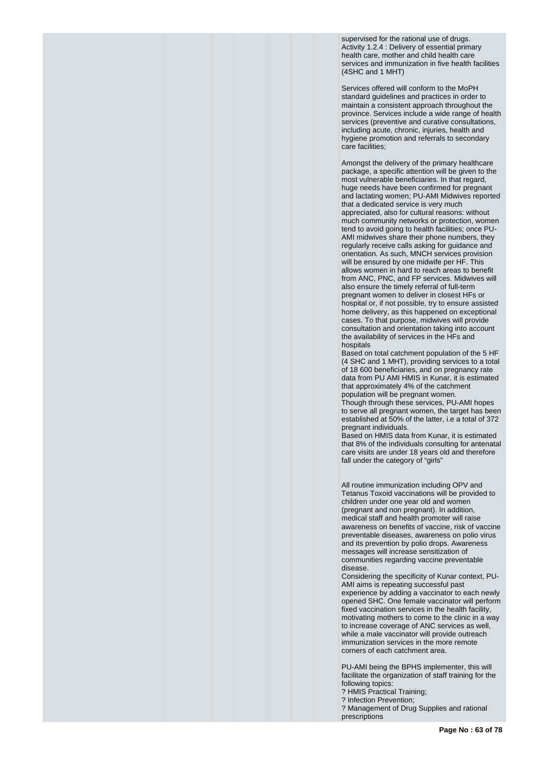supervised for the rational use of drugs. Activity 1.2.4 : Delivery of essential primary health care, mother and child health care services and immunization in five health facilities (4SHC and 1 MHT)

Services offered will conform to the MoPH standard guidelines and practices in order to maintain a consistent approach throughout the province. Services include a wide range of health services (preventive and curative consultations, including acute, chronic, injuries, health and hygiene promotion and referrals to secondary care facilities;

Amongst the delivery of the primary healthcare package, a specific attention will be given to the most vulnerable beneficiaries. In that regard, huge needs have been confirmed for pregnant and lactating women; PU-AMI Midwives reported that a dedicated service is very much appreciated, also for cultural reasons: without much community networks or protection, women tend to avoid going to health facilities; once PU-AMI midwives share their phone numbers, they regularly receive calls asking for guidance and orientation. As such, MNCH services provision will be ensured by one midwife per HF. This allows women in hard to reach areas to benefit from ANC, PNC, and FP services. Midwives will also ensure the timely referral of full-term pregnant women to deliver in closest HFs or hospital or, if not possible, try to ensure assisted home delivery, as this happened on exceptional cases. To that purpose, midwives will provide consultation and orientation taking into account the availability of services in the HFs and hospitals

Based on total catchment population of the 5 HF (4 SHC and 1 MHT), providing services to a total of 18 600 beneficiaries, and on pregnancy rate data from PU AMI HMIS in Kunar, it is estimated that approximately 4% of the catchment population will be pregnant women. Though through these services, PU-AMI hopes to serve all pregnant women, the target has been established at 50% of the latter, i.e a total of 372 pregnant individuals.

Based on HMIS data from Kunar, it is estimated that 8% of the individuals consulting for antenatal care visits are under 18 years old and therefore fall under the category of "girls"

All routine immunization including OPV and Tetanus Toxoid vaccinations will be provided to children under one year old and women (pregnant and non pregnant). In addition, medical staff and health promoter will raise awareness on benefits of vaccine, risk of vaccine preventable diseases, awareness on polio virus and its prevention by polio drops. Awareness messages will increase sensitization of communities regarding vaccine preventable disease.

Considering the specificity of Kunar context, PU-AMI aims is repeating successful past experience by adding a vaccinator to each newly opened SHC. One female vaccinator will perform fixed vaccination services in the health facility, motivating mothers to come to the clinic in a way to increase coverage of ANC services as well, while a male vaccinator will provide outreach immunization services in the more remote corners of each catchment area.

PU-AMI being the BPHS implementer, this will facilitate the organization of staff training for the following topics:

- ? HMIS Practical Training;
- ? Infection Prevention;

? Management of Drug Supplies and rational prescriptions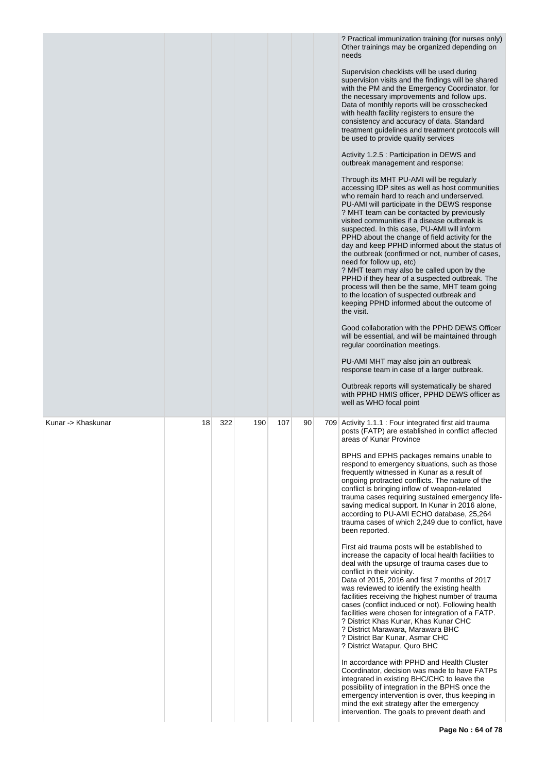|                    |    |     |     |     |    | ? Practical immunization training (for nurses only)<br>Other trainings may be organized depending on<br>needs<br>Supervision checklists will be used during<br>supervision visits and the findings will be shared<br>with the PM and the Emergency Coordinator, for<br>the necessary improvements and follow ups.<br>Data of monthly reports will be crosschecked<br>with health facility registers to ensure the<br>consistency and accuracy of data. Standard<br>treatment guidelines and treatment protocols will<br>be used to provide quality services<br>Activity 1.2.5 : Participation in DEWS and<br>outbreak management and response:<br>Through its MHT PU-AMI will be regularly<br>accessing IDP sites as well as host communities<br>who remain hard to reach and underserved.<br>PU-AMI will participate in the DEWS response<br>? MHT team can be contacted by previously<br>visited communities if a disease outbreak is<br>suspected. In this case, PU-AMI will inform<br>PPHD about the change of field activity for the<br>day and keep PPHD informed about the status of<br>the outbreak (confirmed or not, number of cases,<br>need for follow up, etc)<br>? MHT team may also be called upon by the<br>PPHD if they hear of a suspected outbreak. The<br>process will then be the same, MHT team going<br>to the location of suspected outbreak and<br>keeping PPHD informed about the outcome of<br>the visit.<br>Good collaboration with the PPHD DEWS Officer<br>will be essential, and will be maintained through<br>regular coordination meetings.<br>PU-AMI MHT may also join an outbreak<br>response team in case of a larger outbreak. |
|--------------------|----|-----|-----|-----|----|---------------------------------------------------------------------------------------------------------------------------------------------------------------------------------------------------------------------------------------------------------------------------------------------------------------------------------------------------------------------------------------------------------------------------------------------------------------------------------------------------------------------------------------------------------------------------------------------------------------------------------------------------------------------------------------------------------------------------------------------------------------------------------------------------------------------------------------------------------------------------------------------------------------------------------------------------------------------------------------------------------------------------------------------------------------------------------------------------------------------------------------------------------------------------------------------------------------------------------------------------------------------------------------------------------------------------------------------------------------------------------------------------------------------------------------------------------------------------------------------------------------------------------------------------------------------------------------------------------------------------------------------------------------------|
|                    |    |     |     |     |    | Outbreak reports will systematically be shared<br>with PPHD HMIS officer, PPHD DEWS officer as<br>well as WHO focal point                                                                                                                                                                                                                                                                                                                                                                                                                                                                                                                                                                                                                                                                                                                                                                                                                                                                                                                                                                                                                                                                                                                                                                                                                                                                                                                                                                                                                                                                                                                                           |
| Kunar -> Khaskunar | 18 | 322 | 190 | 107 | 90 | 709 Activity 1.1.1 : Four integrated first aid trauma<br>posts (FATP) are established in conflict affected<br>areas of Kunar Province<br>BPHS and EPHS packages remains unable to<br>respond to emergency situations, such as those<br>frequently witnessed in Kunar as a result of<br>ongoing protracted conflicts. The nature of the<br>conflict is bringing inflow of weapon-related<br>trauma cases requiring sustained emergency life-<br>saving medical support. In Kunar in 2016 alone,<br>according to PU-AMI ECHO database, 25,264<br>trauma cases of which 2,249 due to conflict, have<br>been reported.<br>First aid trauma posts will be established to<br>increase the capacity of local health facilities to<br>deal with the upsurge of trauma cases due to<br>conflict in their vicinity.<br>Data of 2015, 2016 and first 7 months of 2017<br>was reviewed to identify the existing health<br>facilities receiving the highest number of trauma<br>cases (conflict induced or not). Following health<br>facilities were chosen for integration of a FATP.<br>? District Khas Kunar, Khas Kunar CHC<br>? District Marawara, Marawara BHC<br>? District Bar Kunar, Asmar CHC<br>? District Watapur, Quro BHC<br>In accordance with PPHD and Health Cluster<br>Coordinator, decision was made to have FATPs<br>integrated in existing BHC/CHC to leave the<br>possibility of integration in the BPHS once the<br>emergency intervention is over, thus keeping in<br>mind the exit strategy after the emergency<br>intervention. The goals to prevent death and                                                                                         |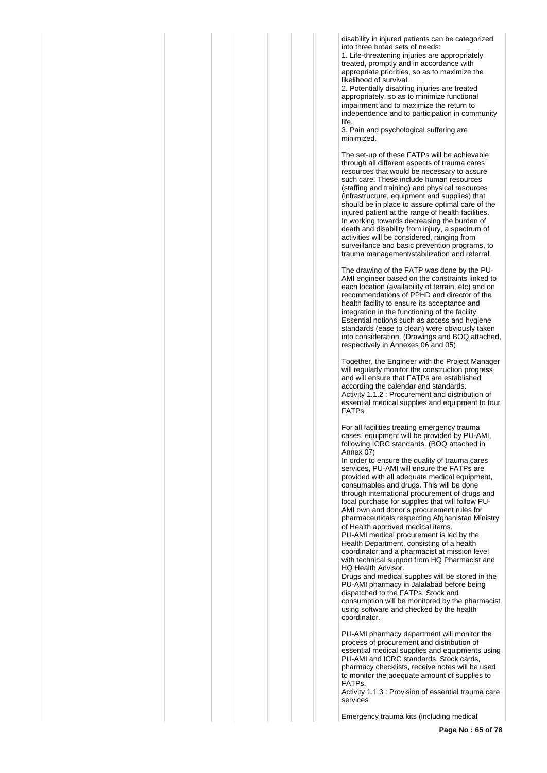disability in injured patients can be categorized into three broad sets of needs:

1. Life-threatening injuries are appropriately treated, promptly and in accordance with appropriate priorities, so as to maximize the likelihood of survival.

2. Potentially disabling injuries are treated appropriately, so as to minimize functional impairment and to maximize the return to independence and to participation in community life.

3. Pain and psychological suffering are minimized.

The set-up of these FATPs will be achievable through all different aspects of trauma cares resources that would be necessary to assure such care. These include human resources (staffing and training) and physical resources (infrastructure, equipment and supplies) that should be in place to assure optimal care of the injured patient at the range of health facilities. In working towards decreasing the burden of death and disability from injury, a spectrum of activities will be considered, ranging from surveillance and basic prevention programs, to trauma management/stabilization and referral.

The drawing of the FATP was done by the PU-AMI engineer based on the constraints linked to each location (availability of terrain, etc) and on recommendations of PPHD and director of the health facility to ensure its acceptance and integration in the functioning of the facility. Essential notions such as access and hygiene standards (ease to clean) were obviously taken into consideration. (Drawings and BOQ attached, respectively in Annexes 06 and 05)

Together, the Engineer with the Project Manager will regularly monitor the construction progress and will ensure that FATPs are established according the calendar and standards. Activity 1.1.2 : Procurement and distribution of essential medical supplies and equipment to four FATPs

For all facilities treating emergency trauma cases, equipment will be provided by PU-AMI, following ICRC standards. (BOQ attached in Annex 07)

In order to ensure the quality of trauma cares services, PU-AMI will ensure the FATPs are provided with all adequate medical equipment, consumables and drugs. This will be done through international procurement of drugs and local purchase for supplies that will follow PU-AMI own and donor's procurement rules for pharmaceuticals respecting Afghanistan Ministry of Health approved medical items.

PU-AMI medical procurement is led by the Health Department, consisting of a health coordinator and a pharmacist at mission level with technical support from HQ Pharmacist and HQ Health Advisor.

Drugs and medical supplies will be stored in the PU-AMI pharmacy in Jalalabad before being dispatched to the FATPs. Stock and consumption will be monitored by the pharmacist using software and checked by the health coordinator.

PU-AMI pharmacy department will monitor the process of procurement and distribution of essential medical supplies and equipments using PU-AMI and ICRC standards. Stock cards, pharmacy checklists, receive notes will be used to monitor the adequate amount of supplies to FATPs.

Activity 1.1.3 : Provision of essential trauma care services

Emergency trauma kits (including medical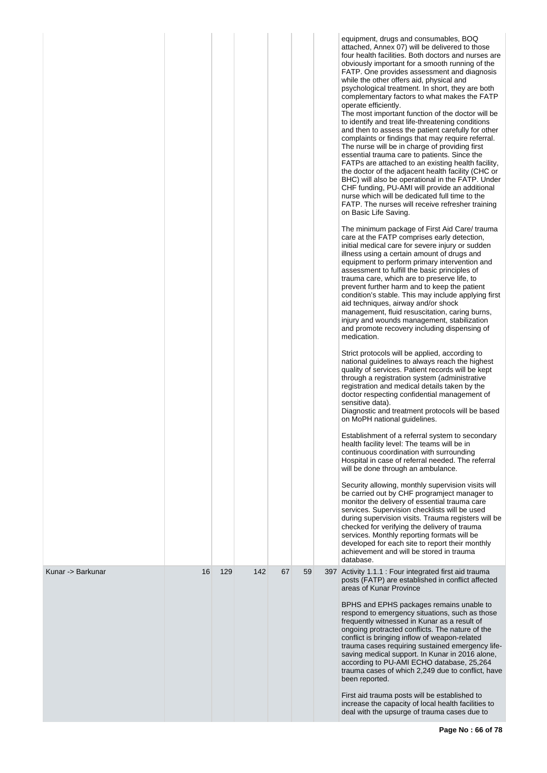|                   |    |     |     |    |    | equipment, drugs and consumables, BOQ<br>attached, Annex 07) will be delivered to those<br>four health facilities. Both doctors and nurses are<br>obviously important for a smooth running of the<br>FATP. One provides assessment and diagnosis<br>while the other offers aid, physical and<br>psychological treatment. In short, they are both<br>complementary factors to what makes the FATP<br>operate efficiently.<br>The most important function of the doctor will be<br>to identify and treat life-threatening conditions<br>and then to assess the patient carefully for other<br>complaints or findings that may require referral.<br>The nurse will be in charge of providing first<br>essential trauma care to patients. Since the<br>FATPs are attached to an existing health facility,<br>the doctor of the adjacent health facility (CHC or<br>BHC) will also be operational in the FATP. Under<br>CHF funding, PU-AMI will provide an additional<br>nurse which will be dedicated full time to the<br>FATP. The nurses will receive refresher training<br>on Basic Life Saving.<br>The minimum package of First Aid Care/ trauma<br>care at the FATP comprises early detection,<br>initial medical care for severe injury or sudden<br>illness using a certain amount of drugs and<br>equipment to perform primary intervention and<br>assessment to fulfill the basic principles of<br>trauma care, which are to preserve life, to<br>prevent further harm and to keep the patient<br>condition's stable. This may include applying first<br>aid techniques, airway and/or shock<br>management, fluid resuscitation, caring burns,<br>injury and wounds management, stabilization<br>and promote recovery including dispensing of<br>medication.<br>Strict protocols will be applied, according to<br>national guidelines to always reach the highest<br>quality of services. Patient records will be kept<br>through a registration system (administrative<br>registration and medical details taken by the<br>doctor respecting confidential management of<br>sensitive data).<br>Diagnostic and treatment protocols will be based<br>on MoPH national guidelines.<br>Establishment of a referral system to secondary<br>health facility level: The teams will be in<br>continuous coordination with surrounding<br>Hospital in case of referral needed. The referral<br>will be done through an ambulance.<br>Security allowing, monthly supervision visits will<br>be carried out by CHF programject manager to<br>monitor the delivery of essential trauma care<br>services. Supervision checklists will be used<br>during supervision visits. Trauma registers will be<br>checked for verifying the delivery of trauma<br>services. Monthly reporting formats will be<br>developed for each site to report their monthly<br>achievement and will be stored in trauma<br>database. |
|-------------------|----|-----|-----|----|----|-----------------------------------------------------------------------------------------------------------------------------------------------------------------------------------------------------------------------------------------------------------------------------------------------------------------------------------------------------------------------------------------------------------------------------------------------------------------------------------------------------------------------------------------------------------------------------------------------------------------------------------------------------------------------------------------------------------------------------------------------------------------------------------------------------------------------------------------------------------------------------------------------------------------------------------------------------------------------------------------------------------------------------------------------------------------------------------------------------------------------------------------------------------------------------------------------------------------------------------------------------------------------------------------------------------------------------------------------------------------------------------------------------------------------------------------------------------------------------------------------------------------------------------------------------------------------------------------------------------------------------------------------------------------------------------------------------------------------------------------------------------------------------------------------------------------------------------------------------------------------------------------------------------------------------------------------------------------------------------------------------------------------------------------------------------------------------------------------------------------------------------------------------------------------------------------------------------------------------------------------------------------------------------------------------------------------------------------------------------------------------------------------------------------------------------------------------------------------------------------------------------------------------------------------------------------------------------------------------------------------------------------------------------------------------------------------------------------------------------------------------------------------------------------------------------------------------------------------------------------------------------------------------------|
| Kunar -> Barkunar | 16 | 129 | 142 | 67 | 59 | 397 Activity 1.1.1 : Four integrated first aid trauma<br>posts (FATP) are established in conflict affected<br>areas of Kunar Province<br>BPHS and EPHS packages remains unable to<br>respond to emergency situations, such as those<br>frequently witnessed in Kunar as a result of<br>ongoing protracted conflicts. The nature of the<br>conflict is bringing inflow of weapon-related<br>trauma cases requiring sustained emergency life-<br>saving medical support. In Kunar in 2016 alone,<br>according to PU-AMI ECHO database, 25,264<br>trauma cases of which 2,249 due to conflict, have<br>been reported.<br>First aid trauma posts will be established to<br>increase the capacity of local health facilities to<br>deal with the upsurge of trauma cases due to                                                                                                                                                                                                                                                                                                                                                                                                                                                                                                                                                                                                                                                                                                                                                                                                                                                                                                                                                                                                                                                                                                                                                                                                                                                                                                                                                                                                                                                                                                                                                                                                                                                                                                                                                                                                                                                                                                                                                                                                                                                                                                                                |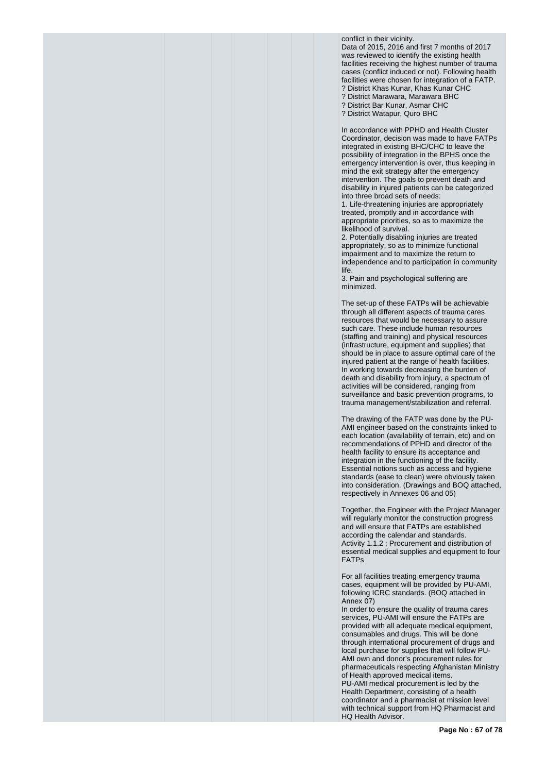conflict in their vicinity. Data of 2015, 2016 and first 7 months of 2017 was reviewed to identify the existing health facilities receiving the highest number of trauma cases (conflict induced or not). Following health facilities were chosen for integration of a FATP. ? District Khas Kunar, Khas Kunar CHC ? District Marawara, Marawara BHC ? District Bar Kunar, Asmar CHC

? District Watapur, Quro BHC

In accordance with PPHD and Health Cluster Coordinator, decision was made to have FATPs integrated in existing BHC/CHC to leave the possibility of integration in the BPHS once the emergency intervention is over, thus keeping in mind the exit strategy after the emergency intervention. The goals to prevent death and disability in injured patients can be categorized into three broad sets of needs:

1. Life-threatening injuries are appropriately treated, promptly and in accordance with appropriate priorities, so as to maximize the likelihood of survival.

2. Potentially disabling injuries are treated appropriately, so as to minimize functional impairment and to maximize the return to independence and to participation in community life.

3. Pain and psychological suffering are minimized.

The set-up of these FATPs will be achievable through all different aspects of trauma cares resources that would be necessary to assure such care. These include human resources (staffing and training) and physical resources (infrastructure, equipment and supplies) that should be in place to assure optimal care of the injured patient at the range of health facilities. In working towards decreasing the burden of death and disability from injury, a spectrum of activities will be considered, ranging from surveillance and basic prevention programs, to trauma management/stabilization and referral.

The drawing of the FATP was done by the PU-AMI engineer based on the constraints linked to each location (availability of terrain, etc) and on recommendations of PPHD and director of the health facility to ensure its acceptance and integration in the functioning of the facility. Essential notions such as access and hygiene standards (ease to clean) were obviously taken into consideration. (Drawings and BOQ attached, respectively in Annexes 06 and 05)

Together, the Engineer with the Project Manager will regularly monitor the construction progress and will ensure that FATPs are established according the calendar and standards. Activity 1.1.2 : Procurement and distribution of essential medical supplies and equipment to four FATPs

For all facilities treating emergency trauma cases, equipment will be provided by PU-AMI, following ICRC standards. (BOQ attached in Annex 07)

In order to ensure the quality of trauma cares services, PU-AMI will ensure the FATPs are provided with all adequate medical equipment, consumables and drugs. This will be done through international procurement of drugs and local purchase for supplies that will follow PU-AMI own and donor's procurement rules for pharmaceuticals respecting Afghanistan Ministry of Health approved medical items. PU-AMI medical procurement is led by the Health Department, consisting of a health coordinator and a pharmacist at mission level with technical support from HQ Pharmacist and HQ Health Advisor.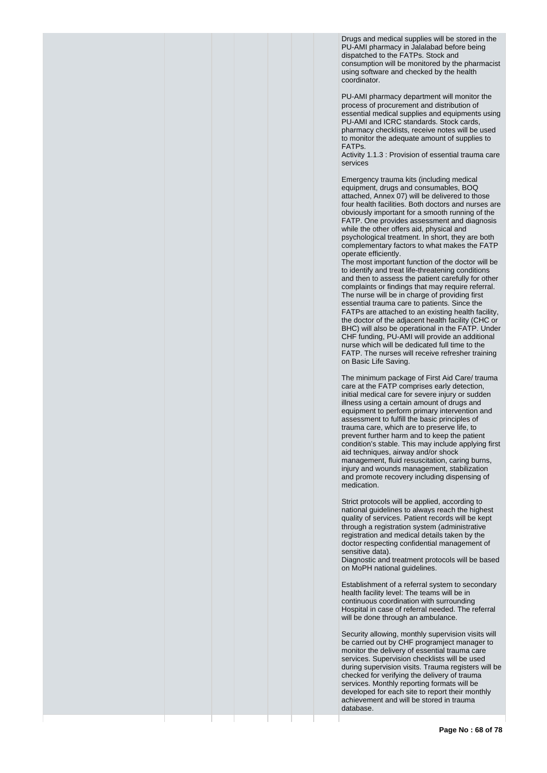Drugs and medical supplies will be stored in the PU-AMI pharmacy in Jalalabad before being dispatched to the FATPs. Stock and consumption will be monitored by the pharmacist using software and checked by the health coordinator.

PU-AMI pharmacy department will monitor the process of procurement and distribution of essential medical supplies and equipments using PU-AMI and ICRC standards. Stock cards, pharmacy checklists, receive notes will be used to monitor the adequate amount of supplies to FATPs.

Activity 1.1.3 : Provision of essential trauma care services

Emergency trauma kits (including medical equipment, drugs and consumables, BOQ attached, Annex 07) will be delivered to those four health facilities. Both doctors and nurses are obviously important for a smooth running of the FATP. One provides assessment and diagnosis while the other offers aid, physical and psychological treatment. In short, they are both complementary factors to what makes the FATP operate efficiently.

The most important function of the doctor will be to identify and treat life-threatening conditions and then to assess the patient carefully for other complaints or findings that may require referral. The nurse will be in charge of providing first essential trauma care to patients. Since the FATPs are attached to an existing health facility, the doctor of the adjacent health facility (CHC or BHC) will also be operational in the FATP. Under CHF funding, PU-AMI will provide an additional nurse which will be dedicated full time to the FATP. The nurses will receive refresher training on Basic Life Saving.

The minimum package of First Aid Care/ trauma care at the FATP comprises early detection, initial medical care for severe injury or sudden illness using a certain amount of drugs and equipment to perform primary intervention and assessment to fulfill the basic principles of trauma care, which are to preserve life, to prevent further harm and to keep the patient condition's stable. This may include applying first aid techniques, airway and/or shock management, fluid resuscitation, caring burns, injury and wounds management, stabilization and promote recovery including dispensing of medication.

Strict protocols will be applied, according to national guidelines to always reach the highest quality of services. Patient records will be kept through a registration system (administrative registration and medical details taken by the doctor respecting confidential management of sensitive data).

Diagnostic and treatment protocols will be based on MoPH national guidelines.

Establishment of a referral system to secondary health facility level: The teams will be in continuous coordination with surrounding Hospital in case of referral needed. The referral will be done through an ambulance.

Security allowing, monthly supervision visits will be carried out by CHF programject manager to monitor the delivery of essential trauma care services. Supervision checklists will be used during supervision visits. Trauma registers will be checked for verifying the delivery of trauma services. Monthly reporting formats will be developed for each site to report their monthly achievement and will be stored in trauma database.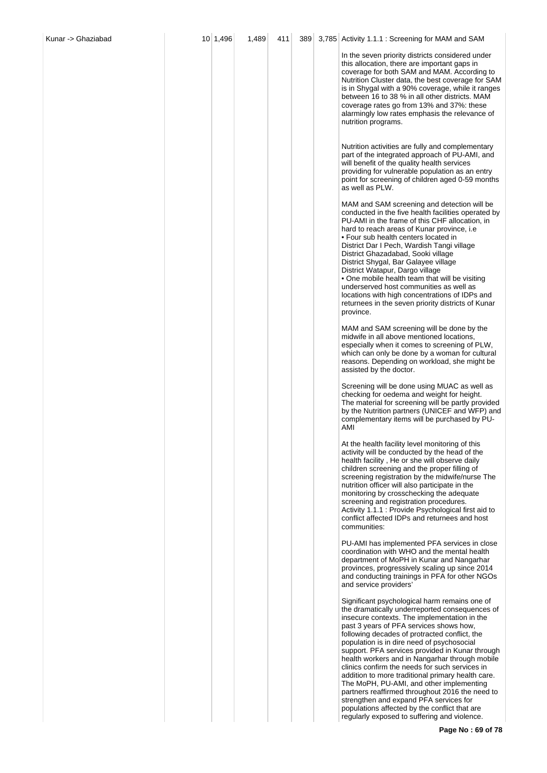| Kunar -> Ghaziabad | 10 1,496 | 1,489 | 411 | 389 | 3,785 Activity 1.1.1 : Screening for MAM and SAM                                                                                                                                                                                                                                                                                                                                                                                                                                                                                                                                                                                                                                                                                                |
|--------------------|----------|-------|-----|-----|-------------------------------------------------------------------------------------------------------------------------------------------------------------------------------------------------------------------------------------------------------------------------------------------------------------------------------------------------------------------------------------------------------------------------------------------------------------------------------------------------------------------------------------------------------------------------------------------------------------------------------------------------------------------------------------------------------------------------------------------------|
|                    |          |       |     |     | In the seven priority districts considered under<br>this allocation, there are important gaps in<br>coverage for both SAM and MAM. According to<br>Nutrition Cluster data, the best coverage for SAM<br>is in Shygal with a 90% coverage, while it ranges<br>between 16 to 38 % in all other districts. MAM<br>coverage rates go from 13% and 37%: these<br>alarmingly low rates emphasis the relevance of<br>nutrition programs.                                                                                                                                                                                                                                                                                                               |
|                    |          |       |     |     | Nutrition activities are fully and complementary<br>part of the integrated approach of PU-AMI, and<br>will benefit of the quality health services<br>providing for vulnerable population as an entry<br>point for screening of children aged 0-59 months<br>as well as PLW.                                                                                                                                                                                                                                                                                                                                                                                                                                                                     |
|                    |          |       |     |     | MAM and SAM screening and detection will be<br>conducted in the five health facilities operated by<br>PU-AMI in the frame of this CHF allocation, in<br>hard to reach areas of Kunar province, i.e.<br>• Four sub health centers located in<br>District Dar I Pech, Wardish Tangi village<br>District Ghazadabad, Sooki village<br>District Shygal, Bar Galayee village<br>District Watapur, Dargo village<br>• One mobile health team that will be visiting<br>underserved host communities as well as<br>locations with high concentrations of IDPs and<br>returnees in the seven priority districts of Kunar<br>province.                                                                                                                    |
|                    |          |       |     |     | MAM and SAM screening will be done by the<br>midwife in all above mentioned locations,<br>especially when it comes to screening of PLW,<br>which can only be done by a woman for cultural<br>reasons. Depending on workload, she might be<br>assisted by the doctor.                                                                                                                                                                                                                                                                                                                                                                                                                                                                            |
|                    |          |       |     |     | Screening will be done using MUAC as well as<br>checking for oedema and weight for height.<br>The material for screening will be partly provided<br>by the Nutrition partners (UNICEF and WFP) and<br>complementary items will be purchased by PU-<br>AMI                                                                                                                                                                                                                                                                                                                                                                                                                                                                                       |
|                    |          |       |     |     | At the health facility level monitoring of this<br>activity will be conducted by the head of the<br>health facility, He or she will observe daily<br>children screening and the proper filling of<br>screening registration by the midwife/nurse The<br>nutrition officer will also participate in the<br>monitoring by crosschecking the adequate<br>screening and registration procedures.<br>Activity 1.1.1 : Provide Psychological first aid to<br>conflict affected IDPs and returnees and host<br>communities:                                                                                                                                                                                                                            |
|                    |          |       |     |     | PU-AMI has implemented PFA services in close<br>coordination with WHO and the mental health<br>department of MoPH in Kunar and Nangarhar<br>provinces, progressively scaling up since 2014<br>and conducting trainings in PFA for other NGOs<br>and service providers'                                                                                                                                                                                                                                                                                                                                                                                                                                                                          |
|                    |          |       |     |     | Significant psychological harm remains one of<br>the dramatically underreported consequences of<br>insecure contexts. The implementation in the<br>past 3 years of PFA services shows how,<br>following decades of protracted conflict, the<br>population is in dire need of psychosocial<br>support. PFA services provided in Kunar through<br>health workers and in Nangarhar through mobile<br>clinics confirm the needs for such services in<br>addition to more traditional primary health care.<br>The MoPH, PU-AMI, and other implementing<br>partners reaffirmed throughout 2016 the need to<br>strengthen and expand PFA services for<br>populations affected by the conflict that are<br>regularly exposed to suffering and violence. |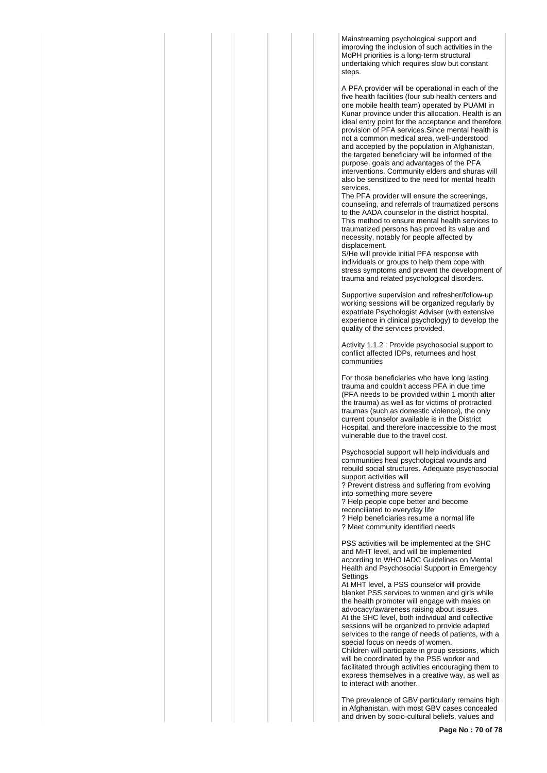Mainstreaming psychological support and improving the inclusion of such activities in the MoPH priorities is a long-term structural undertaking which requires slow but constant steps.

A PFA provider will be operational in each of the five health facilities (four sub health centers and one mobile health team) operated by PUAMI in Kunar province under this allocation. Health is an ideal entry point for the acceptance and therefore provision of PFA services.Since mental health is not a common medical area, well-understood and accepted by the population in Afghanistan, the targeted beneficiary will be informed of the purpose, goals and advantages of the PFA interventions. Community elders and shuras will also be sensitized to the need for mental health services.

The PFA provider will ensure the screenings, counseling, and referrals of traumatized persons to the AADA counselor in the district hospital. This method to ensure mental health services to traumatized persons has proved its value and necessity, notably for people affected by displacement.

S/He will provide initial PFA response with individuals or groups to help them cope with stress symptoms and prevent the development of trauma and related psychological disorders.

Supportive supervision and refresher/follow-up working sessions will be organized regularly by expatriate Psychologist Adviser (with extensive experience in clinical psychology) to develop the quality of the services provided.

Activity 1.1.2 : Provide psychosocial support to conflict affected IDPs, returnees and host communities

For those beneficiaries who have long lasting trauma and couldn't access PFA in due time (PFA needs to be provided within 1 month after the trauma) as well as for victims of protracted traumas (such as domestic violence), the only current counselor available is in the District Hospital, and therefore inaccessible to the most vulnerable due to the travel cost.

Psychosocial support will help individuals and communities heal psychological wounds and rebuild social structures. Adequate psychosocial support activities will ? Prevent distress and suffering from evolving

into something more severe ? Help people cope better and become reconciliated to everyday life ? Help beneficiaries resume a normal life ? Meet community identified needs

PSS activities will be implemented at the SHC and MHT level, and will be implemented according to WHO IADC Guidelines on Mental Health and Psychosocial Support in Emergency **Settings** 

At MHT level, a PSS counselor will provide blanket PSS services to women and girls while the health promoter will engage with males on advocacy/awareness raising about issues. At the SHC level, both individual and collective sessions will be organized to provide adapted services to the range of needs of patients, with a special focus on needs of women. Children will participate in group sessions, which

will be coordinated by the PSS worker and facilitated through activities encouraging them to express themselves in a creative way, as well as to interact with another.

The prevalence of GBV particularly remains high in Afghanistan, with most GBV cases concealed and driven by socio-cultural beliefs, values and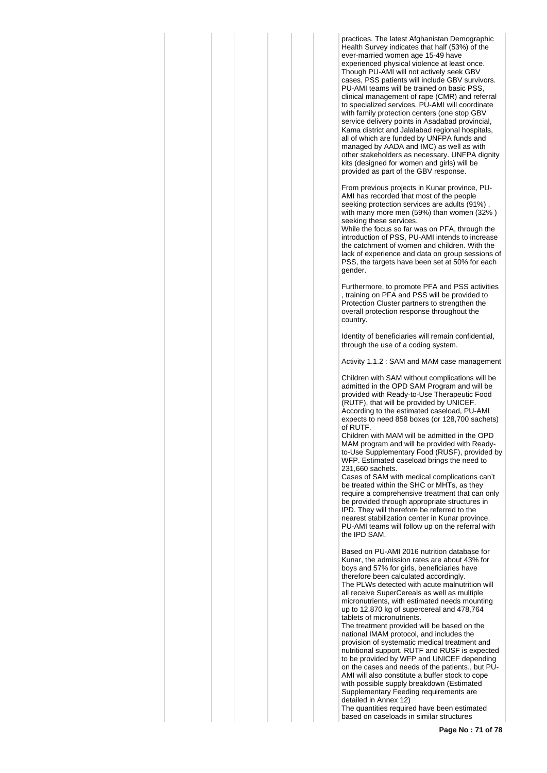practices. The latest Afghanistan Demographic Health Survey indicates that half (53%) of the ever-married women age 15-49 have experienced physical violence at least once. Though PU-AMI will not actively seek GBV cases, PSS patients will include GBV survivors. PU-AMI teams will be trained on basic PSS, clinical management of rape (CMR) and referral to specialized services. PU-AMI will coordinate with family protection centers (one stop GBV service delivery points in Asadabad provincial. Kama district and Jalalabad regional hospitals, all of which are funded by UNFPA funds and managed by AADA and IMC) as well as with other stakeholders as necessary. UNFPA dignity kits (designed for women and girls) will be provided as part of the GBV response.

From previous projects in Kunar province, PU-AMI has recorded that most of the people seeking protection services are adults (91%) with many more men (59%) than women (32% ) seeking these services.

While the focus so far was on PFA, through the introduction of PSS, PU-AMI intends to increase the catchment of women and children. With the lack of experience and data on group sessions of PSS, the targets have been set at 50% for each gender.

Furthermore, to promote PFA and PSS activities , training on PFA and PSS will be provided to Protection Cluster partners to strengthen the overall protection response throughout the country.

Identity of beneficiaries will remain confidential, through the use of a coding system.

Activity 1.1.2 : SAM and MAM case management

Children with SAM without complications will be admitted in the OPD SAM Program and will be provided with Ready-to-Use Therapeutic Food (RUTF), that will be provided by UNICEF. According to the estimated caseload, PU-AMI expects to need 858 boxes (or 128,700 sachets) of RUTF.

Children with MAM will be admitted in the OPD MAM program and will be provided with Readyto-Use Supplementary Food (RUSF), provided by WFP. Estimated caseload brings the need to 231,660 sachets.

Cases of SAM with medical complications can't be treated within the SHC or MHTs, as they require a comprehensive treatment that can only be provided through appropriate structures in IPD. They will therefore be referred to the nearest stabilization center in Kunar province. PU-AMI teams will follow up on the referral with the IPD SAM.

Based on PU-AMI 2016 nutrition database for Kunar, the admission rates are about 43% for boys and 57% for girls, beneficiaries have therefore been calculated accordingly. The PLWs detected with acute malnutrition will all receive SuperCereals as well as multiple micronutrients, with estimated needs mounting up to 12,870 kg of supercereal and 478,764 tablets of micronutrients.

The treatment provided will be based on the national IMAM protocol, and includes the provision of systematic medical treatment and nutritional support. RUTF and RUSF is expected to be provided by WFP and UNICEF depending on the cases and needs of the patients., but PU-AMI will also constitute a buffer stock to cope with possible supply breakdown (Estimated Supplementary Feeding requirements are detailed in Annex 12)

The quantities required have been estimated based on caseloads in similar structures

**Page No : 71 of 78**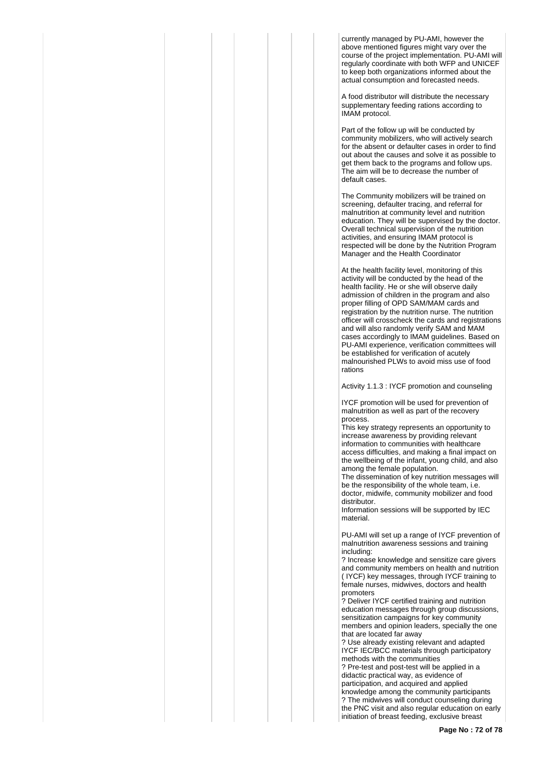currently managed by PU-AMI, however the above mentioned figures might vary over the course of the project implementation. PU-AMI will regularly coordinate with both WFP and UNICEF to keep both organizations informed about the actual consumption and forecasted needs.

A food distributor will distribute the necessary supplementary feeding rations according to IMAM protocol.

Part of the follow up will be conducted by community mobilizers, who will actively search for the absent or defaulter cases in order to find out about the causes and solve it as possible to get them back to the programs and follow ups. The aim will be to decrease the number of default cases.

The Community mobilizers will be trained on screening, defaulter tracing, and referral for malnutrition at community level and nutrition education. They will be supervised by the doctor. Overall technical supervision of the nutrition activities, and ensuring IMAM protocol is respected will be done by the Nutrition Program Manager and the Health Coordinator

At the health facility level, monitoring of this activity will be conducted by the head of the health facility. He or she will observe daily admission of children in the program and also proper filling of OPD SAM/MAM cards and registration by the nutrition nurse. The nutrition officer will crosscheck the cards and registrations and will also randomly verify SAM and MAM cases accordingly to IMAM guidelines. Based on PU-AMI experience, verification committees will be established for verification of acutely malnourished PLWs to avoid miss use of food rations

Activity 1.1.3 : IYCF promotion and counseling

IYCF promotion will be used for prevention of malnutrition as well as part of the recovery process.

This key strategy represents an opportunity to increase awareness by providing relevant information to communities with healthcare access difficulties, and making a final impact on the wellbeing of the infant, young child, and also among the female population.

The dissemination of key nutrition messages will be the responsibility of the whole team, i.e. doctor, midwife, community mobilizer and food distributor.

Information sessions will be supported by IEC material.

PU-AMI will set up a range of IYCF prevention of malnutrition awareness sessions and training including:

? Increase knowledge and sensitize care givers and community members on health and nutrition ( IYCF) key messages, through IYCF training to female nurses, midwives, doctors and health promoters

? Deliver IYCF certified training and nutrition education messages through group discussions, sensitization campaigns for key community members and opinion leaders, specially the one that are located far away

? Use already existing relevant and adapted IYCF IEC/BCC materials through participatory methods with the communities

? Pre-test and post-test will be applied in a didactic practical way, as evidence of participation, and acquired and applied knowledge among the community participants ? The midwives will conduct counseling during the PNC visit and also regular education on early initiation of breast feeding, exclusive breast

**Page No : 72 of 78**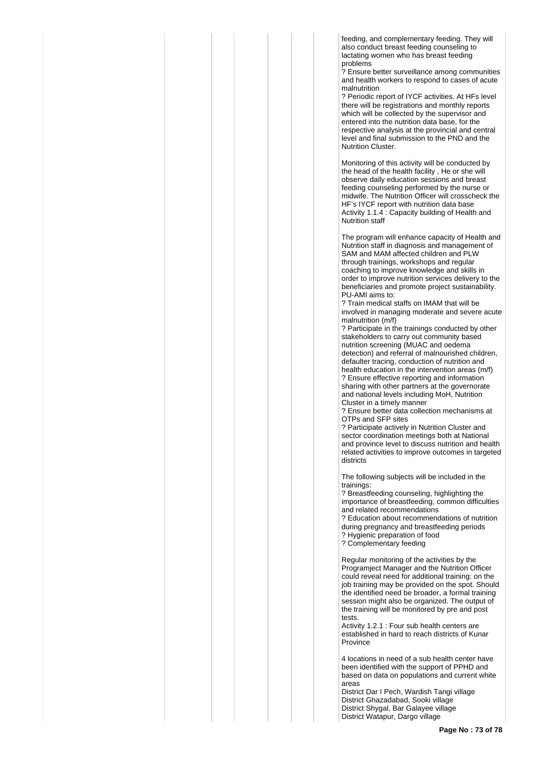feeding, and complementary feeding. They will also conduct breast feeding counseling to lactating women who has breast feeding problems

? Ensure better surveillance among communities and health workers to respond to cases of acute malnutrition

? Periodic report of IYCF activities. At HFs level there will be registrations and monthly reports which will be collected by the supervisor and entered into the nutrition data base, for the respective analysis at the provincial and central level and final submission to the PND and the Nutrition Cluster.

Monitoring of this activity will be conducted by the head of the health facility , He or she will observe daily education sessions and breast feeding counseling performed by the nurse or midwife. The Nutrition Officer will crosscheck the HF's IYCF report with nutrition data base Activity 1.1.4 : Capacity building of Health and Nutrition staff

The program will enhance capacity of Health and Nutrition staff in diagnosis and management of SAM and MAM affected children and PLW through trainings, workshops and regular coaching to improve knowledge and skills in order to improve nutrition services delivery to the beneficiaries and promote project sustainability. PU-AMI aims to:

? Train medical staffs on IMAM that will be involved in managing moderate and severe acute malnutrition (m/f)

? Participate in the trainings conducted by other stakeholders to carry out community based nutrition screening (MUAC and oedema detection) and referral of malnourished children, defaulter tracing, conduction of nutrition and health education in the intervention areas (m/f) ? Ensure effective reporting and information sharing with other partners at the governorate and national levels including MoH, Nutrition Cluster in a timely manner

? Ensure better data collection mechanisms at OTPs and SFP sites

? Participate actively in Nutrition Cluster and sector coordination meetings both at National and province level to discuss nutrition and health related activities to improve outcomes in targeted districts

The following subjects will be included in the trainings:

? Breastfeeding counseling, highlighting the importance of breastfeeding, common difficulties and related recommendations

? Education about recommendations of nutrition during pregnancy and breastfeeding periods

? Hygienic preparation of food

? Complementary feeding

Regular monitoring of the activities by the Programject Manager and the Nutrition Officer could reveal need for additional training: on the job training may be provided on the spot. Should the identified need be broader, a formal training session might also be organized. The output of the training will be monitored by pre and post tests.

Activity 1.2.1 : Four sub health centers are established in hard to reach districts of Kunar Province

4 locations in need of a sub health center have been identified with the support of PPHD and based on data on populations and current white areas

District Dar I Pech, Wardish Tangi village District Ghazadabad, Sooki village District Shygal, Bar Galayee village District Watapur, Dargo village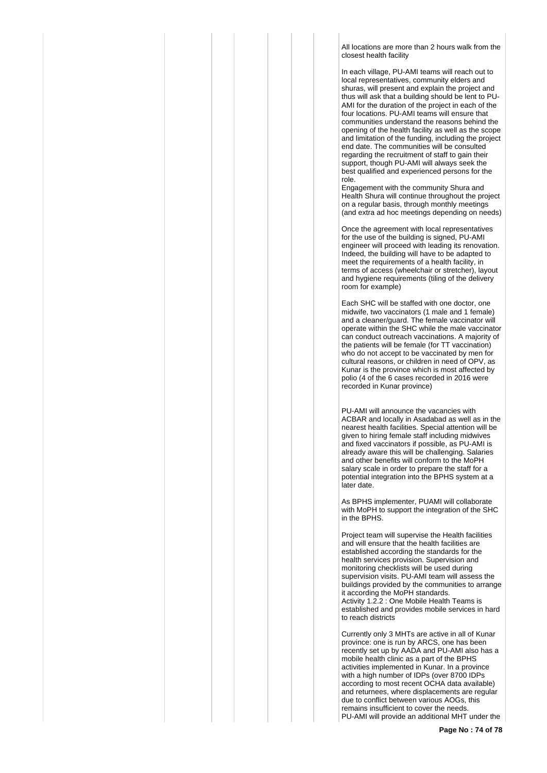All locations are more than 2 hours walk from the closest health facility

In each village, PU-AMI teams will reach out to local representatives, community elders and shuras, will present and explain the project and thus will ask that a building should be lent to PU-AMI for the duration of the project in each of the four locations. PU-AMI teams will ensure that communities understand the reasons behind the opening of the health facility as well as the scope and limitation of the funding, including the project end date. The communities will be consulted regarding the recruitment of staff to gain their support, though PU-AMI will always seek the best qualified and experienced persons for the role.

Engagement with the community Shura and Health Shura will continue throughout the project on a regular basis, through monthly meetings (and extra ad hoc meetings depending on needs)

Once the agreement with local representatives for the use of the building is signed, PU-AMI engineer will proceed with leading its renovation. Indeed, the building will have to be adapted to meet the requirements of a health facility, in terms of access (wheelchair or stretcher), layout and hygiene requirements (tiling of the delivery room for example)

Each SHC will be staffed with one doctor, one midwife, two vaccinators (1 male and 1 female) and a cleaner/guard. The female vaccinator will operate within the SHC while the male vaccinator can conduct outreach vaccinations. A majority of the patients will be female (for TT vaccination) who do not accept to be vaccinated by men for cultural reasons, or children in need of OPV, as Kunar is the province which is most affected by polio (4 of the 6 cases recorded in 2016 were recorded in Kunar province)

PU-AMI will announce the vacancies with ACBAR and locally in Asadabad as well as in the nearest health facilities. Special attention will be given to hiring female staff including midwives and fixed vaccinators if possible, as PU-AMI is already aware this will be challenging. Salaries and other benefits will conform to the MoPH salary scale in order to prepare the staff for a potential integration into the BPHS system at a later date.

As BPHS implementer, PUAMI will collaborate with MoPH to support the integration of the SHC in the BPHS.

Project team will supervise the Health facilities and will ensure that the health facilities are established according the standards for the health services provision. Supervision and monitoring checklists will be used during supervision visits. PU-AMI team will assess the buildings provided by the communities to arrange it according the MoPH standards. Activity 1.2.2 : One Mobile Health Teams is established and provides mobile services in hard to reach districts

Currently only 3 MHTs are active in all of Kunar province: one is run by ARCS, one has been recently set up by AADA and PU-AMI also has a mobile health clinic as a part of the BPHS activities implemented in Kunar. In a province with a high number of IDPs (over 8700 IDPs according to most recent OCHA data available) and returnees, where displacements are regular due to conflict between various AOGs, this remains insufficient to cover the needs. PU-AMI will provide an additional MHT under the

**Page No : 74 of 78**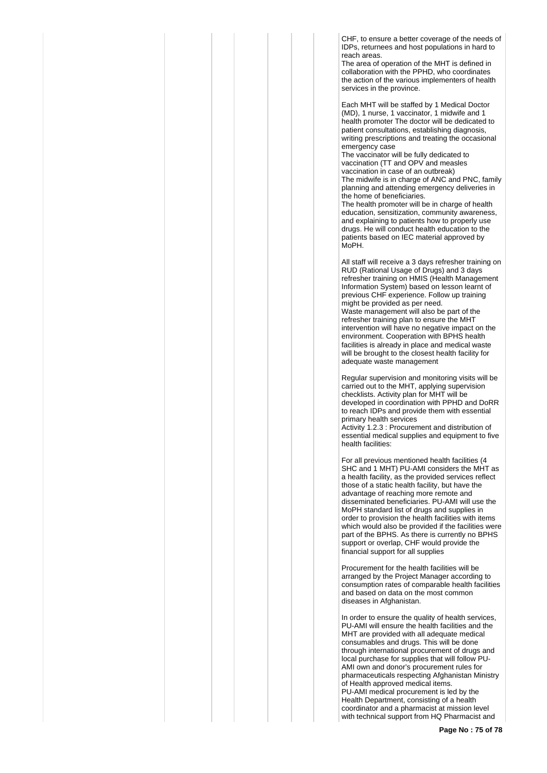CHF, to ensure a better coverage of the needs of IDPs, returnees and host populations in hard to reach areas.

The area of operation of the MHT is defined in collaboration with the PPHD, who coordinates the action of the various implementers of health services in the province.

Each MHT will be staffed by 1 Medical Doctor (MD), 1 nurse, 1 vaccinator, 1 midwife and 1 health promoter The doctor will be dedicated to patient consultations, establishing diagnosis, writing prescriptions and treating the occasional emergency case

The vaccinator will be fully dedicated to vaccination (TT and OPV and measles vaccination in case of an outbreak) The midwife is in charge of ANC and PNC, family planning and attending emergency deliveries in the home of beneficiaries.

The health promoter will be in charge of health education, sensitization, community awareness, and explaining to patients how to properly use drugs. He will conduct health education to the patients based on IEC material approved by MoPH.

All staff will receive a 3 days refresher training on RUD (Rational Usage of Drugs) and 3 days refresher training on HMIS (Health Management Information System) based on lesson learnt of previous CHF experience. Follow up training might be provided as per need. Waste management will also be part of the refresher training plan to ensure the MHT intervention will have no negative impact on the environment. Cooperation with BPHS health facilities is already in place and medical waste will be brought to the closest health facility for adequate waste management

Regular supervision and monitoring visits will be carried out to the MHT, applying supervision checklists. Activity plan for MHT will be developed in coordination with PPHD and DoRR to reach IDPs and provide them with essential primary health services

Activity 1.2.3 : Procurement and distribution of essential medical supplies and equipment to five health facilities:

For all previous mentioned health facilities (4 SHC and 1 MHT) PU-AMI considers the MHT as a health facility, as the provided services reflect those of a static health facility, but have the advantage of reaching more remote and disseminated beneficiaries. PU-AMI will use the MoPH standard list of drugs and supplies in order to provision the health facilities with items which would also be provided if the facilities were part of the BPHS. As there is currently no BPHS support or overlap, CHF would provide the financial support for all supplies

Procurement for the health facilities will be arranged by the Project Manager according to consumption rates of comparable health facilities and based on data on the most common diseases in Afghanistan.

In order to ensure the quality of health services, PU-AMI will ensure the health facilities and the MHT are provided with all adequate medical consumables and drugs. This will be done through international procurement of drugs and local purchase for supplies that will follow PU-AMI own and donor's procurement rules for pharmaceuticals respecting Afghanistan Ministry of Health approved medical items. PU-AMI medical procurement is led by the Health Department, consisting of a health coordinator and a pharmacist at mission level with technical support from HQ Pharmacist and

**Page No : 75 of 78**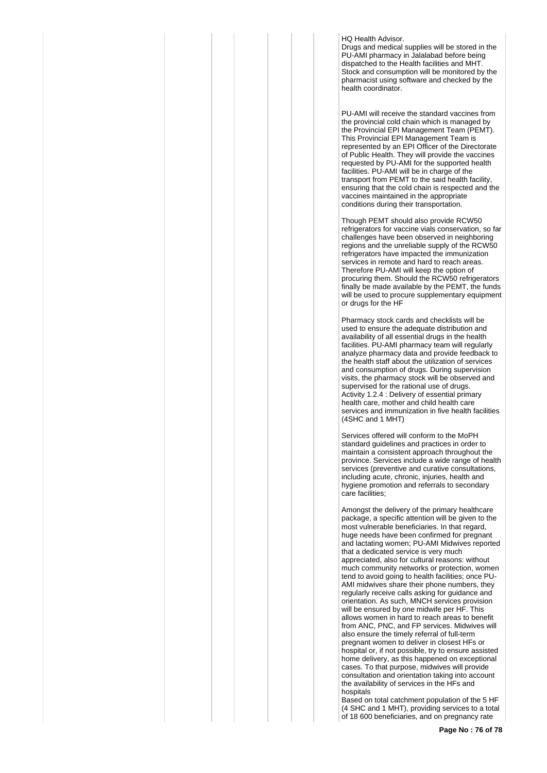## HQ Health Advisor.

Drugs and medical supplies will be stored in the PU-AMI pharmacy in Jalalabad before being dispatched to the Health facilities and MHT. Stock and consumption will be monitored by the pharmacist using software and checked by the health coordinator.

PU-AMI will receive the standard vaccines from the provincial cold chain which is managed by the Provincial EPI Management Team (PEMT). This Provincial EPI Management Team is represented by an EPI Officer of the Directorate of Public Health. They will provide the vaccines requested by PU-AMI for the supported health facilities. PU-AMI will be in charge of the transport from PEMT to the said health facility, ensuring that the cold chain is respected and the vaccines maintained in the appropriate conditions during their transportation.

Though PEMT should also provide RCW50 refrigerators for vaccine vials conservation, so far challenges have been observed in neighboring regions and the unreliable supply of the RCW50 refrigerators have impacted the immunization services in remote and hard to reach areas. Therefore PU-AMI will keep the option of procuring them. Should the RCW50 refrigerators finally be made available by the PEMT, the funds will be used to procure supplementary equipment or drugs for the HF

Pharmacy stock cards and checklists will be used to ensure the adequate distribution and availability of all essential drugs in the health facilities. PU-AMI pharmacy team will regularly analyze pharmacy data and provide feedback to the health staff about the utilization of services and consumption of drugs. During supervision visits, the pharmacy stock will be observed and supervised for the rational use of drugs. Activity 1.2.4 : Delivery of essential primary health care, mother and child health care services and immunization in five health facilities (4SHC and 1 MHT)

Services offered will conform to the MoPH standard guidelines and practices in order to maintain a consistent approach throughout the province. Services include a wide range of health services (preventive and curative consultations, including acute, chronic, injuries, health and hygiene promotion and referrals to secondary care facilities;

Amongst the delivery of the primary healthcare package, a specific attention will be given to the most vulnerable beneficiaries. In that regard, huge needs have been confirmed for pregnant and lactating women; PU-AMI Midwives reported that a dedicated service is very much appreciated, also for cultural reasons: without much community networks or protection, women tend to avoid going to health facilities; once PU-AMI midwives share their phone numbers, they regularly receive calls asking for guidance and orientation. As such, MNCH services provision will be ensured by one midwife per HF. This allows women in hard to reach areas to benefit from ANC, PNC, and FP services. Midwives will also ensure the timely referral of full-term pregnant women to deliver in closest HFs or hospital or, if not possible, try to ensure assisted home delivery, as this happened on exceptional cases. To that purpose, midwives will provide consultation and orientation taking into account the availability of services in the HFs and hospitals

Based on total catchment population of the 5 HF (4 SHC and 1 MHT), providing services to a total of 18 600 beneficiaries, and on pregnancy rate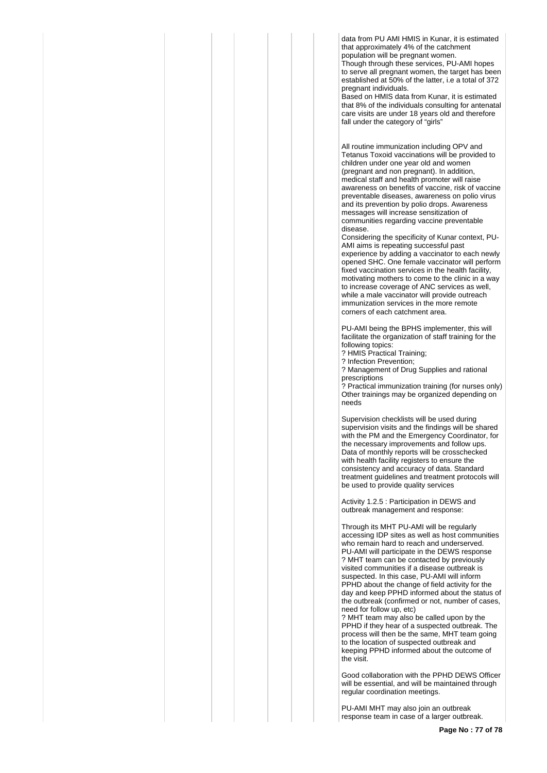data from PU AMI HMIS in Kunar, it is estimated that approximately 4% of the catchment population will be pregnant women.

Though through these services, PU-AMI hopes to serve all pregnant women, the target has been established at 50% of the latter, i.e a total of 372 pregnant individuals.

Based on HMIS data from Kunar, it is estimated that 8% of the individuals consulting for antenatal care visits are under 18 years old and therefore fall under the category of "girls"

All routine immunization including OPV and Tetanus Toxoid vaccinations will be provided to children under one year old and women (pregnant and non pregnant). In addition, medical staff and health promoter will raise awareness on benefits of vaccine, risk of vaccine preventable diseases, awareness on polio virus and its prevention by polio drops. Awareness messages will increase sensitization of communities regarding vaccine preventable disease.

Considering the specificity of Kunar context, PU-AMI aims is repeating successful past experience by adding a vaccinator to each newly opened SHC. One female vaccinator will perform fixed vaccination services in the health facility, motivating mothers to come to the clinic in a way to increase coverage of ANC services as well, while a male vaccinator will provide outreach immunization services in the more remote corners of each catchment area.

PU-AMI being the BPHS implementer, this will facilitate the organization of staff training for the following topics:

? HMIS Practical Training;

? Infection Prevention; ? Management of Drug Supplies and rational

prescriptions ? Practical immunization training (for nurses only) Other trainings may be organized depending on needs

Supervision checklists will be used during supervision visits and the findings will be shared with the PM and the Emergency Coordinator, for the necessary improvements and follow ups. Data of monthly reports will be crosschecked with health facility registers to ensure the consistency and accuracy of data. Standard treatment guidelines and treatment protocols will be used to provide quality services

Activity 1.2.5 : Participation in DEWS and outbreak management and response:

Through its MHT PU-AMI will be regularly accessing IDP sites as well as host communities who remain hard to reach and underserved. PU-AMI will participate in the DEWS response ? MHT team can be contacted by previously visited communities if a disease outbreak is suspected. In this case, PU-AMI will inform PPHD about the change of field activity for the day and keep PPHD informed about the status of the outbreak (confirmed or not, number of cases, need for follow up, etc)

? MHT team may also be called upon by the PPHD if they hear of a suspected outbreak. The process will then be the same, MHT team going to the location of suspected outbreak and keeping PPHD informed about the outcome of the visit.

Good collaboration with the PPHD DEWS Officer will be essential, and will be maintained through regular coordination meetings.

PU-AMI MHT may also join an outbreak response team in case of a larger outbreak.